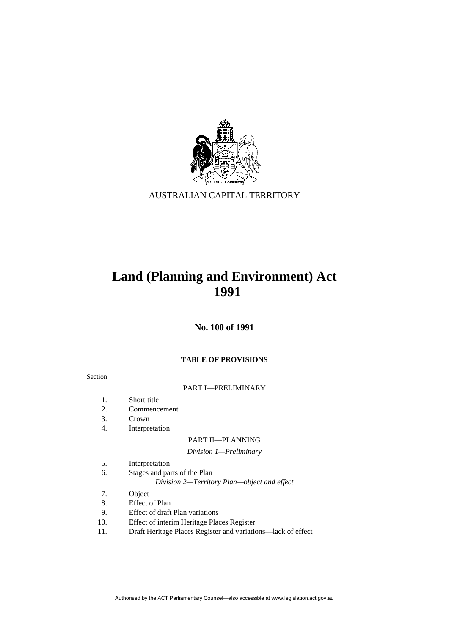

AUSTRALIAN CAPITAL TERRITORY

# **Land (Planning and Environment) Act 1991**

**No. 100 of 1991** 

# **TABLE OF PROVISIONS**

#### Section

# PART I—PRELIMINARY

- 1. Short title
- 2. Commencement
- 3. Crown
- 4. Interpretation

# PART II—PLANNING

# *Division 1—Preliminary*

- 5. Interpretation
- 6. Stages and parts of the Plan
	- *Division 2—Territory Plan—object and effect*
- 7. Object
- 8. Effect of Plan
- 9. Effect of draft Plan variations
- 10. Effect of interim Heritage Places Register
- 11. Draft Heritage Places Register and variations—lack of effect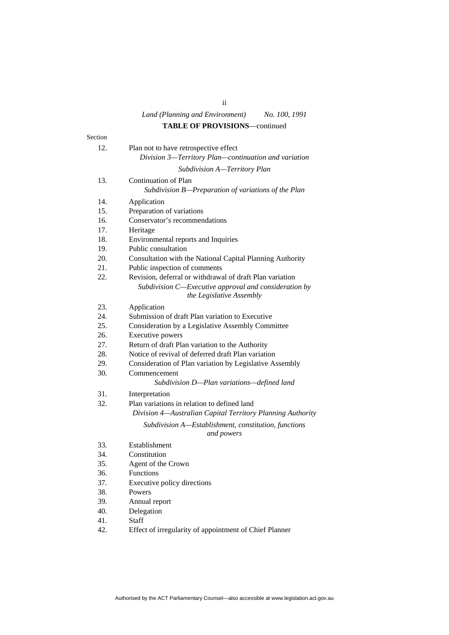### *Land (Planning and Environment) No. 100, 1991* **TABLE OF PROVISIONS**—continued

|         | <b>IADLE OF FROVISIONS—continued</b>                                                          |
|---------|-----------------------------------------------------------------------------------------------|
| Section |                                                                                               |
| 12.     | Plan not to have retrospective effect<br>Division 3-Territory Plan-continuation and variation |
|         | Subdivision A-Territory Plan                                                                  |
| 13.     | Continuation of Plan<br>Subdivision B-Preparation of variations of the Plan                   |
| 14.     | Application                                                                                   |
| 15.     | Preparation of variations                                                                     |
| 16.     | Conservator's recommendations                                                                 |
| 17.     | Heritage                                                                                      |
| 18.     | Environmental reports and Inquiries                                                           |
| 19.     | Public consultation                                                                           |
| 20.     | Consultation with the National Capital Planning Authority                                     |
| 21.     | Public inspection of comments                                                                 |
| 22.     | Revision, deferral or withdrawal of draft Plan variation                                      |
|         | Subdivision C-Executive approval and consideration by<br>the Legislative Assembly             |
| 23.     | Application                                                                                   |
| 24.     | Submission of draft Plan variation to Executive                                               |
| 25.     | Consideration by a Legislative Assembly Committee                                             |
| 26.     | Executive powers                                                                              |
| 27.     | Return of draft Plan variation to the Authority                                               |
| 28.     | Notice of revival of deferred draft Plan variation                                            |
| 29.     | Consideration of Plan variation by Legislative Assembly                                       |
| 30.     | Commencement<br>Subdivision D-Plan variations-defined land                                    |
| 31.     | Interpretation                                                                                |
| 32.     | Plan variations in relation to defined land                                                   |
|         | Division 4—Australian Capital Territory Planning Authority                                    |
|         | Subdivision A-Establishment, constitution, functions<br>and powers                            |
| 33.     | Establishment                                                                                 |
| 34.     | Constitution                                                                                  |
| 35.     | Agent of the Crown                                                                            |
| 36.     | Functions                                                                                     |
| 37.     | Executive policy directions                                                                   |
| 38.     | Powers                                                                                        |
| 39.     | Annual report                                                                                 |
| 40.     | Delegation                                                                                    |
| 41.     | <b>Staff</b>                                                                                  |
| 42.     | Effect of irregularity of appointment of Chief Planner                                        |

# ii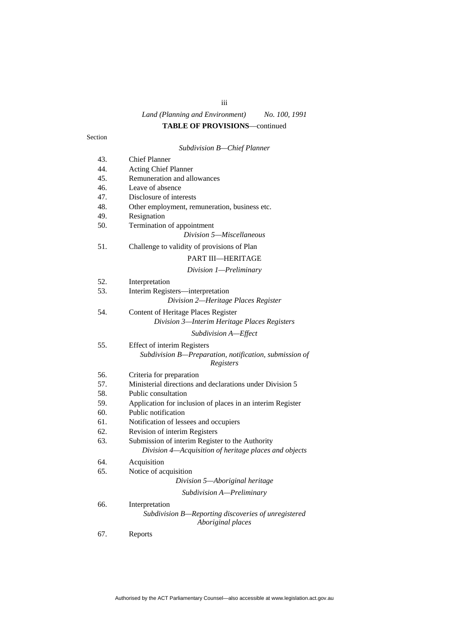# iii

# *Land (Planning and Environment) No. 100, 1991*

# **TABLE OF PROVISIONS**—continued

|     | Subdivision B-Chief Planner                                              |
|-----|--------------------------------------------------------------------------|
| 43. | <b>Chief Planner</b>                                                     |
| 44. | Acting Chief Planner                                                     |
| 45. | Remuneration and allowances                                              |
| 46. | Leave of absence                                                         |
| 47. | Disclosure of interests                                                  |
| 48. | Other employment, remuneration, business etc.                            |
| 49. | Resignation                                                              |
| 50. | Termination of appointment                                               |
|     | Division 5-Miscellaneous                                                 |
| 51. | Challenge to validity of provisions of Plan                              |
|     | PART III-HERITAGE                                                        |
|     | Division 1-Preliminary                                                   |
| 52. | Interpretation                                                           |
| 53. | Interim Registers-interpretation                                         |
|     | Division 2-Heritage Places Register                                      |
| 54. | Content of Heritage Places Register                                      |
|     | Division 3-Interim Heritage Places Registers                             |
|     | Subdivision A-Effect                                                     |
| 55. | <b>Effect of interim Registers</b>                                       |
|     | Subdivision B-Preparation, notification, submission of<br>Registers      |
| 56. | Criteria for preparation                                                 |
| 57. | Ministerial directions and declarations under Division 5                 |
| 58. | Public consultation                                                      |
| 59. | Application for inclusion of places in an interim Register               |
| 60. | Public notification                                                      |
| 61. | Notification of lessees and occupiers                                    |
| 62. | Revision of interim Registers                                            |
| 63. | Submission of interim Register to the Authority                          |
|     | Division 4—Acquisition of heritage places and objects                    |
| 64. | Acquisition                                                              |
| 65. | Notice of acquisition                                                    |
|     | Division 5-Aboriginal heritage                                           |
|     | Subdivision A-Preliminary                                                |
| 66. | Interpretation                                                           |
|     | Subdivision B-Reporting discoveries of unregistered<br>Aboriginal places |
| 67. | Reports                                                                  |

#### Section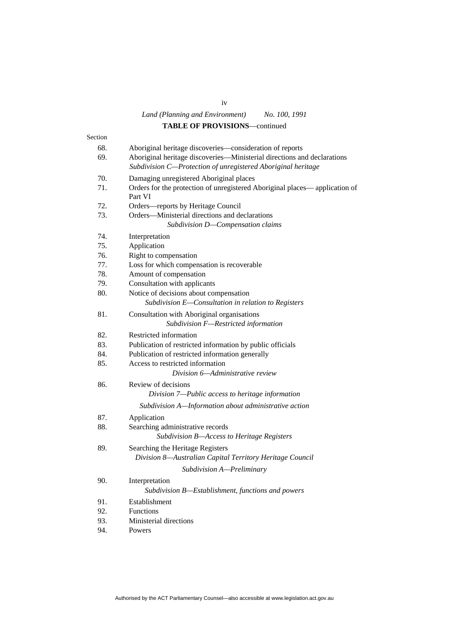# *Land (Planning and Environment) No. 100, 1991* **TABLE OF PROVISIONS**—continued

|         | ГАРЕЕ ОГ 1 КО СЮЮРС                                                                   |
|---------|---------------------------------------------------------------------------------------|
| Section |                                                                                       |
| 68.     | Aboriginal heritage discoveries-consideration of reports                              |
| 69.     | Aboriginal heritage discoveries-Ministerial directions and declarations               |
|         | Subdivision C-Protection of unregistered Aboriginal heritage                          |
| 70.     | Damaging unregistered Aboriginal places                                               |
| 71.     | Orders for the protection of unregistered Aboriginal places—application of<br>Part VI |
| 72.     | Orders—reports by Heritage Council                                                    |
| 73.     | Orders-Ministerial directions and declarations<br>Subdivision D-Compensation claims   |
| 74.     | Interpretation                                                                        |
| 75.     | Application                                                                           |
| 76.     | Right to compensation                                                                 |
| 77.     | Loss for which compensation is recoverable                                            |
| 78.     | Amount of compensation                                                                |
| 79.     | Consultation with applicants                                                          |
| 80.     | Notice of decisions about compensation                                                |
|         | Subdivision E-Consultation in relation to Registers                                   |
| 81.     | Consultation with Aboriginal organisations                                            |
|         | Subdivision F-Restricted information                                                  |
| 82.     | Restricted information                                                                |
| 83.     | Publication of restricted information by public officials                             |
| 84.     | Publication of restricted information generally                                       |
| 85.     | Access to restricted information                                                      |
|         | Division 6-Administrative review                                                      |
| 86.     | Review of decisions                                                                   |
|         | Division 7-Public access to heritage information                                      |
|         | Subdivision A-Information about administrative action                                 |
| 87.     | Application                                                                           |
| 88.     | Searching administrative records                                                      |
|         | Subdivision B-Access to Heritage Registers                                            |
| 89.     | Searching the Heritage Registers                                                      |
|         | Division 8-Australian Capital Territory Heritage Council                              |
|         | Subdivision A-Preliminary                                                             |
| 90.     | Interpretation                                                                        |
|         | Subdivision B-Establishment, functions and powers                                     |
| 91.     | Establishment                                                                         |
| 92.     | Functions                                                                             |
| 93.     | Ministerial directions                                                                |
| 94.     | Powers                                                                                |
|         |                                                                                       |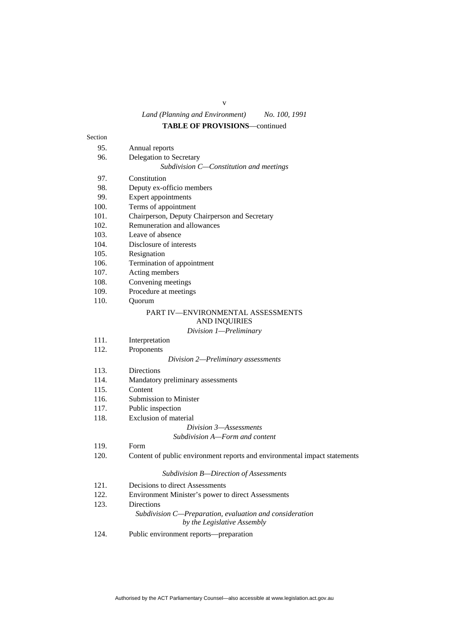# **TABLE OF PROVISIONS**—continued

| Section |                                                                                        |
|---------|----------------------------------------------------------------------------------------|
| 95.     | Annual reports                                                                         |
| 96.     | Delegation to Secretary                                                                |
|         | Subdivision C-Constitution and meetings                                                |
| 97.     | Constitution                                                                           |
| 98.     | Deputy ex-officio members                                                              |
| 99.     | Expert appointments                                                                    |
| 100.    | Terms of appointment                                                                   |
| 101.    | Chairperson, Deputy Chairperson and Secretary                                          |
| 102.    | Remuneration and allowances                                                            |
| 103.    | Leave of absence                                                                       |
| 104.    | Disclosure of interests                                                                |
| 105.    | Resignation                                                                            |
| 106.    | Termination of appointment                                                             |
| 107.    | Acting members                                                                         |
| 108.    | Convening meetings                                                                     |
| 109.    | Procedure at meetings                                                                  |
| 110.    | Quorum                                                                                 |
|         | PART IV—ENVIRONMENTAL ASSESSMENTS                                                      |
|         | <b>AND INQUIRIES</b>                                                                   |
|         | Division 1-Preliminary                                                                 |
| 111.    | Interpretation                                                                         |
| 112.    | Proponents                                                                             |
|         | Division 2-Preliminary assessments                                                     |
| 113.    | <b>Directions</b>                                                                      |
| 114.    | Mandatory preliminary assessments                                                      |
| 115.    | Content                                                                                |
| 116.    | Submission to Minister                                                                 |
| 117.    | Public inspection                                                                      |
| 118.    | <b>Exclusion of material</b>                                                           |
|         | Division 3–Assessments                                                                 |
|         | Subdivision A—Form and content                                                         |
| 119.    | Form                                                                                   |
| 120.    | Content of public environment reports and environmental impact statements              |
|         |                                                                                        |
|         | Subdivision B-Direction of Assessments                                                 |
| 121.    | Decisions to direct Assessments                                                        |
| 122.    | Environment Minister's power to direct Assessments                                     |
| 123.    | Directions                                                                             |
|         | Subdivision C-Preparation, evaluation and consideration<br>by the Legislative Assembly |
|         |                                                                                        |
| 124.    | Public environment reports—preparation                                                 |

v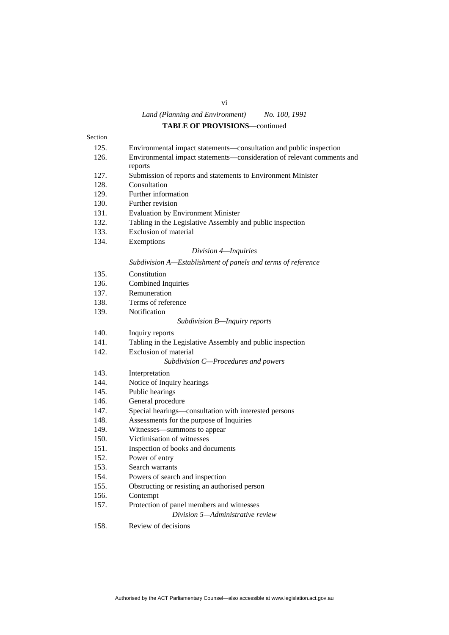# **TABLE OF PROVISIONS**—continued

| Section |                                                                                   |
|---------|-----------------------------------------------------------------------------------|
| 125.    | Environmental impact statements—consultation and public inspection                |
| 126.    | Environmental impact statements—consideration of relevant comments and<br>reports |
| 127.    | Submission of reports and statements to Environment Minister                      |
| 128.    | Consultation                                                                      |
| 129.    | Further information                                                               |
| 130.    | Further revision                                                                  |
| 131.    | <b>Evaluation by Environment Minister</b>                                         |
| 132.    | Tabling in the Legislative Assembly and public inspection                         |
| 133.    | Exclusion of material                                                             |
| 134.    | Exemptions                                                                        |
|         | Division 4-Inquiries                                                              |
|         | Subdivision A-Establishment of panels and terms of reference                      |
| 135.    | Constitution                                                                      |
| 136.    | Combined Inquiries                                                                |
| 137.    | Remuneration                                                                      |
| 138.    | Terms of reference                                                                |
| 139.    | Notification                                                                      |
|         | Subdivision B-Inquiry reports                                                     |
| 140.    | Inquiry reports                                                                   |
| 141.    | Tabling in the Legislative Assembly and public inspection                         |
| 142.    | Exclusion of material                                                             |
|         | Subdivision C-Procedures and powers                                               |
| 143.    | Interpretation                                                                    |
| 144.    | Notice of Inquiry hearings                                                        |
| 145.    | Public hearings                                                                   |
| 146.    | General procedure                                                                 |
| 147.    | Special hearings—consultation with interested persons                             |
| 148.    | Assessments for the purpose of Inquiries                                          |
| 149.    | Witnesses—summons to appear                                                       |
| 150.    | Victimisation of witnesses                                                        |
| 151.    | Inspection of books and documents                                                 |
| 152.    | Power of entry                                                                    |
| 153.    | Search warrants                                                                   |
| 154.    | Powers of search and inspection                                                   |
| 155.    | Obstructing or resisting an authorised person                                     |
| 156.    | Contempt                                                                          |
| 157.    | Protection of panel members and witnesses                                         |
|         | Division 5—Administrative review                                                  |
|         |                                                                                   |

158. Review of decisions

### vi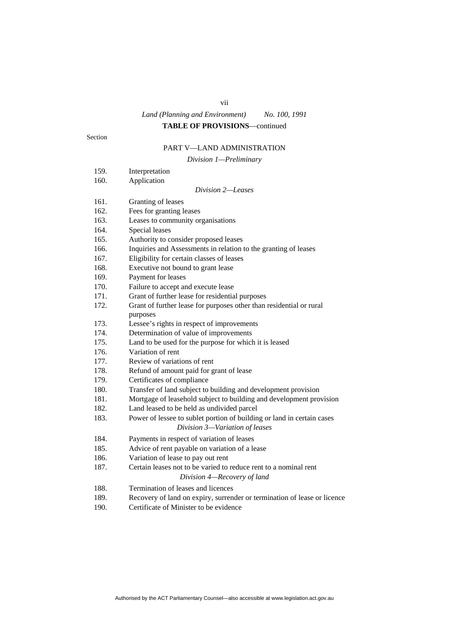#### vii

# *Land (Planning and Environment) No. 100, 1991*

# **TABLE OF PROVISIONS**—continued

Section

# PART V—LAND ADMINISTRATION

*Division 1—Preliminary* 

|      | $\nu$ wision 1—1 retuninur y                                             |
|------|--------------------------------------------------------------------------|
| 159. | Interpretation                                                           |
| 160. | Application                                                              |
|      | Division 2-Leases                                                        |
| 161. | Granting of leases                                                       |
| 162. | Fees for granting leases                                                 |
| 163. | Leases to community organisations                                        |
| 164. | Special leases                                                           |
| 165. | Authority to consider proposed leases                                    |
| 166. | Inquiries and Assessments in relation to the granting of leases          |
| 167. | Eligibility for certain classes of leases                                |
| 168. | Executive not bound to grant lease                                       |
| 169. | Payment for leases                                                       |
| 170. | Failure to accept and execute lease                                      |
| 171. | Grant of further lease for residential purposes                          |
| 172. | Grant of further lease for purposes other than residential or rural      |
|      | purposes                                                                 |
| 173. | Lessee's rights in respect of improvements                               |
| 174. | Determination of value of improvements                                   |
| 175. | Land to be used for the purpose for which it is leased                   |
| 176. | Variation of rent                                                        |
| 177. | Review of variations of rent                                             |
| 178. | Refund of amount paid for grant of lease                                 |
| 179. | Certificates of compliance                                               |
| 180. | Transfer of land subject to building and development provision           |
| 181. | Mortgage of leasehold subject to building and development provision      |
| 182. | Land leased to be held as undivided parcel                               |
| 183. | Power of lessee to sublet portion of building or land in certain cases   |
|      | Division 3-Variation of leases                                           |
| 184. | Payments in respect of variation of leases                               |
| 185. | Advice of rent payable on variation of a lease                           |
| 186. | Variation of lease to pay out rent                                       |
| 187. | Certain leases not to be varied to reduce rent to a nominal rent         |
|      | Division 4-Recovery of land                                              |
| 188. | Termination of leases and licences                                       |
| 189. | Recovery of land on expiry, surrender or termination of lease or licence |
|      | $\sim$ $\sim$ $\sim$                                                     |

190. Certificate of Minister to be evidence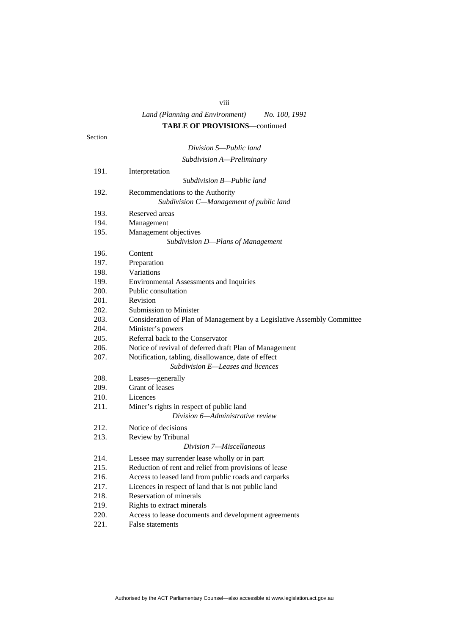### viii

# *Land (Planning and Environment) No. 100, 1991* **TABLE OF PROVISIONS**—continued

Section

# *Division 5—Public land Subdivision A—Preliminary*

| 191. | Interpretation                                                          |
|------|-------------------------------------------------------------------------|
|      | Subdivision B—Public land                                               |
| 192. | Recommendations to the Authority                                        |
|      | Subdivision C-Management of public land                                 |
| 193. | Reserved areas                                                          |
| 194. | Management                                                              |
| 195. | Management objectives                                                   |
|      | Subdivision D-Plans of Management                                       |
| 196. | Content                                                                 |
| 197. | Preparation                                                             |
| 198. | Variations                                                              |
| 199. | <b>Environmental Assessments and Inquiries</b>                          |
| 200. | Public consultation                                                     |
| 201. | Revision                                                                |
| 202. | <b>Submission to Minister</b>                                           |
| 203. | Consideration of Plan of Management by a Legislative Assembly Committee |
| 204. | Minister's powers                                                       |
| 205. | Referral back to the Conservator                                        |
| 206. | Notice of revival of deferred draft Plan of Management                  |
| 207. | Notification, tabling, disallowance, date of effect                     |
|      | Subdivision E-Leases and licences                                       |
| 208. | Leases-generally                                                        |
| 209. | Grant of leases                                                         |
| 210. | Licences                                                                |
| 211. | Miner's rights in respect of public land                                |
|      | Division 6—Administrative review                                        |
| 212. | Notice of decisions                                                     |
| 213. | Review by Tribunal                                                      |
|      | Division 7—Miscellaneous                                                |
| 214. | Lessee may surrender lease wholly or in part                            |
| 215. | Reduction of rent and relief from provisions of lease                   |
| 216. | Access to leased land from public roads and carparks                    |
| 217. | Licences in respect of land that is not public land                     |
| 218. | Reservation of minerals                                                 |
| 219. | Rights to extract minerals                                              |
| 220. | Access to lease documents and development agreements                    |
| 221. | False statements                                                        |
|      |                                                                         |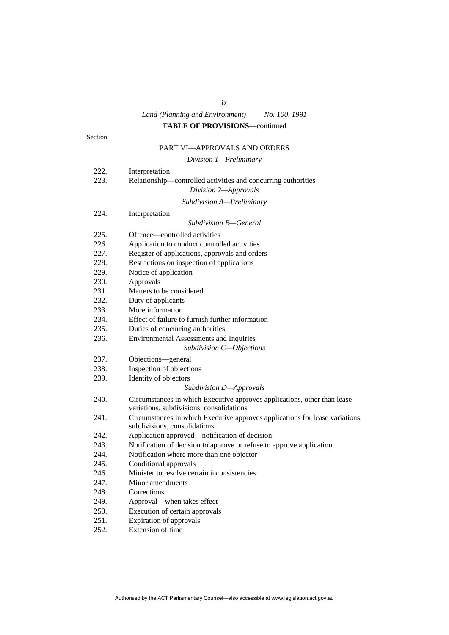# ix *Land (Planning and Environment) No. 100, 1991* **TABLE OF PROVISIONS**—continued

#### Section

# PART VI—APPROVALS AND ORDERS

#### *Division 1—Preliminary*

| 222. | Interpretation                                                               |
|------|------------------------------------------------------------------------------|
| 223. | Relationship-controlled activities and concurring authorities                |
|      | Division 2-Approvals                                                         |
|      | Subdivision A-Preliminary                                                    |
| 224. | Interpretation                                                               |
|      | Subdivision B—General                                                        |
| 225. | Offence-controlled activities                                                |
| 226. | Application to conduct controlled activities                                 |
| 227. | Register of applications, approvals and orders                               |
| 228. | Restrictions on inspection of applications                                   |
| 229. | Notice of application                                                        |
| 230. | Approvals                                                                    |
| 231. | Matters to be considered                                                     |
| 232. | Duty of applicants                                                           |
| 233. | More information                                                             |
| 234. | Effect of failure to furnish further information                             |
| 235. | Duties of concurring authorities                                             |
| 236. | Environmental Assessments and Inquiries                                      |
|      | Subdivision C-Objections                                                     |
| 237. | Objections-general                                                           |
| 238. | Inspection of objections                                                     |
| 239. | Identity of objectors                                                        |
|      | Subdivision D-Approvals                                                      |
| 240. | Circumstances in which Executive approves applications, other than lease     |
|      | variations, subdivisions, consolidations                                     |
| 241. | Circumstances in which Executive approves applications for lease variations, |
|      | subdivisions, consolidations                                                 |
| 242. | Application approved-notification of decision                                |
| 243. | Notification of decision to approve or refuse to approve application         |
| 244. | Notification where more than one objector                                    |
| 245. | Conditional approvals                                                        |
| 246. | Minister to resolve certain inconsistencies                                  |
| 247. | Minor amendments                                                             |
| 248. | Corrections                                                                  |
| 249. | Approval—when takes effect                                                   |
| 250. | Execution of certain approvals                                               |
| 251. | <b>Expiration of approvals</b>                                               |
| 252. | Extension of time                                                            |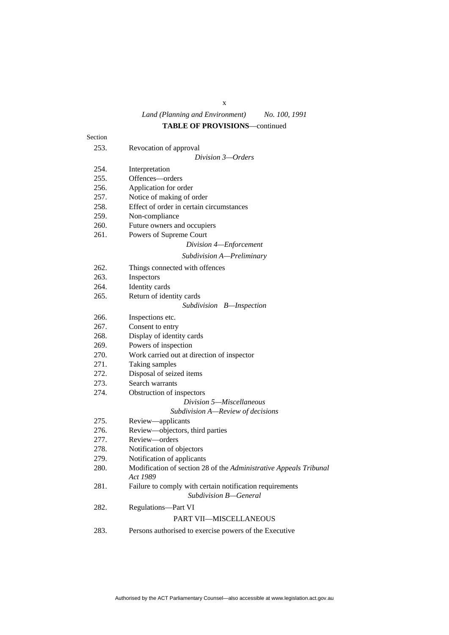x

# *Land (Planning and Environment) No. 100, 1991*

# **TABLE OF PROVISIONS**—continued

| Section |                                                                                   |
|---------|-----------------------------------------------------------------------------------|
| 253.    | Revocation of approval                                                            |
|         | Division 3-Orders                                                                 |
| 254.    | Interpretation                                                                    |
| 255.    | Offences-orders                                                                   |
| 256.    | Application for order                                                             |
| 257.    | Notice of making of order                                                         |
| 258.    | Effect of order in certain circumstances                                          |
| 259.    | Non-compliance                                                                    |
| 260.    | Future owners and occupiers                                                       |
| 261.    | Powers of Supreme Court                                                           |
|         | Division 4-Enforcement                                                            |
|         | Subdivision A-Preliminary                                                         |
| 262.    | Things connected with offences                                                    |
| 263.    | Inspectors                                                                        |
| 264.    | Identity cards                                                                    |
| 265.    | Return of identity cards                                                          |
|         | Subdivision B—Inspection                                                          |
| 266.    | Inspections etc.                                                                  |
| 267.    | Consent to entry                                                                  |
| 268.    | Display of identity cards                                                         |
| 269.    | Powers of inspection                                                              |
| 270.    | Work carried out at direction of inspector                                        |
| 271.    | Taking samples                                                                    |
| 272.    | Disposal of seized items                                                          |
| 273.    | Search warrants                                                                   |
| 274.    | Obstruction of inspectors                                                         |
|         | Division 5—Miscellaneous                                                          |
|         | Subdivision A-Review of decisions                                                 |
| 275.    | Review-applicants                                                                 |
| 276.    | Review-objectors, third parties                                                   |
| 277.    | Review-orders                                                                     |
| 278.    | Notification of objectors                                                         |
| 279.    | Notification of applicants                                                        |
| 280.    | Modification of section 28 of the Administrative Appeals Tribunal<br>Act 1989     |
| 281.    | Failure to comply with certain notification requirements<br>Subdivision B-General |
| 282.    | <b>Regulations-Part VI</b>                                                        |
|         | PART VII-MISCELLANEOUS                                                            |
| 283.    | Persons authorised to exercise powers of the Executive                            |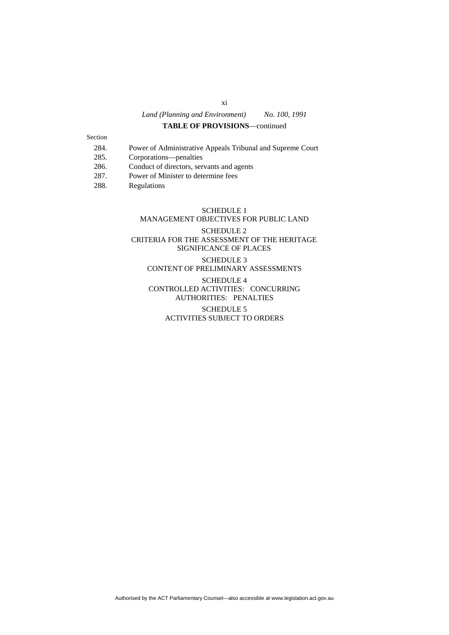### **TABLE OF PROVISIONS**—continued

#### Section

- 284. Power of Administrative Appeals Tribunal and Supreme Court
- 285. Corporations—penalties
- 286. Conduct of directors, servants and agents
- 287. Power of Minister to determine fees
- 288. Regulations

# SCHEDULE 1 MANAGEMENT OBJECTIVES FOR PUBLIC LAND

# SCHEDULE 2 CRITERIA FOR THE ASSESSMENT OF THE HERITAGE SIGNIFICANCE OF PLACES SCHEDULE 3 CONTENT OF PRELIMINARY ASSESSMENTS

# SCHEDULE 4 CONTROLLED ACTIVITIES: CONCURRING AUTHORITIES: PENALTIES

#### SCHEDULE 5 ACTIVITIES SUBJECT TO ORDERS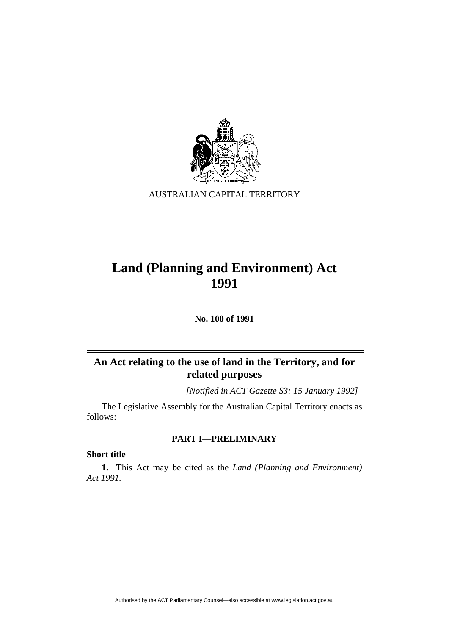

AUSTRALIAN CAPITAL TERRITORY

# **Land (Planning and Environment) Act 1991**

**No. 100 of 1991** 

# **An Act relating to the use of land in the Territory, and for related purposes**

*[Notified in ACT Gazette S3: 15 January 1992]*

 The Legislative Assembly for the Australian Capital Territory enacts as follows:

# **PART I—PRELIMINARY**

# **Short title**

**1.** This Act may be cited as the *Land (Planning and Environment) Act 1991.*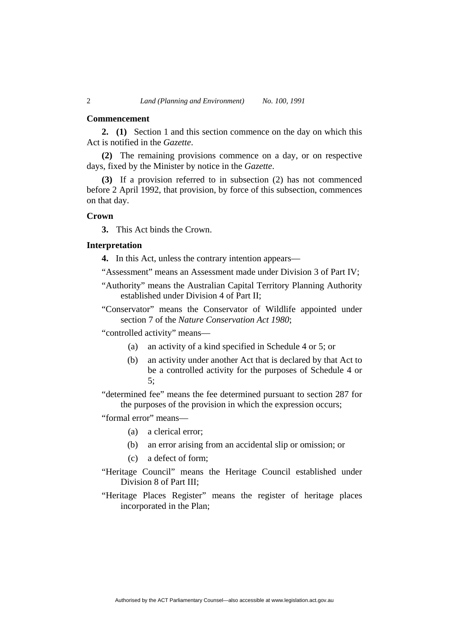#### **Commencement**

**2. (1)** Section 1 and this section commence on the day on which this Act is notified in the *Gazette*.

**(2)** The remaining provisions commence on a day, or on respective days, fixed by the Minister by notice in the *Gazette*.

**(3)** If a provision referred to in subsection (2) has not commenced before 2 April 1992, that provision, by force of this subsection, commences on that day.

# **Crown**

**3.** This Act binds the Crown.

# **Interpretation**

**4.** In this Act, unless the contrary intention appears—

"Assessment" means an Assessment made under Division 3 of Part IV;

- "Authority" means the Australian Capital Territory Planning Authority established under Division 4 of Part II;
- "Conservator" means the Conservator of Wildlife appointed under section 7 of the *Nature Conservation Act 1980*;

"controlled activity" means—

- (a) an activity of a kind specified in Schedule 4 or 5; or
- (b) an activity under another Act that is declared by that Act to be a controlled activity for the purposes of Schedule 4 or 5;
- "determined fee" means the fee determined pursuant to section 287 for the purposes of the provision in which the expression occurs;

"formal error" means—

- (a) a clerical error;
- (b) an error arising from an accidental slip or omission; or
- (c) a defect of form;
- "Heritage Council" means the Heritage Council established under Division 8 of Part III;
- "Heritage Places Register" means the register of heritage places incorporated in the Plan;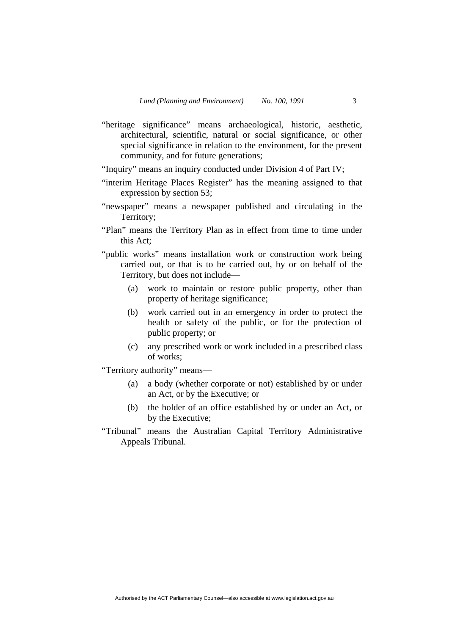- "heritage significance" means archaeological, historic, aesthetic, architectural, scientific, natural or social significance, or other special significance in relation to the environment, for the present community, and for future generations;
- "Inquiry" means an inquiry conducted under Division 4 of Part IV;
- "interim Heritage Places Register" has the meaning assigned to that expression by section 53;
- "newspaper" means a newspaper published and circulating in the Territory;
- "Plan" means the Territory Plan as in effect from time to time under this Act;
- "public works" means installation work or construction work being carried out, or that is to be carried out, by or on behalf of the Territory, but does not include—
	- (a) work to maintain or restore public property, other than property of heritage significance;
	- (b) work carried out in an emergency in order to protect the health or safety of the public, or for the protection of public property; or
	- (c) any prescribed work or work included in a prescribed class of works;

"Territory authority" means—

- (a) a body (whether corporate or not) established by or under an Act, or by the Executive; or
- (b) the holder of an office established by or under an Act, or by the Executive;
- "Tribunal" means the Australian Capital Territory Administrative Appeals Tribunal.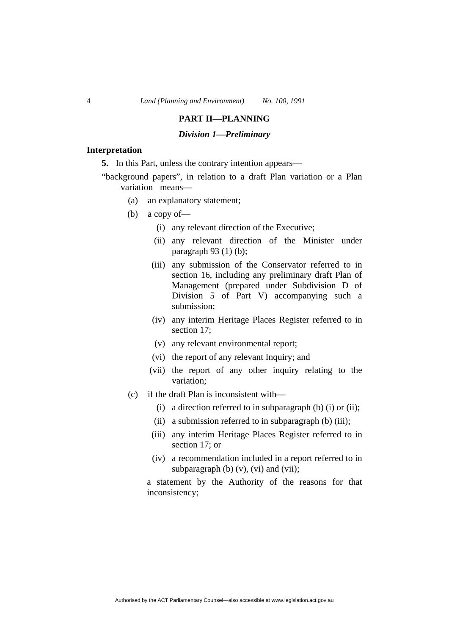# **PART II—PLANNING**

### *Division 1—Preliminary*

#### **Interpretation**

**5.** In this Part, unless the contrary intention appears—

"background papers", in relation to a draft Plan variation or a Plan variation means—

- (a) an explanatory statement;
- (b) a copy of—
	- (i) any relevant direction of the Executive;
	- (ii) any relevant direction of the Minister under paragraph 93 (1) (b);
	- (iii) any submission of the Conservator referred to in section 16, including any preliminary draft Plan of Management (prepared under Subdivision D of Division 5 of Part V) accompanying such a submission;
	- (iv) any interim Heritage Places Register referred to in section 17;
	- (v) any relevant environmental report;
	- (vi) the report of any relevant Inquiry; and
	- (vii) the report of any other inquiry relating to the variation;
- (c) if the draft Plan is inconsistent with—
	- (i) a direction referred to in subparagraph (b) (i) or (ii);
	- (ii) a submission referred to in subparagraph (b) (iii);
	- (iii) any interim Heritage Places Register referred to in section 17; or
	- (iv) a recommendation included in a report referred to in subparagraph (b)  $(v)$ ,  $(vi)$  and  $(vii)$ ;

a statement by the Authority of the reasons for that inconsistency;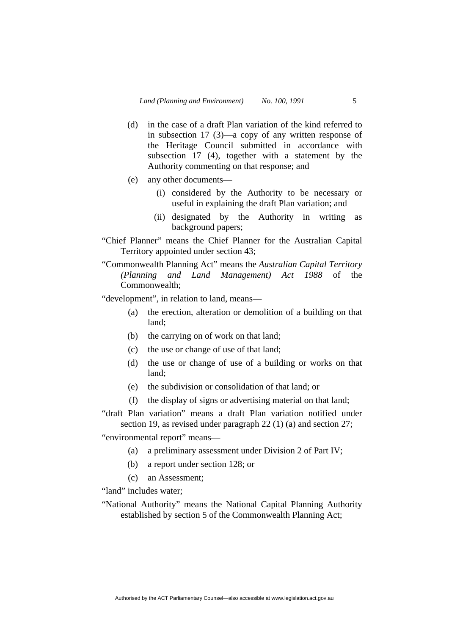- (d) in the case of a draft Plan variation of the kind referred to in subsection 17 (3)—a copy of any written response of the Heritage Council submitted in accordance with subsection 17 (4), together with a statement by the Authority commenting on that response; and
- (e) any other documents—
	- (i) considered by the Authority to be necessary or useful in explaining the draft Plan variation; and
	- (ii) designated by the Authority in writing as background papers;
- "Chief Planner" means the Chief Planner for the Australian Capital Territory appointed under section 43;
- "Commonwealth Planning Act" means the *Australian Capital Territory (Planning and Land Management) Act 1988* of the Commonwealth;

"development", in relation to land, means—

- (a) the erection, alteration or demolition of a building on that land;
- (b) the carrying on of work on that land;
- (c) the use or change of use of that land;
- (d) the use or change of use of a building or works on that land;
- (e) the subdivision or consolidation of that land; or
- (f) the display of signs or advertising material on that land;
- "draft Plan variation" means a draft Plan variation notified under section 19, as revised under paragraph 22 (1) (a) and section 27;

"environmental report" means—

- (a) a preliminary assessment under Division 2 of Part IV;
- (b) a report under section 128; or
- (c) an Assessment;

"land" includes water:

"National Authority" means the National Capital Planning Authority established by section 5 of the Commonwealth Planning Act;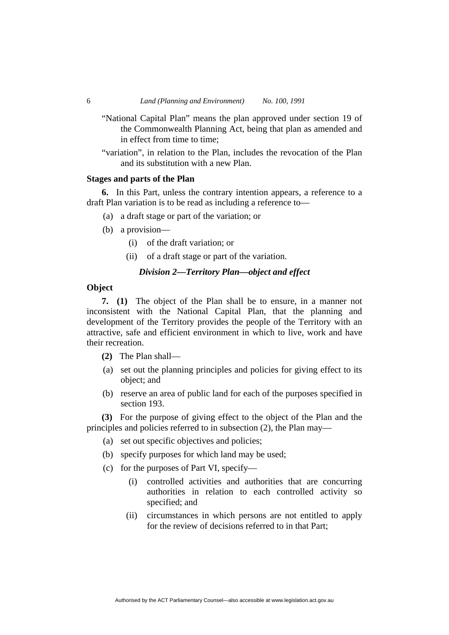- "National Capital Plan" means the plan approved under section 19 of the Commonwealth Planning Act, being that plan as amended and in effect from time to time;
- "variation", in relation to the Plan, includes the revocation of the Plan and its substitution with a new Plan.

#### **Stages and parts of the Plan**

**6.** In this Part, unless the contrary intention appears, a reference to a draft Plan variation is to be read as including a reference to—

- (a) a draft stage or part of the variation; or
- (b) a provision—
	- (i) of the draft variation; or
	- (ii) of a draft stage or part of the variation.

## *Division 2—Territory Plan—object and effect*

#### **Object**

**7. (1)** The object of the Plan shall be to ensure, in a manner not inconsistent with the National Capital Plan, that the planning and development of the Territory provides the people of the Territory with an attractive, safe and efficient environment in which to live, work and have their recreation.

- **(2)** The Plan shall—
- (a) set out the planning principles and policies for giving effect to its object; and
- (b) reserve an area of public land for each of the purposes specified in section 193.

**(3)** For the purpose of giving effect to the object of the Plan and the principles and policies referred to in subsection (2), the Plan may—

- (a) set out specific objectives and policies;
- (b) specify purposes for which land may be used;
- (c) for the purposes of Part VI, specify—
	- (i) controlled activities and authorities that are concurring authorities in relation to each controlled activity so specified; and
	- (ii) circumstances in which persons are not entitled to apply for the review of decisions referred to in that Part;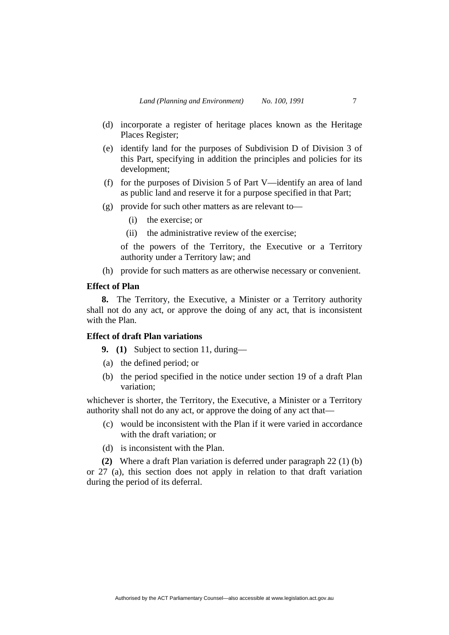- (d) incorporate a register of heritage places known as the Heritage Places Register;
- (e) identify land for the purposes of Subdivision D of Division 3 of this Part, specifying in addition the principles and policies for its development;
- (f) for the purposes of Division 5 of Part V—identify an area of land as public land and reserve it for a purpose specified in that Part;
- (g) provide for such other matters as are relevant to—
	- (i) the exercise; or
	- (ii) the administrative review of the exercise;

of the powers of the Territory, the Executive or a Territory authority under a Territory law; and

(h) provide for such matters as are otherwise necessary or convenient.

#### **Effect of Plan**

**8.** The Territory, the Executive, a Minister or a Territory authority shall not do any act, or approve the doing of any act, that is inconsistent with the Plan.

# **Effect of draft Plan variations**

**9. (1)** Subject to section 11, during—

- (a) the defined period; or
- (b) the period specified in the notice under section 19 of a draft Plan variation;

whichever is shorter, the Territory, the Executive, a Minister or a Territory authority shall not do any act, or approve the doing of any act that—

- (c) would be inconsistent with the Plan if it were varied in accordance with the draft variation; or
- (d) is inconsistent with the Plan.

**(2)** Where a draft Plan variation is deferred under paragraph 22 (1) (b) or 27 (a), this section does not apply in relation to that draft variation during the period of its deferral.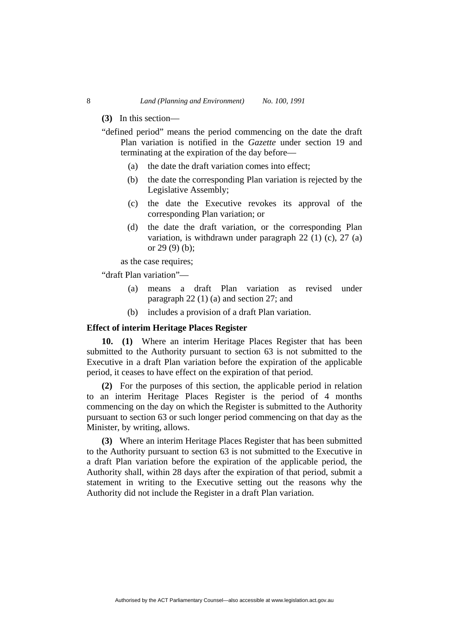#### **(3)** In this section—

- "defined period" means the period commencing on the date the draft Plan variation is notified in the *Gazette* under section 19 and terminating at the expiration of the day before—
	- (a) the date the draft variation comes into effect;
	- (b) the date the corresponding Plan variation is rejected by the Legislative Assembly;
	- (c) the date the Executive revokes its approval of the corresponding Plan variation; or
	- (d) the date the draft variation, or the corresponding Plan variation, is withdrawn under paragraph 22 (1) (c), 27 (a) or 29 (9) (b);

as the case requires;

"draft Plan variation"—

- (a) means a draft Plan variation as revised under paragraph 22 (1) (a) and section 27; and
- (b) includes a provision of a draft Plan variation.

#### **Effect of interim Heritage Places Register**

**10. (1)** Where an interim Heritage Places Register that has been submitted to the Authority pursuant to section 63 is not submitted to the Executive in a draft Plan variation before the expiration of the applicable period, it ceases to have effect on the expiration of that period.

**(2)** For the purposes of this section, the applicable period in relation to an interim Heritage Places Register is the period of 4 months commencing on the day on which the Register is submitted to the Authority pursuant to section 63 or such longer period commencing on that day as the Minister, by writing, allows.

**(3)** Where an interim Heritage Places Register that has been submitted to the Authority pursuant to section 63 is not submitted to the Executive in a draft Plan variation before the expiration of the applicable period, the Authority shall, within 28 days after the expiration of that period, submit a statement in writing to the Executive setting out the reasons why the Authority did not include the Register in a draft Plan variation.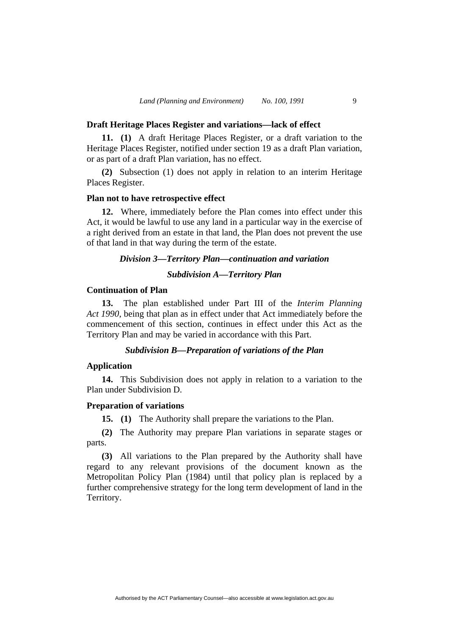#### **Draft Heritage Places Register and variations—lack of effect**

**11. (1)** A draft Heritage Places Register, or a draft variation to the Heritage Places Register, notified under section 19 as a draft Plan variation, or as part of a draft Plan variation, has no effect.

**(2)** Subsection (1) does not apply in relation to an interim Heritage Places Register.

# **Plan not to have retrospective effect**

**12.** Where, immediately before the Plan comes into effect under this Act, it would be lawful to use any land in a particular way in the exercise of a right derived from an estate in that land, the Plan does not prevent the use of that land in that way during the term of the estate.

## *Division 3—Territory Plan—continuation and variation*

#### *Subdivision A—Territory Plan*

#### **Continuation of Plan**

**13.** The plan established under Part III of the *Interim Planning Act 1990*, being that plan as in effect under that Act immediately before the commencement of this section, continues in effect under this Act as the Territory Plan and may be varied in accordance with this Part.

#### *Subdivision B—Preparation of variations of the Plan*

#### **Application**

**14.** This Subdivision does not apply in relation to a variation to the Plan under Subdivision D.

#### **Preparation of variations**

**15. (1)** The Authority shall prepare the variations to the Plan.

**(2)** The Authority may prepare Plan variations in separate stages or parts.

**(3)** All variations to the Plan prepared by the Authority shall have regard to any relevant provisions of the document known as the Metropolitan Policy Plan (1984) until that policy plan is replaced by a further comprehensive strategy for the long term development of land in the Territory.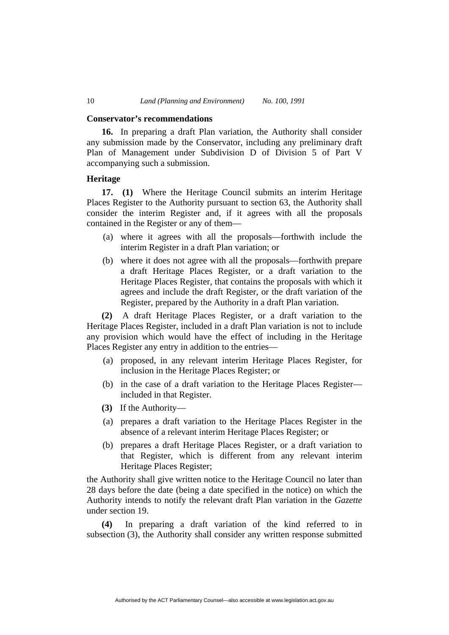#### **Conservator's recommendations**

**16.** In preparing a draft Plan variation, the Authority shall consider any submission made by the Conservator, including any preliminary draft Plan of Management under Subdivision D of Division 5 of Part V accompanying such a submission.

# **Heritage**

**17. (1)** Where the Heritage Council submits an interim Heritage Places Register to the Authority pursuant to section 63, the Authority shall consider the interim Register and, if it agrees with all the proposals contained in the Register or any of them—

- (a) where it agrees with all the proposals—forthwith include the interim Register in a draft Plan variation; or
- (b) where it does not agree with all the proposals—forthwith prepare a draft Heritage Places Register, or a draft variation to the Heritage Places Register, that contains the proposals with which it agrees and include the draft Register, or the draft variation of the Register, prepared by the Authority in a draft Plan variation.

**(2)** A draft Heritage Places Register, or a draft variation to the Heritage Places Register, included in a draft Plan variation is not to include any provision which would have the effect of including in the Heritage Places Register any entry in addition to the entries—

- (a) proposed, in any relevant interim Heritage Places Register, for inclusion in the Heritage Places Register; or
- (b) in the case of a draft variation to the Heritage Places Register included in that Register.
- **(3)** If the Authority—
- (a) prepares a draft variation to the Heritage Places Register in the absence of a relevant interim Heritage Places Register; or
- (b) prepares a draft Heritage Places Register, or a draft variation to that Register, which is different from any relevant interim Heritage Places Register;

the Authority shall give written notice to the Heritage Council no later than 28 days before the date (being a date specified in the notice) on which the Authority intends to notify the relevant draft Plan variation in the *Gazette* under section 19.

**(4)** In preparing a draft variation of the kind referred to in subsection (3), the Authority shall consider any written response submitted

Authorised by the ACT Parliamentary Counsel—also accessible at www.legislation.act.gov.au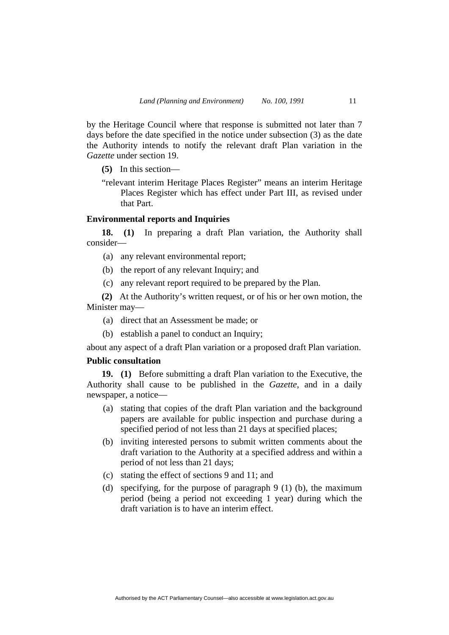by the Heritage Council where that response is submitted not later than 7 days before the date specified in the notice under subsection (3) as the date the Authority intends to notify the relevant draft Plan variation in the *Gazette* under section 19.

**(5)** In this section—

"relevant interim Heritage Places Register" means an interim Heritage Places Register which has effect under Part III, as revised under that Part.

# **Environmental reports and Inquiries**

**18. (1)** In preparing a draft Plan variation, the Authority shall consider—

- (a) any relevant environmental report;
- (b) the report of any relevant Inquiry; and
- (c) any relevant report required to be prepared by the Plan.

**(2)** At the Authority's written request, or of his or her own motion, the Minister may—

- (a) direct that an Assessment be made; or
- (b) establish a panel to conduct an Inquiry;

about any aspect of a draft Plan variation or a proposed draft Plan variation.

# **Public consultation**

**19. (1)** Before submitting a draft Plan variation to the Executive, the Authority shall cause to be published in the *Gazette*, and in a daily newspaper, a notice—

- (a) stating that copies of the draft Plan variation and the background papers are available for public inspection and purchase during a specified period of not less than 21 days at specified places;
- (b) inviting interested persons to submit written comments about the draft variation to the Authority at a specified address and within a period of not less than 21 days;
- (c) stating the effect of sections 9 and 11; and
- (d) specifying, for the purpose of paragraph 9 (1) (b), the maximum period (being a period not exceeding 1 year) during which the draft variation is to have an interim effect.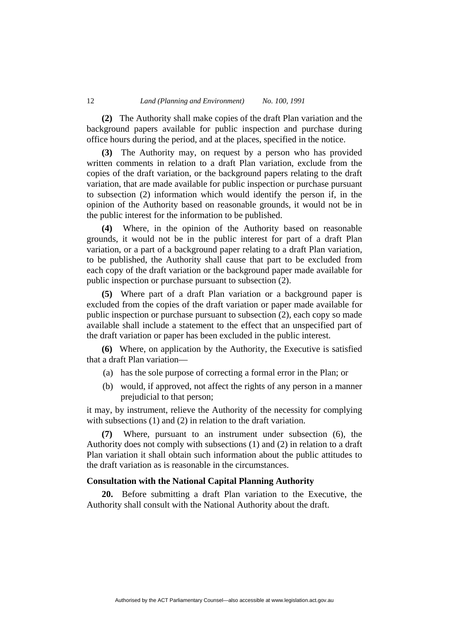**(2)** The Authority shall make copies of the draft Plan variation and the background papers available for public inspection and purchase during office hours during the period, and at the places, specified in the notice.

**(3)** The Authority may, on request by a person who has provided written comments in relation to a draft Plan variation, exclude from the copies of the draft variation, or the background papers relating to the draft variation, that are made available for public inspection or purchase pursuant to subsection (2) information which would identify the person if, in the opinion of the Authority based on reasonable grounds, it would not be in the public interest for the information to be published.

**(4)** Where, in the opinion of the Authority based on reasonable grounds, it would not be in the public interest for part of a draft Plan variation, or a part of a background paper relating to a draft Plan variation, to be published, the Authority shall cause that part to be excluded from each copy of the draft variation or the background paper made available for public inspection or purchase pursuant to subsection (2).

**(5)** Where part of a draft Plan variation or a background paper is excluded from the copies of the draft variation or paper made available for public inspection or purchase pursuant to subsection (2), each copy so made available shall include a statement to the effect that an unspecified part of the draft variation or paper has been excluded in the public interest.

**(6)** Where, on application by the Authority, the Executive is satisfied that a draft Plan variation—

- (a) has the sole purpose of correcting a formal error in the Plan; or
- (b) would, if approved, not affect the rights of any person in a manner prejudicial to that person;

it may, by instrument, relieve the Authority of the necessity for complying with subsections (1) and (2) in relation to the draft variation.

**(7)** Where, pursuant to an instrument under subsection (6), the Authority does not comply with subsections (1) and (2) in relation to a draft Plan variation it shall obtain such information about the public attitudes to the draft variation as is reasonable in the circumstances.

# **Consultation with the National Capital Planning Authority**

**20.** Before submitting a draft Plan variation to the Executive, the Authority shall consult with the National Authority about the draft.

Authorised by the ACT Parliamentary Counsel—also accessible at www.legislation.act.gov.au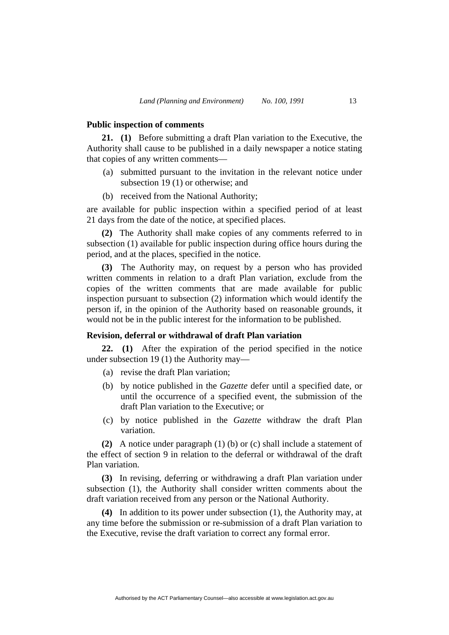#### **Public inspection of comments**

**21. (1)** Before submitting a draft Plan variation to the Executive, the Authority shall cause to be published in a daily newspaper a notice stating that copies of any written comments—

- (a) submitted pursuant to the invitation in the relevant notice under subsection 19 (1) or otherwise; and
- (b) received from the National Authority;

are available for public inspection within a specified period of at least 21 days from the date of the notice, at specified places.

**(2)** The Authority shall make copies of any comments referred to in subsection (1) available for public inspection during office hours during the period, and at the places, specified in the notice.

**(3)** The Authority may, on request by a person who has provided written comments in relation to a draft Plan variation, exclude from the copies of the written comments that are made available for public inspection pursuant to subsection (2) information which would identify the person if, in the opinion of the Authority based on reasonable grounds, it would not be in the public interest for the information to be published.

# **Revision, deferral or withdrawal of draft Plan variation**

**22. (1)** After the expiration of the period specified in the notice under subsection 19 (1) the Authority may—

- (a) revise the draft Plan variation;
- (b) by notice published in the *Gazette* defer until a specified date, or until the occurrence of a specified event, the submission of the draft Plan variation to the Executive; or
- (c) by notice published in the *Gazette* withdraw the draft Plan variation.

**(2)** A notice under paragraph (1) (b) or (c) shall include a statement of the effect of section 9 in relation to the deferral or withdrawal of the draft Plan variation.

**(3)** In revising, deferring or withdrawing a draft Plan variation under subsection (1), the Authority shall consider written comments about the draft variation received from any person or the National Authority.

**(4)** In addition to its power under subsection (1), the Authority may, at any time before the submission or re-submission of a draft Plan variation to the Executive, revise the draft variation to correct any formal error.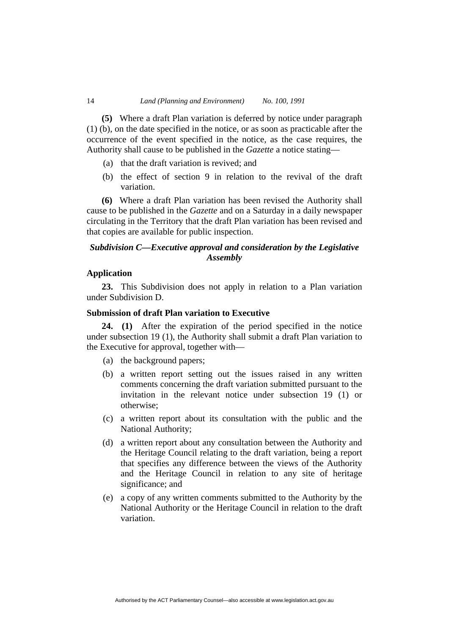**(5)** Where a draft Plan variation is deferred by notice under paragraph (1) (b), on the date specified in the notice, or as soon as practicable after the occurrence of the event specified in the notice, as the case requires, the Authority shall cause to be published in the *Gazette* a notice stating—

- (a) that the draft variation is revived; and
- (b) the effect of section 9 in relation to the revival of the draft variation.

**(6)** Where a draft Plan variation has been revised the Authority shall cause to be published in the *Gazette* and on a Saturday in a daily newspaper circulating in the Territory that the draft Plan variation has been revised and that copies are available for public inspection.

# *Subdivision C—Executive approval and consideration by the Legislative Assembly*

### **Application**

**23.** This Subdivision does not apply in relation to a Plan variation under Subdivision D.

# **Submission of draft Plan variation to Executive**

**24. (1)** After the expiration of the period specified in the notice under subsection 19 (1), the Authority shall submit a draft Plan variation to the Executive for approval, together with—

- (a) the background papers;
- (b) a written report setting out the issues raised in any written comments concerning the draft variation submitted pursuant to the invitation in the relevant notice under subsection 19 (1) or otherwise;
- (c) a written report about its consultation with the public and the National Authority;
- (d) a written report about any consultation between the Authority and the Heritage Council relating to the draft variation, being a report that specifies any difference between the views of the Authority and the Heritage Council in relation to any site of heritage significance; and
- (e) a copy of any written comments submitted to the Authority by the National Authority or the Heritage Council in relation to the draft variation.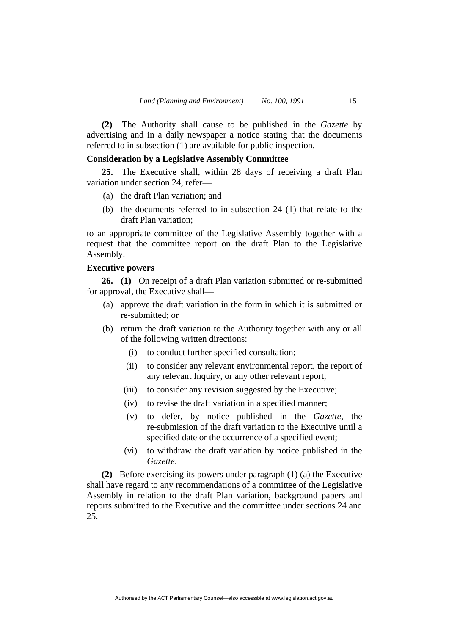**(2)** The Authority shall cause to be published in the *Gazette* by advertising and in a daily newspaper a notice stating that the documents referred to in subsection (1) are available for public inspection.

# **Consideration by a Legislative Assembly Committee**

**25.** The Executive shall, within 28 days of receiving a draft Plan variation under section 24, refer—

- (a) the draft Plan variation; and
- (b) the documents referred to in subsection 24 (1) that relate to the draft Plan variation;

to an appropriate committee of the Legislative Assembly together with a request that the committee report on the draft Plan to the Legislative Assembly.

# **Executive powers**

**26. (1)** On receipt of a draft Plan variation submitted or re-submitted for approval, the Executive shall—

- (a) approve the draft variation in the form in which it is submitted or re-submitted; or
- (b) return the draft variation to the Authority together with any or all of the following written directions:
	- (i) to conduct further specified consultation;
	- (ii) to consider any relevant environmental report, the report of any relevant Inquiry, or any other relevant report;
	- (iii) to consider any revision suggested by the Executive;
	- (iv) to revise the draft variation in a specified manner;
	- (v) to defer, by notice published in the *Gazette*, the re-submission of the draft variation to the Executive until a specified date or the occurrence of a specified event;
	- (vi) to withdraw the draft variation by notice published in the *Gazette*.

**(2)** Before exercising its powers under paragraph (1) (a) the Executive shall have regard to any recommendations of a committee of the Legislative Assembly in relation to the draft Plan variation, background papers and reports submitted to the Executive and the committee under sections 24 and 25.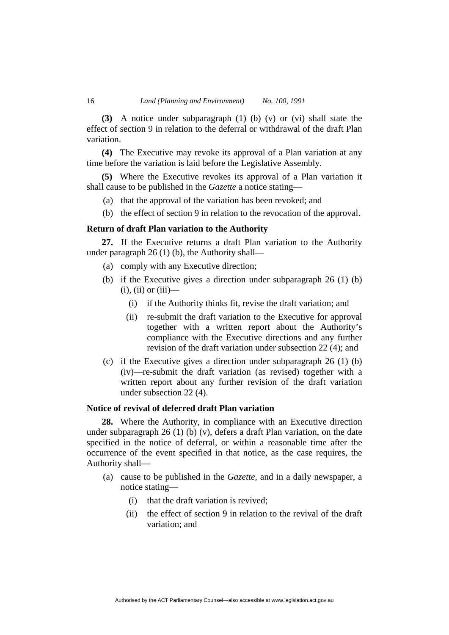**(3)** A notice under subparagraph (1) (b) (v) or (vi) shall state the effect of section 9 in relation to the deferral or withdrawal of the draft Plan variation.

**(4)** The Executive may revoke its approval of a Plan variation at any time before the variation is laid before the Legislative Assembly.

**(5)** Where the Executive revokes its approval of a Plan variation it shall cause to be published in the *Gazette* a notice stating—

- (a) that the approval of the variation has been revoked; and
- (b) the effect of section 9 in relation to the revocation of the approval.

# **Return of draft Plan variation to the Authority**

**27.** If the Executive returns a draft Plan variation to the Authority under paragraph 26 (1) (b), the Authority shall—

- (a) comply with any Executive direction;
- (b) if the Executive gives a direction under subparagraph 26 (1) (b)  $(i)$ ,  $(ii)$  or  $(iii)$ —
	- (i) if the Authority thinks fit, revise the draft variation; and
	- (ii) re-submit the draft variation to the Executive for approval together with a written report about the Authority's compliance with the Executive directions and any further revision of the draft variation under subsection 22 (4); and
- (c) if the Executive gives a direction under subparagraph 26 (1) (b) (iv)—re-submit the draft variation (as revised) together with a written report about any further revision of the draft variation under subsection 22 (4).

# **Notice of revival of deferred draft Plan variation**

**28.** Where the Authority, in compliance with an Executive direction under subparagraph 26 (1) (b) (v), defers a draft Plan variation, on the date specified in the notice of deferral, or within a reasonable time after the occurrence of the event specified in that notice, as the case requires, the Authority shall—

- (a) cause to be published in the *Gazette*, and in a daily newspaper, a notice stating—
	- (i) that the draft variation is revived;
	- (ii) the effect of section 9 in relation to the revival of the draft variation; and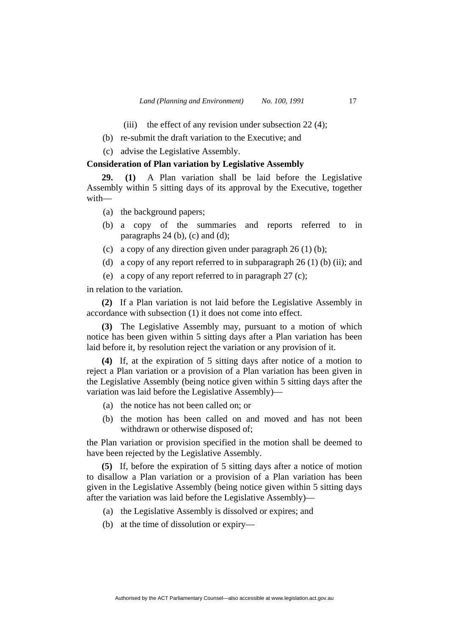- (iii) the effect of any revision under subsection  $22(4)$ ;
- (b) re-submit the draft variation to the Executive; and
- (c) advise the Legislative Assembly.

# **Consideration of Plan variation by Legislative Assembly**

**29. (1)** A Plan variation shall be laid before the Legislative Assembly within 5 sitting days of its approval by the Executive, together with—

- (a) the background papers;
- (b) a copy of the summaries and reports referred to in paragraphs  $24$  (b), (c) and (d);
- (c) a copy of any direction given under paragraph  $26(1)$  (b);
- (d) a copy of any report referred to in subparagraph  $26(1)$  (b) (ii); and
- (e) a copy of any report referred to in paragraph 27 (c);

in relation to the variation.

**(2)** If a Plan variation is not laid before the Legislative Assembly in accordance with subsection (1) it does not come into effect.

**(3)** The Legislative Assembly may, pursuant to a motion of which notice has been given within 5 sitting days after a Plan variation has been laid before it, by resolution reject the variation or any provision of it.

**(4)** If, at the expiration of 5 sitting days after notice of a motion to reject a Plan variation or a provision of a Plan variation has been given in the Legislative Assembly (being notice given within 5 sitting days after the variation was laid before the Legislative Assembly)—

- (a) the notice has not been called on; or
- (b) the motion has been called on and moved and has not been withdrawn or otherwise disposed of;

the Plan variation or provision specified in the motion shall be deemed to have been rejected by the Legislative Assembly.

**(5)** If, before the expiration of 5 sitting days after a notice of motion to disallow a Plan variation or a provision of a Plan variation has been given in the Legislative Assembly (being notice given within 5 sitting days after the variation was laid before the Legislative Assembly)—

- (a) the Legislative Assembly is dissolved or expires; and
- (b) at the time of dissolution or expiry—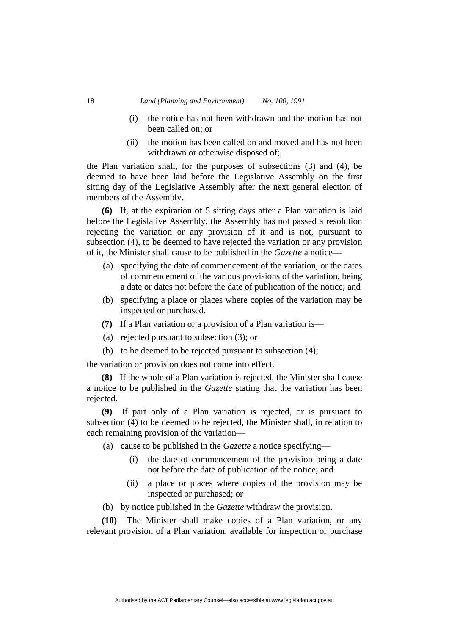- (i) the notice has not been withdrawn and the motion has not been called on; or
- (ii) the motion has been called on and moved and has not been withdrawn or otherwise disposed of;

the Plan variation shall, for the purposes of subsections (3) and (4), be deemed to have been laid before the Legislative Assembly on the first sitting day of the Legislative Assembly after the next general election of members of the Assembly.

**(6)** If, at the expiration of 5 sitting days after a Plan variation is laid before the Legislative Assembly, the Assembly has not passed a resolution rejecting the variation or any provision of it and is not, pursuant to subsection (4), to be deemed to have rejected the variation or any provision of it, the Minister shall cause to be published in the *Gazette* a notice—

- (a) specifying the date of commencement of the variation, or the dates of commencement of the various provisions of the variation, being a date or dates not before the date of publication of the notice; and
- (b) specifying a place or places where copies of the variation may be inspected or purchased.
- **(7)** If a Plan variation or a provision of a Plan variation is—
- (a) rejected pursuant to subsection (3); or
- (b) to be deemed to be rejected pursuant to subsection (4);

the variation or provision does not come into effect.

**(8)** If the whole of a Plan variation is rejected, the Minister shall cause a notice to be published in the *Gazette* stating that the variation has been rejected.

**(9)** If part only of a Plan variation is rejected, or is pursuant to subsection (4) to be deemed to be rejected, the Minister shall, in relation to each remaining provision of the variation—

- (a) cause to be published in the *Gazette* a notice specifying—
	- (i) the date of commencement of the provision being a date not before the date of publication of the notice; and
	- (ii) a place or places where copies of the provision may be inspected or purchased; or
- (b) by notice published in the *Gazette* withdraw the provision.

**(10)** The Minister shall make copies of a Plan variation, or any relevant provision of a Plan variation, available for inspection or purchase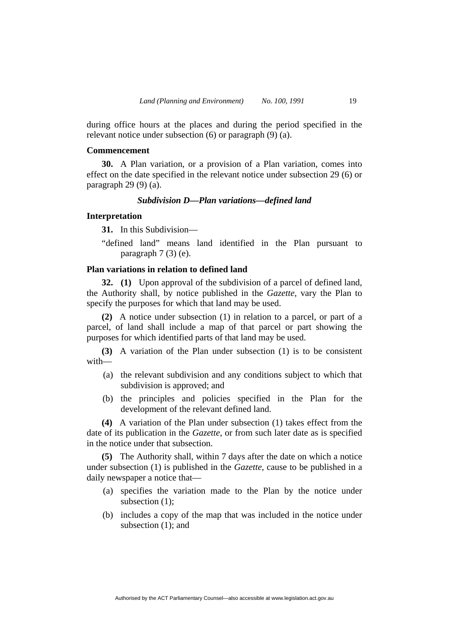during office hours at the places and during the period specified in the relevant notice under subsection (6) or paragraph (9) (a).

#### **Commencement**

**30.** A Plan variation, or a provision of a Plan variation, comes into effect on the date specified in the relevant notice under subsection 29 (6) or paragraph 29 (9) (a).

#### *Subdivision D—Plan variations—defined land*

#### **Interpretation**

**31.** In this Subdivision—

"defined land" means land identified in the Plan pursuant to paragraph 7 (3) (e).

### **Plan variations in relation to defined land**

**32. (1)** Upon approval of the subdivision of a parcel of defined land, the Authority shall, by notice published in the *Gazette*, vary the Plan to specify the purposes for which that land may be used.

**(2)** A notice under subsection (1) in relation to a parcel, or part of a parcel, of land shall include a map of that parcel or part showing the purposes for which identified parts of that land may be used.

**(3)** A variation of the Plan under subsection (1) is to be consistent with—

- (a) the relevant subdivision and any conditions subject to which that subdivision is approved; and
- (b) the principles and policies specified in the Plan for the development of the relevant defined land.

**(4)** A variation of the Plan under subsection (1) takes effect from the date of its publication in the *Gazette*, or from such later date as is specified in the notice under that subsection.

**(5)** The Authority shall, within 7 days after the date on which a notice under subsection (1) is published in the *Gazette*, cause to be published in a daily newspaper a notice that—

- (a) specifies the variation made to the Plan by the notice under subsection (1);
- (b) includes a copy of the map that was included in the notice under subsection (1); and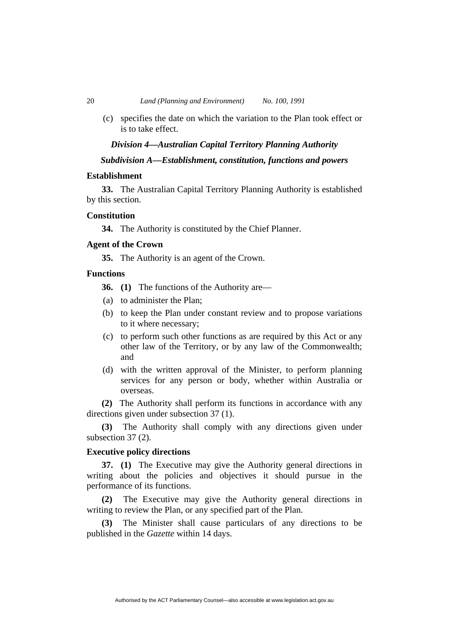(c) specifies the date on which the variation to the Plan took effect or is to take effect.

#### *Division 4—Australian Capital Territory Planning Authority*

# *Subdivision A—Establishment, constitution, functions and powers*

# **Establishment**

**33.** The Australian Capital Territory Planning Authority is established by this section.

#### **Constitution**

**34.** The Authority is constituted by the Chief Planner.

# **Agent of the Crown**

**35.** The Authority is an agent of the Crown.

# **Functions**

**36. (1)** The functions of the Authority are—

- (a) to administer the Plan;
- (b) to keep the Plan under constant review and to propose variations to it where necessary;
- (c) to perform such other functions as are required by this Act or any other law of the Territory, or by any law of the Commonwealth; and
- (d) with the written approval of the Minister, to perform planning services for any person or body, whether within Australia or overseas.

**(2)** The Authority shall perform its functions in accordance with any directions given under subsection 37 (1).

**(3)** The Authority shall comply with any directions given under subsection 37 (2).

# **Executive policy directions**

**37. (1)** The Executive may give the Authority general directions in writing about the policies and objectives it should pursue in the performance of its functions.

**(2)** The Executive may give the Authority general directions in writing to review the Plan, or any specified part of the Plan.

**(3)** The Minister shall cause particulars of any directions to be published in the *Gazette* within 14 days.

Authorised by the ACT Parliamentary Counsel—also accessible at www.legislation.act.gov.au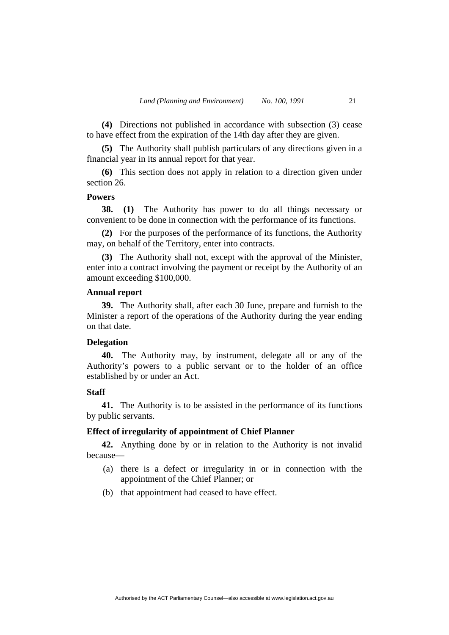**(4)** Directions not published in accordance with subsection (3) cease to have effect from the expiration of the 14th day after they are given.

**(5)** The Authority shall publish particulars of any directions given in a financial year in its annual report for that year.

**(6)** This section does not apply in relation to a direction given under section 26.

#### **Powers**

**38. (1)** The Authority has power to do all things necessary or convenient to be done in connection with the performance of its functions.

**(2)** For the purposes of the performance of its functions, the Authority may, on behalf of the Territory, enter into contracts.

**(3)** The Authority shall not, except with the approval of the Minister, enter into a contract involving the payment or receipt by the Authority of an amount exceeding \$100,000.

# **Annual report**

**39.** The Authority shall, after each 30 June, prepare and furnish to the Minister a report of the operations of the Authority during the year ending on that date.

### **Delegation**

**40.** The Authority may, by instrument, delegate all or any of the Authority's powers to a public servant or to the holder of an office established by or under an Act.

#### **Staff**

**41.** The Authority is to be assisted in the performance of its functions by public servants.

#### **Effect of irregularity of appointment of Chief Planner**

**42.** Anything done by or in relation to the Authority is not invalid because—

- (a) there is a defect or irregularity in or in connection with the appointment of the Chief Planner; or
- (b) that appointment had ceased to have effect.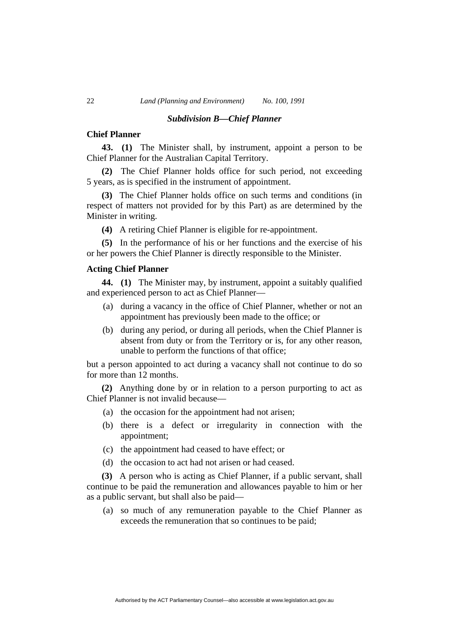#### *Subdivision B—Chief Planner*

### **Chief Planner**

**43. (1)** The Minister shall, by instrument, appoint a person to be Chief Planner for the Australian Capital Territory.

**(2)** The Chief Planner holds office for such period, not exceeding 5 years, as is specified in the instrument of appointment.

**(3)** The Chief Planner holds office on such terms and conditions (in respect of matters not provided for by this Part) as are determined by the Minister in writing.

**(4)** A retiring Chief Planner is eligible for re-appointment.

**(5)** In the performance of his or her functions and the exercise of his or her powers the Chief Planner is directly responsible to the Minister.

# **Acting Chief Planner**

**44. (1)** The Minister may, by instrument, appoint a suitably qualified and experienced person to act as Chief Planner—

- (a) during a vacancy in the office of Chief Planner, whether or not an appointment has previously been made to the office; or
- (b) during any period, or during all periods, when the Chief Planner is absent from duty or from the Territory or is, for any other reason, unable to perform the functions of that office;

but a person appointed to act during a vacancy shall not continue to do so for more than 12 months.

**(2)** Anything done by or in relation to a person purporting to act as Chief Planner is not invalid because—

- (a) the occasion for the appointment had not arisen;
- (b) there is a defect or irregularity in connection with the appointment;
- (c) the appointment had ceased to have effect; or
- (d) the occasion to act had not arisen or had ceased.

**(3)** A person who is acting as Chief Planner, if a public servant, shall continue to be paid the remuneration and allowances payable to him or her as a public servant, but shall also be paid—

 (a) so much of any remuneration payable to the Chief Planner as exceeds the remuneration that so continues to be paid;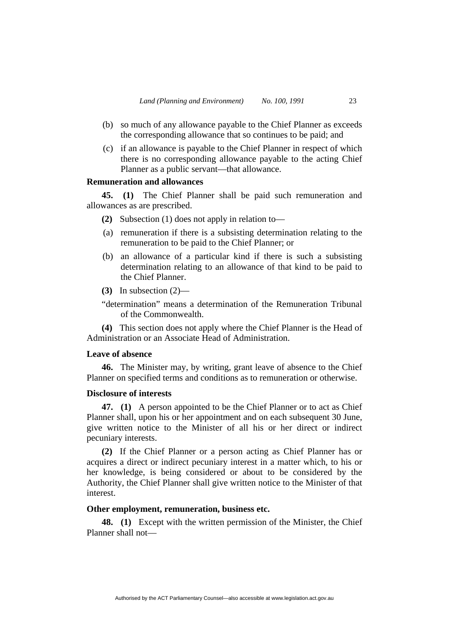- (b) so much of any allowance payable to the Chief Planner as exceeds the corresponding allowance that so continues to be paid; and
- (c) if an allowance is payable to the Chief Planner in respect of which there is no corresponding allowance payable to the acting Chief Planner as a public servant—that allowance.

# **Remuneration and allowances**

**45. (1)** The Chief Planner shall be paid such remuneration and allowances as are prescribed.

- **(2)** Subsection (1) does not apply in relation to—
- (a) remuneration if there is a subsisting determination relating to the remuneration to be paid to the Chief Planner; or
- (b) an allowance of a particular kind if there is such a subsisting determination relating to an allowance of that kind to be paid to the Chief Planner.
- **(3)** In subsection (2)—

"determination" means a determination of the Remuneration Tribunal of the Commonwealth.

**(4)** This section does not apply where the Chief Planner is the Head of Administration or an Associate Head of Administration.

# **Leave of absence**

**46.** The Minister may, by writing, grant leave of absence to the Chief Planner on specified terms and conditions as to remuneration or otherwise.

#### **Disclosure of interests**

**47. (1)** A person appointed to be the Chief Planner or to act as Chief Planner shall, upon his or her appointment and on each subsequent 30 June, give written notice to the Minister of all his or her direct or indirect pecuniary interests.

**(2)** If the Chief Planner or a person acting as Chief Planner has or acquires a direct or indirect pecuniary interest in a matter which, to his or her knowledge, is being considered or about to be considered by the Authority, the Chief Planner shall give written notice to the Minister of that interest.

# **Other employment, remuneration, business etc.**

**48. (1)** Except with the written permission of the Minister, the Chief Planner shall not—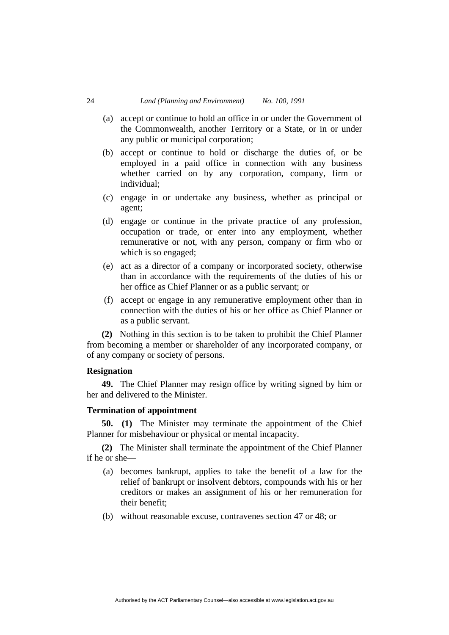- (a) accept or continue to hold an office in or under the Government of the Commonwealth, another Territory or a State, or in or under any public or municipal corporation;
- (b) accept or continue to hold or discharge the duties of, or be employed in a paid office in connection with any business whether carried on by any corporation, company, firm or individual;
- (c) engage in or undertake any business, whether as principal or agent;
- (d) engage or continue in the private practice of any profession, occupation or trade, or enter into any employment, whether remunerative or not, with any person, company or firm who or which is so engaged;
- (e) act as a director of a company or incorporated society, otherwise than in accordance with the requirements of the duties of his or her office as Chief Planner or as a public servant; or
- (f) accept or engage in any remunerative employment other than in connection with the duties of his or her office as Chief Planner or as a public servant.

**(2)** Nothing in this section is to be taken to prohibit the Chief Planner from becoming a member or shareholder of any incorporated company, or of any company or society of persons.

# **Resignation**

**49.** The Chief Planner may resign office by writing signed by him or her and delivered to the Minister.

# **Termination of appointment**

**50. (1)** The Minister may terminate the appointment of the Chief Planner for misbehaviour or physical or mental incapacity.

**(2)** The Minister shall terminate the appointment of the Chief Planner if he or she—

- (a) becomes bankrupt, applies to take the benefit of a law for the relief of bankrupt or insolvent debtors, compounds with his or her creditors or makes an assignment of his or her remuneration for their benefit;
- (b) without reasonable excuse, contravenes section 47 or 48; or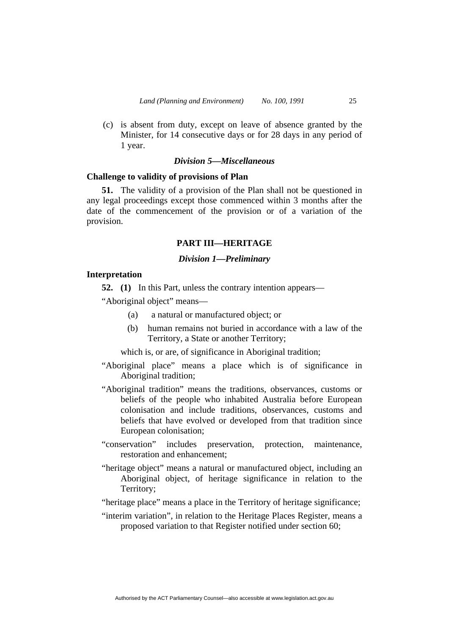(c) is absent from duty, except on leave of absence granted by the Minister, for 14 consecutive days or for 28 days in any period of 1 year.

# *Division 5—Miscellaneous*

# **Challenge to validity of provisions of Plan**

**51.** The validity of a provision of the Plan shall not be questioned in any legal proceedings except those commenced within 3 months after the date of the commencement of the provision or of a variation of the provision.

# **PART III—HERITAGE**

#### *Division 1—Preliminary*

#### **Interpretation**

**52.** (1) In this Part, unless the contrary intention appears—

"Aboriginal object" means—

- (a) a natural or manufactured object; or
- (b) human remains not buried in accordance with a law of the Territory, a State or another Territory;

which is, or are, of significance in Aboriginal tradition;

- "Aboriginal place" means a place which is of significance in Aboriginal tradition;
- "Aboriginal tradition" means the traditions, observances, customs or beliefs of the people who inhabited Australia before European colonisation and include traditions, observances, customs and beliefs that have evolved or developed from that tradition since European colonisation;
- "conservation" includes preservation, protection, maintenance, restoration and enhancement;
- "heritage object" means a natural or manufactured object, including an Aboriginal object, of heritage significance in relation to the Territory;
- "heritage place" means a place in the Territory of heritage significance;
- "interim variation", in relation to the Heritage Places Register, means a proposed variation to that Register notified under section 60;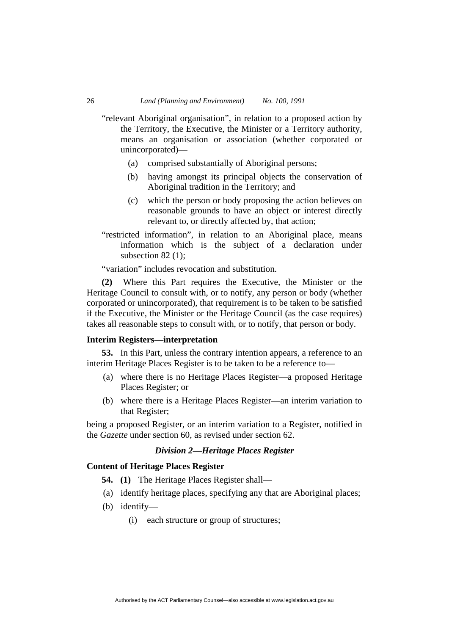"relevant Aboriginal organisation", in relation to a proposed action by the Territory, the Executive, the Minister or a Territory authority, means an organisation or association (whether corporated or unincorporated)—

- (a) comprised substantially of Aboriginal persons;
- (b) having amongst its principal objects the conservation of Aboriginal tradition in the Territory; and
- (c) which the person or body proposing the action believes on reasonable grounds to have an object or interest directly relevant to, or directly affected by, that action;
- "restricted information", in relation to an Aboriginal place, means information which is the subject of a declaration under subsection 82 $(1)$ ;

"variation" includes revocation and substitution.

**(2)** Where this Part requires the Executive, the Minister or the Heritage Council to consult with, or to notify, any person or body (whether corporated or unincorporated), that requirement is to be taken to be satisfied if the Executive, the Minister or the Heritage Council (as the case requires) takes all reasonable steps to consult with, or to notify, that person or body.

# **Interim Registers—interpretation**

**53.** In this Part, unless the contrary intention appears, a reference to an interim Heritage Places Register is to be taken to be a reference to—

- (a) where there is no Heritage Places Register—a proposed Heritage Places Register; or
- (b) where there is a Heritage Places Register—an interim variation to that Register;

being a proposed Register, or an interim variation to a Register, notified in the *Gazette* under section 60, as revised under section 62.

# *Division 2—Heritage Places Register*

# **Content of Heritage Places Register**

- **54. (1)** The Heritage Places Register shall—
- (a) identify heritage places, specifying any that are Aboriginal places;
- (b) identify—
	- (i) each structure or group of structures;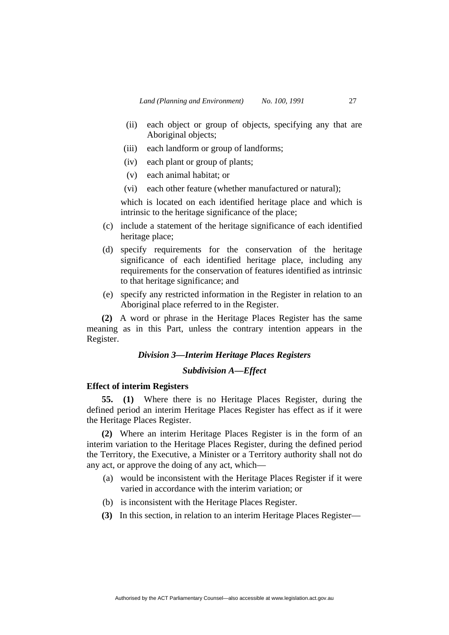- (ii) each object or group of objects, specifying any that are Aboriginal objects;
- (iii) each landform or group of landforms;
- (iv) each plant or group of plants;
- (v) each animal habitat; or
- (vi) each other feature (whether manufactured or natural);

which is located on each identified heritage place and which is intrinsic to the heritage significance of the place;

- (c) include a statement of the heritage significance of each identified heritage place;
- (d) specify requirements for the conservation of the heritage significance of each identified heritage place, including any requirements for the conservation of features identified as intrinsic to that heritage significance; and
- (e) specify any restricted information in the Register in relation to an Aboriginal place referred to in the Register.

**(2)** A word or phrase in the Heritage Places Register has the same meaning as in this Part, unless the contrary intention appears in the Register.

# *Division 3—Interim Heritage Places Registers*

# *Subdivision A—Effect*

# **Effect of interim Registers**

**55. (1)** Where there is no Heritage Places Register, during the defined period an interim Heritage Places Register has effect as if it were the Heritage Places Register.

**(2)** Where an interim Heritage Places Register is in the form of an interim variation to the Heritage Places Register, during the defined period the Territory, the Executive, a Minister or a Territory authority shall not do any act, or approve the doing of any act, which—

- (a) would be inconsistent with the Heritage Places Register if it were varied in accordance with the interim variation; or
- (b) is inconsistent with the Heritage Places Register.
- **(3)** In this section, in relation to an interim Heritage Places Register—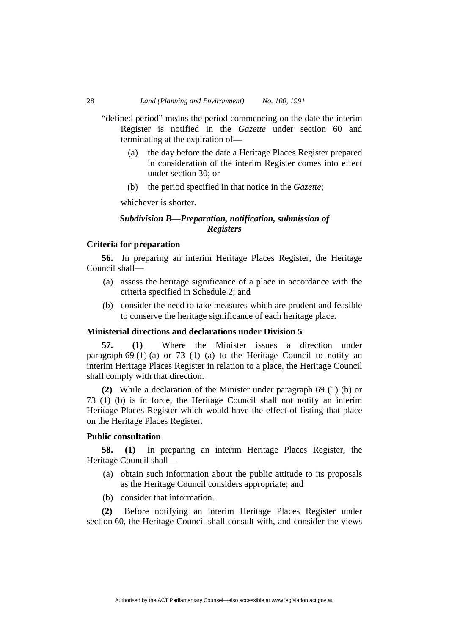"defined period" means the period commencing on the date the interim Register is notified in the *Gazette* under section 60 and terminating at the expiration of—

- (a) the day before the date a Heritage Places Register prepared in consideration of the interim Register comes into effect under section 30; or
- (b) the period specified in that notice in the *Gazette*;

whichever is shorter.

# *Subdivision B—Preparation, notification, submission of Registers*

# **Criteria for preparation**

**56.** In preparing an interim Heritage Places Register, the Heritage Council shall—

- (a) assess the heritage significance of a place in accordance with the criteria specified in Schedule 2; and
- (b) consider the need to take measures which are prudent and feasible to conserve the heritage significance of each heritage place.

# **Ministerial directions and declarations under Division 5**

**57. (1)** Where the Minister issues a direction under paragraph  $69$  (1) (a) or 73 (1) (a) to the Heritage Council to notify an interim Heritage Places Register in relation to a place, the Heritage Council shall comply with that direction.

**(2)** While a declaration of the Minister under paragraph 69 (1) (b) or 73 (1) (b) is in force, the Heritage Council shall not notify an interim Heritage Places Register which would have the effect of listing that place on the Heritage Places Register.

# **Public consultation**

**58. (1)** In preparing an interim Heritage Places Register, the Heritage Council shall—

- (a) obtain such information about the public attitude to its proposals as the Heritage Council considers appropriate; and
- (b) consider that information.

**(2)** Before notifying an interim Heritage Places Register under section 60, the Heritage Council shall consult with, and consider the views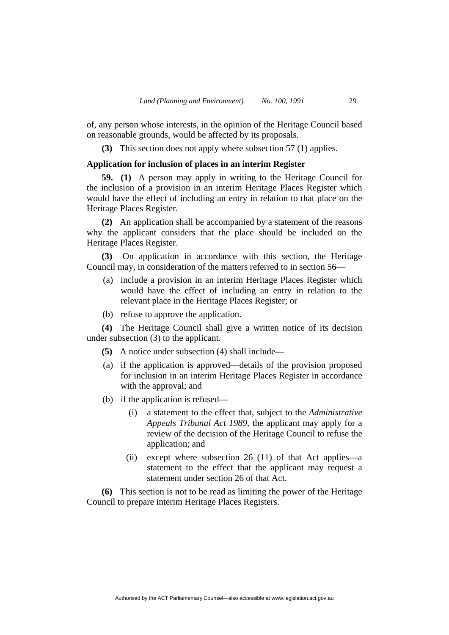of, any person whose interests, in the opinion of the Heritage Council based on reasonable grounds, would be affected by its proposals.

**(3)** This section does not apply where subsection 57 (1) applies.

# **Application for inclusion of places in an interim Register**

**59. (1)** A person may apply in writing to the Heritage Council for the inclusion of a provision in an interim Heritage Places Register which would have the effect of including an entry in relation to that place on the Heritage Places Register.

**(2)** An application shall be accompanied by a statement of the reasons why the applicant considers that the place should be included on the Heritage Places Register.

**(3)** On application in accordance with this section, the Heritage Council may, in consideration of the matters referred to in section 56—

- (a) include a provision in an interim Heritage Places Register which would have the effect of including an entry in relation to the relevant place in the Heritage Places Register; or
- (b) refuse to approve the application.

**(4)** The Heritage Council shall give a written notice of its decision under subsection (3) to the applicant.

- **(5)** A notice under subsection (4) shall include—
- (a) if the application is approved—details of the provision proposed for inclusion in an interim Heritage Places Register in accordance with the approval; and
- (b) if the application is refused—
	- (i) a statement to the effect that, subject to the *Administrative Appeals Tribunal Act 1989*, the applicant may apply for a review of the decision of the Heritage Council to refuse the application; and
	- (ii) except where subsection 26 (11) of that Act applies—a statement to the effect that the applicant may request a statement under section 26 of that Act.

**(6)** This section is not to be read as limiting the power of the Heritage Council to prepare interim Heritage Places Registers.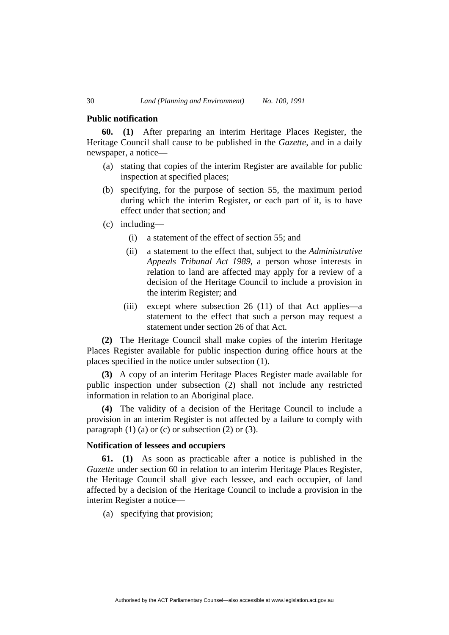#### **Public notification**

**60. (1)** After preparing an interim Heritage Places Register, the Heritage Council shall cause to be published in the *Gazette*, and in a daily newspaper, a notice—

- (a) stating that copies of the interim Register are available for public inspection at specified places;
- (b) specifying, for the purpose of section 55, the maximum period during which the interim Register, or each part of it, is to have effect under that section; and
- (c) including—
	- (i) a statement of the effect of section 55; and
	- (ii) a statement to the effect that, subject to the *Administrative Appeals Tribunal Act 1989*, a person whose interests in relation to land are affected may apply for a review of a decision of the Heritage Council to include a provision in the interim Register; and
	- (iii) except where subsection 26 (11) of that Act applies—a statement to the effect that such a person may request a statement under section 26 of that Act.

**(2)** The Heritage Council shall make copies of the interim Heritage Places Register available for public inspection during office hours at the places specified in the notice under subsection (1).

**(3)** A copy of an interim Heritage Places Register made available for public inspection under subsection (2) shall not include any restricted information in relation to an Aboriginal place.

**(4)** The validity of a decision of the Heritage Council to include a provision in an interim Register is not affected by a failure to comply with paragraph  $(1)$  (a) or (c) or subsection  $(2)$  or  $(3)$ .

# **Notification of lessees and occupiers**

**61. (1)** As soon as practicable after a notice is published in the *Gazette* under section 60 in relation to an interim Heritage Places Register, the Heritage Council shall give each lessee, and each occupier, of land affected by a decision of the Heritage Council to include a provision in the interim Register a notice—

(a) specifying that provision;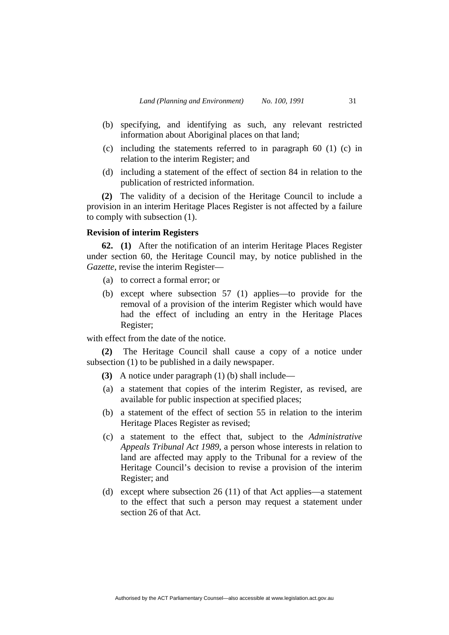- (b) specifying, and identifying as such, any relevant restricted information about Aboriginal places on that land;
- (c) including the statements referred to in paragraph 60 (1) (c) in relation to the interim Register; and
- (d) including a statement of the effect of section 84 in relation to the publication of restricted information.

**(2)** The validity of a decision of the Heritage Council to include a provision in an interim Heritage Places Register is not affected by a failure to comply with subsection (1).

#### **Revision of interim Registers**

**62. (1)** After the notification of an interim Heritage Places Register under section 60, the Heritage Council may, by notice published in the *Gazette*, revise the interim Register—

- (a) to correct a formal error; or
- (b) except where subsection 57 (1) applies—to provide for the removal of a provision of the interim Register which would have had the effect of including an entry in the Heritage Places Register;

with effect from the date of the notice.

**(2)** The Heritage Council shall cause a copy of a notice under subsection (1) to be published in a daily newspaper.

- **(3)** A notice under paragraph (1) (b) shall include—
- (a) a statement that copies of the interim Register, as revised, are available for public inspection at specified places;
- (b) a statement of the effect of section 55 in relation to the interim Heritage Places Register as revised;
- (c) a statement to the effect that, subject to the *Administrative Appeals Tribunal Act 1989*, a person whose interests in relation to land are affected may apply to the Tribunal for a review of the Heritage Council's decision to revise a provision of the interim Register; and
- (d) except where subsection 26 (11) of that Act applies—a statement to the effect that such a person may request a statement under section 26 of that Act.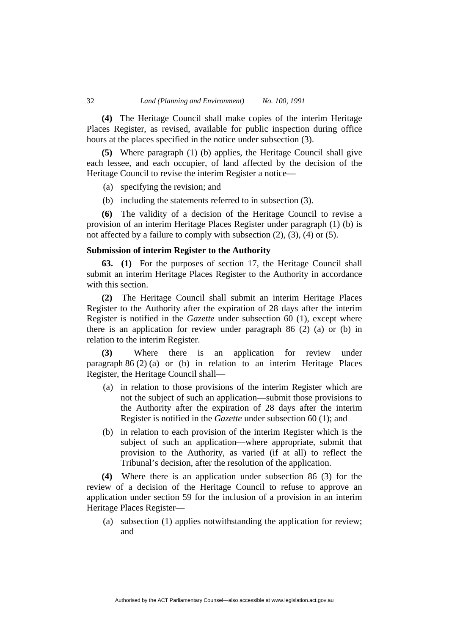**(4)** The Heritage Council shall make copies of the interim Heritage Places Register, as revised, available for public inspection during office hours at the places specified in the notice under subsection (3).

**(5)** Where paragraph (1) (b) applies, the Heritage Council shall give each lessee, and each occupier, of land affected by the decision of the Heritage Council to revise the interim Register a notice—

(a) specifying the revision; and

(b) including the statements referred to in subsection (3).

**(6)** The validity of a decision of the Heritage Council to revise a provision of an interim Heritage Places Register under paragraph (1) (b) is not affected by a failure to comply with subsection (2), (3), (4) or (5).

# **Submission of interim Register to the Authority**

**63. (1)** For the purposes of section 17, the Heritage Council shall submit an interim Heritage Places Register to the Authority in accordance with this section.

**(2)** The Heritage Council shall submit an interim Heritage Places Register to the Authority after the expiration of 28 days after the interim Register is notified in the *Gazette* under subsection 60 (1), except where there is an application for review under paragraph 86 (2) (a) or (b) in relation to the interim Register.

**(3)** Where there is an application for review under paragraph 86 (2) (a) or (b) in relation to an interim Heritage Places Register, the Heritage Council shall—

- (a) in relation to those provisions of the interim Register which are not the subject of such an application—submit those provisions to the Authority after the expiration of 28 days after the interim Register is notified in the *Gazette* under subsection 60 (1); and
- (b) in relation to each provision of the interim Register which is the subject of such an application—where appropriate, submit that provision to the Authority, as varied (if at all) to reflect the Tribunal's decision, after the resolution of the application.

**(4)** Where there is an application under subsection 86 (3) for the review of a decision of the Heritage Council to refuse to approve an application under section 59 for the inclusion of a provision in an interim Heritage Places Register—

Authorised by the ACT Parliamentary Counsel—also accessible at www.legislation.act.gov.au

 (a) subsection (1) applies notwithstanding the application for review; and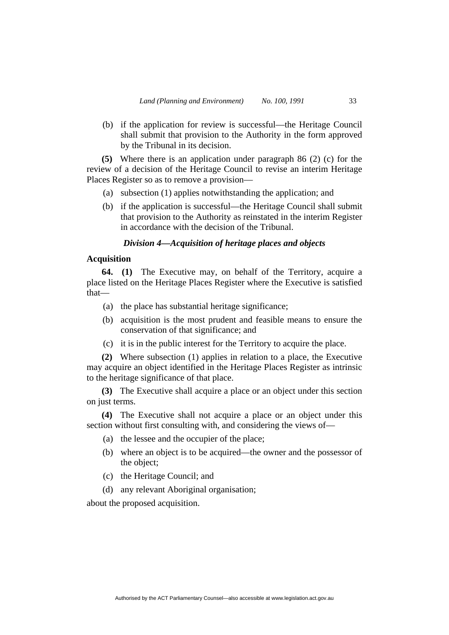(b) if the application for review is successful—the Heritage Council shall submit that provision to the Authority in the form approved by the Tribunal in its decision.

**(5)** Where there is an application under paragraph 86 (2) (c) for the review of a decision of the Heritage Council to revise an interim Heritage Places Register so as to remove a provision—

- (a) subsection (1) applies notwithstanding the application; and
- (b) if the application is successful—the Heritage Council shall submit that provision to the Authority as reinstated in the interim Register in accordance with the decision of the Tribunal.

# *Division 4—Acquisition of heritage places and objects*

#### **Acquisition**

**64. (1)** The Executive may, on behalf of the Territory, acquire a place listed on the Heritage Places Register where the Executive is satisfied that—

- (a) the place has substantial heritage significance;
- (b) acquisition is the most prudent and feasible means to ensure the conservation of that significance; and
- (c) it is in the public interest for the Territory to acquire the place.

**(2)** Where subsection (1) applies in relation to a place, the Executive may acquire an object identified in the Heritage Places Register as intrinsic to the heritage significance of that place.

**(3)** The Executive shall acquire a place or an object under this section on just terms.

**(4)** The Executive shall not acquire a place or an object under this section without first consulting with, and considering the views of—

- (a) the lessee and the occupier of the place;
- (b) where an object is to be acquired—the owner and the possessor of the object;
- (c) the Heritage Council; and
- (d) any relevant Aboriginal organisation;

about the proposed acquisition.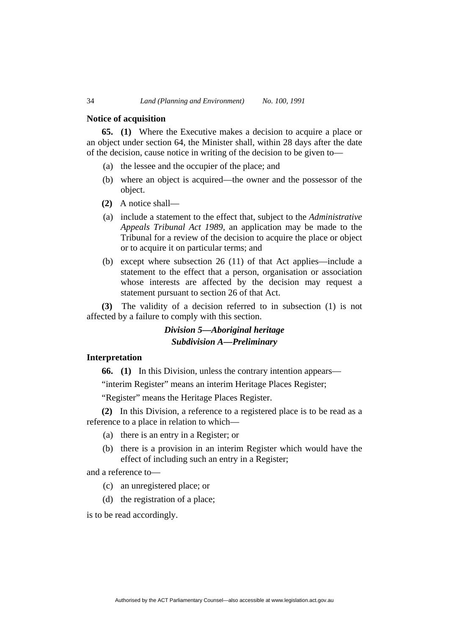#### **Notice of acquisition**

**65. (1)** Where the Executive makes a decision to acquire a place or an object under section 64, the Minister shall, within 28 days after the date of the decision, cause notice in writing of the decision to be given to—

- (a) the lessee and the occupier of the place; and
- (b) where an object is acquired—the owner and the possessor of the object.
- **(2)** A notice shall—
- (a) include a statement to the effect that, subject to the *Administrative Appeals Tribunal Act 1989*, an application may be made to the Tribunal for a review of the decision to acquire the place or object or to acquire it on particular terms; and
- (b) except where subsection 26 (11) of that Act applies—include a statement to the effect that a person, organisation or association whose interests are affected by the decision may request a statement pursuant to section 26 of that Act.

**(3)** The validity of a decision referred to in subsection (1) is not affected by a failure to comply with this section.

# *Division 5—Aboriginal heritage Subdivision A—Preliminary*

### **Interpretation**

**66. (1)** In this Division, unless the contrary intention appears—

"interim Register" means an interim Heritage Places Register;

"Register" means the Heritage Places Register.

**(2)** In this Division, a reference to a registered place is to be read as a reference to a place in relation to which—

- (a) there is an entry in a Register; or
- (b) there is a provision in an interim Register which would have the effect of including such an entry in a Register;

and a reference to—

- (c) an unregistered place; or
- (d) the registration of a place;

is to be read accordingly.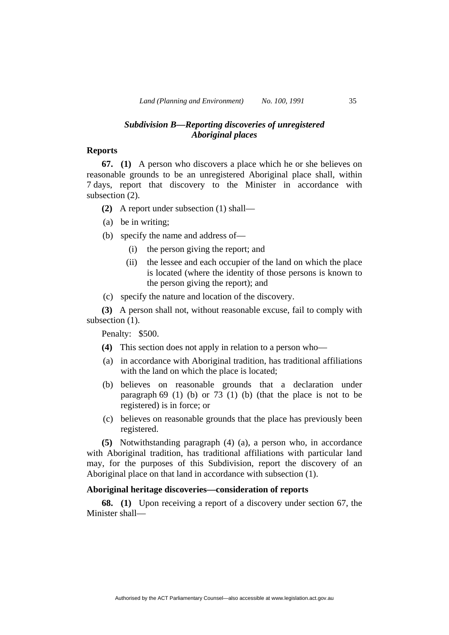# *Subdivision B—Reporting discoveries of unregistered Aboriginal places*

#### **Reports**

**67. (1)** A person who discovers a place which he or she believes on reasonable grounds to be an unregistered Aboriginal place shall, within 7 days, report that discovery to the Minister in accordance with subsection (2).

- **(2)** A report under subsection (1) shall—
- (a) be in writing;
- (b) specify the name and address of—
	- (i) the person giving the report; and
	- (ii) the lessee and each occupier of the land on which the place is located (where the identity of those persons is known to the person giving the report); and
- (c) specify the nature and location of the discovery.

**(3)** A person shall not, without reasonable excuse, fail to comply with subsection  $(1)$ .

Penalty: \$500.

- **(4)** This section does not apply in relation to a person who—
- (a) in accordance with Aboriginal tradition, has traditional affiliations with the land on which the place is located;
- (b) believes on reasonable grounds that a declaration under paragraph 69 (1) (b) or 73 (1) (b) (that the place is not to be registered) is in force; or
- (c) believes on reasonable grounds that the place has previously been registered.

**(5)** Notwithstanding paragraph (4) (a), a person who, in accordance with Aboriginal tradition, has traditional affiliations with particular land may, for the purposes of this Subdivision, report the discovery of an Aboriginal place on that land in accordance with subsection (1).

# **Aboriginal heritage discoveries—consideration of reports**

**68. (1)** Upon receiving a report of a discovery under section 67, the Minister shall—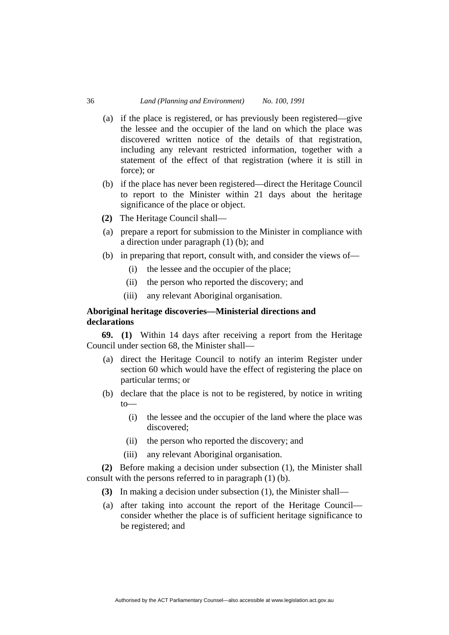- (a) if the place is registered, or has previously been registered—give the lessee and the occupier of the land on which the place was discovered written notice of the details of that registration, including any relevant restricted information, together with a statement of the effect of that registration (where it is still in force); or
- (b) if the place has never been registered—direct the Heritage Council to report to the Minister within 21 days about the heritage significance of the place or object.
- **(2)** The Heritage Council shall—
- (a) prepare a report for submission to the Minister in compliance with a direction under paragraph (1) (b); and
- (b) in preparing that report, consult with, and consider the views of—
	- (i) the lessee and the occupier of the place;
	- (ii) the person who reported the discovery; and
	- (iii) any relevant Aboriginal organisation.

# **Aboriginal heritage discoveries—Ministerial directions and declarations**

**69. (1)** Within 14 days after receiving a report from the Heritage Council under section 68, the Minister shall—

- (a) direct the Heritage Council to notify an interim Register under section 60 which would have the effect of registering the place on particular terms; or
- (b) declare that the place is not to be registered, by notice in writing to—
	- (i) the lessee and the occupier of the land where the place was discovered;
	- (ii) the person who reported the discovery; and
	- (iii) any relevant Aboriginal organisation.

**(2)** Before making a decision under subsection (1), the Minister shall consult with the persons referred to in paragraph (1) (b).

- **(3)** In making a decision under subsection (1), the Minister shall—
- (a) after taking into account the report of the Heritage Council consider whether the place is of sufficient heritage significance to be registered; and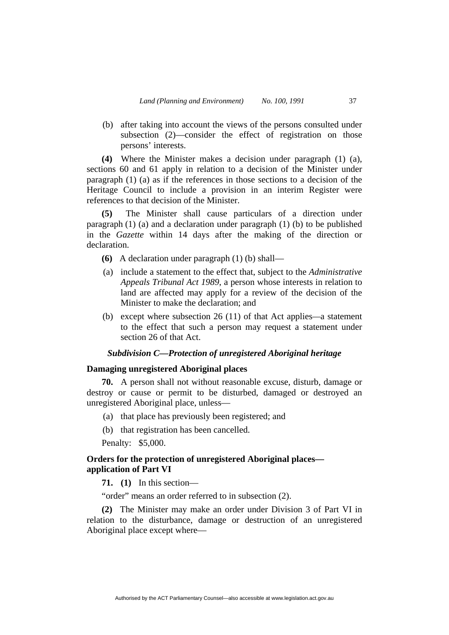(b) after taking into account the views of the persons consulted under subsection (2)—consider the effect of registration on those persons' interests.

**(4)** Where the Minister makes a decision under paragraph (1) (a), sections 60 and 61 apply in relation to a decision of the Minister under paragraph (1) (a) as if the references in those sections to a decision of the Heritage Council to include a provision in an interim Register were references to that decision of the Minister.

**(5)** The Minister shall cause particulars of a direction under paragraph (1) (a) and a declaration under paragraph (1) (b) to be published in the *Gazette* within 14 days after the making of the direction or declaration.

- **(6)** A declaration under paragraph (1) (b) shall—
- (a) include a statement to the effect that, subject to the *Administrative Appeals Tribunal Act 1989*, a person whose interests in relation to land are affected may apply for a review of the decision of the Minister to make the declaration; and
- (b) except where subsection 26 (11) of that Act applies*—*a statement to the effect that such a person may request a statement under section 26 of that Act.

# *Subdivision C—Protection of unregistered Aboriginal heritage*

# **Damaging unregistered Aboriginal places**

**70.** A person shall not without reasonable excuse, disturb, damage or destroy or cause or permit to be disturbed, damaged or destroyed an unregistered Aboriginal place, unless—

- (a) that place has previously been registered; and
- (b) that registration has been cancelled.

Penalty: \$5,000.

# **Orders for the protection of unregistered Aboriginal places application of Part VI**

**71. (1)** In this section—

"order" means an order referred to in subsection (2).

**(2)** The Minister may make an order under Division 3 of Part VI in relation to the disturbance, damage or destruction of an unregistered Aboriginal place except where—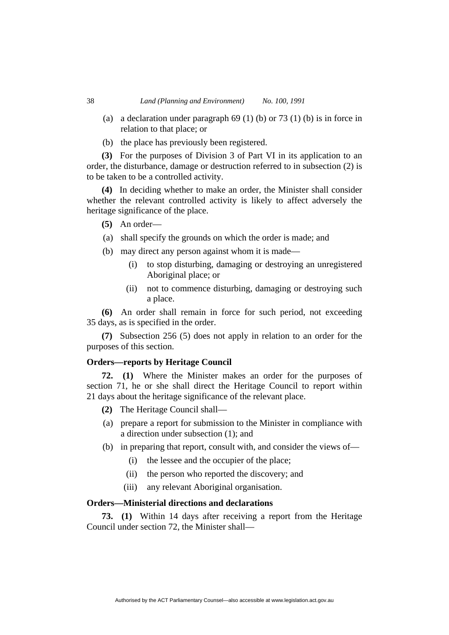- (a) a declaration under paragraph 69 (1) (b) or 73 (1) (b) is in force in relation to that place; or
- (b) the place has previously been registered.

**(3)** For the purposes of Division 3 of Part VI in its application to an order, the disturbance, damage or destruction referred to in subsection (2) is to be taken to be a controlled activity.

**(4)** In deciding whether to make an order, the Minister shall consider whether the relevant controlled activity is likely to affect adversely the heritage significance of the place.

- **(5)** An order—
- (a) shall specify the grounds on which the order is made; and
- (b) may direct any person against whom it is made—
	- (i) to stop disturbing, damaging or destroying an unregistered Aboriginal place; or
	- (ii) not to commence disturbing, damaging or destroying such a place.

**(6)** An order shall remain in force for such period, not exceeding 35 days, as is specified in the order.

**(7)** Subsection 256 (5) does not apply in relation to an order for the purposes of this section.

# **Orders—reports by Heritage Council**

**72. (1)** Where the Minister makes an order for the purposes of section 71, he or she shall direct the Heritage Council to report within 21 days about the heritage significance of the relevant place.

- **(2)** The Heritage Council shall—
- (a) prepare a report for submission to the Minister in compliance with a direction under subsection (1); and
- (b) in preparing that report, consult with, and consider the views of—
	- (i) the lessee and the occupier of the place;
	- (ii) the person who reported the discovery; and
	- (iii) any relevant Aboriginal organisation.

# **Orders—Ministerial directions and declarations**

**73. (1)** Within 14 days after receiving a report from the Heritage Council under section 72, the Minister shall—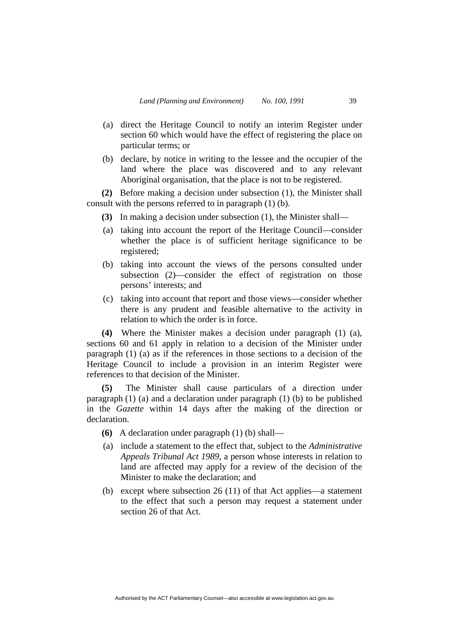- (a) direct the Heritage Council to notify an interim Register under section 60 which would have the effect of registering the place on particular terms; or
- (b) declare, by notice in writing to the lessee and the occupier of the land where the place was discovered and to any relevant Aboriginal organisation, that the place is not to be registered.

**(2)** Before making a decision under subsection (1), the Minister shall consult with the persons referred to in paragraph (1) (b).

- **(3)** In making a decision under subsection (1), the Minister shall—
- (a) taking into account the report of the Heritage Council—consider whether the place is of sufficient heritage significance to be registered;
- (b) taking into account the views of the persons consulted under subsection (2)—consider the effect of registration on those persons' interests; and
- (c) taking into account that report and those views—consider whether there is any prudent and feasible alternative to the activity in relation to which the order is in force.

**(4)** Where the Minister makes a decision under paragraph (1) (a), sections 60 and 61 apply in relation to a decision of the Minister under paragraph (1) (a) as if the references in those sections to a decision of the Heritage Council to include a provision in an interim Register were references to that decision of the Minister.

**(5)** The Minister shall cause particulars of a direction under paragraph (1) (a) and a declaration under paragraph (1) (b) to be published in the *Gazette* within 14 days after the making of the direction or declaration.

- **(6)** A declaration under paragraph (1) (b) shall—
- (a) include a statement to the effect that, subject to the *Administrative Appeals Tribunal Act 1989*, a person whose interests in relation to land are affected may apply for a review of the decision of the Minister to make the declaration; and
- (b) except where subsection 26 (11) of that Act applies—a statement to the effect that such a person may request a statement under section 26 of that Act.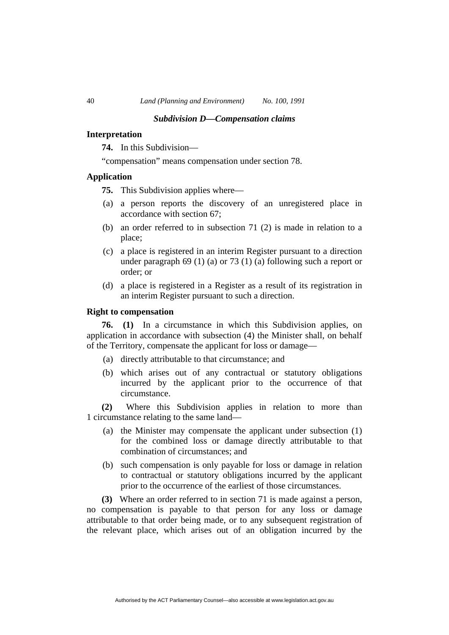#### *Subdivision D—Compensation claims*

# **Interpretation**

**74.** In this Subdivision—

"compensation" means compensation under section 78.

# **Application**

**75.** This Subdivision applies where—

- (a) a person reports the discovery of an unregistered place in accordance with section 67;
- (b) an order referred to in subsection 71 (2) is made in relation to a place;
- (c) a place is registered in an interim Register pursuant to a direction under paragraph 69 (1) (a) or 73 (1) (a) following such a report or order; or
- (d) a place is registered in a Register as a result of its registration in an interim Register pursuant to such a direction.

# **Right to compensation**

**76. (1)** In a circumstance in which this Subdivision applies, on application in accordance with subsection (4) the Minister shall, on behalf of the Territory, compensate the applicant for loss or damage—

- (a) directly attributable to that circumstance; and
- (b) which arises out of any contractual or statutory obligations incurred by the applicant prior to the occurrence of that circumstance.

**(2)** Where this Subdivision applies in relation to more than 1 circumstance relating to the same land—

- (a) the Minister may compensate the applicant under subsection (1) for the combined loss or damage directly attributable to that combination of circumstances; and
- (b) such compensation is only payable for loss or damage in relation to contractual or statutory obligations incurred by the applicant prior to the occurrence of the earliest of those circumstances.

**(3)** Where an order referred to in section 71 is made against a person, no compensation is payable to that person for any loss or damage attributable to that order being made, or to any subsequent registration of the relevant place, which arises out of an obligation incurred by the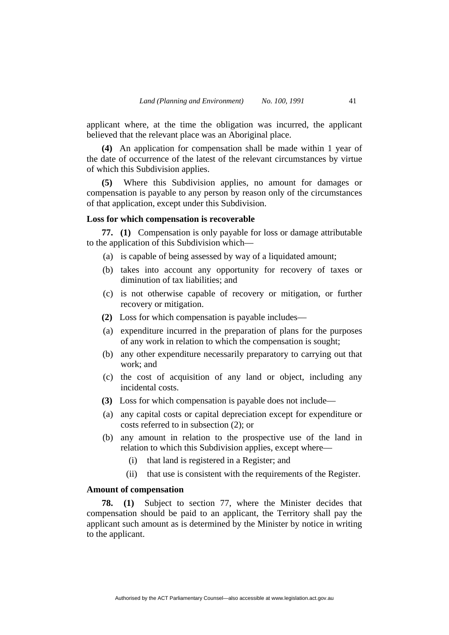applicant where, at the time the obligation was incurred, the applicant believed that the relevant place was an Aboriginal place.

**(4)** An application for compensation shall be made within 1 year of the date of occurrence of the latest of the relevant circumstances by virtue of which this Subdivision applies.

**(5)** Where this Subdivision applies, no amount for damages or compensation is payable to any person by reason only of the circumstances of that application, except under this Subdivision.

# **Loss for which compensation is recoverable**

**77. (1)** Compensation is only payable for loss or damage attributable to the application of this Subdivision which—

- (a) is capable of being assessed by way of a liquidated amount;
- (b) takes into account any opportunity for recovery of taxes or diminution of tax liabilities; and
- (c) is not otherwise capable of recovery or mitigation, or further recovery or mitigation.
- **(2)** Loss for which compensation is payable includes—
- (a) expenditure incurred in the preparation of plans for the purposes of any work in relation to which the compensation is sought;
- (b) any other expenditure necessarily preparatory to carrying out that work; and
- (c) the cost of acquisition of any land or object, including any incidental costs.
- **(3)** Loss for which compensation is payable does not include—
- (a) any capital costs or capital depreciation except for expenditure or costs referred to in subsection (2); or
- (b) any amount in relation to the prospective use of the land in relation to which this Subdivision applies, except where—
	- (i) that land is registered in a Register; and
	- (ii) that use is consistent with the requirements of the Register.

# **Amount of compensation**

**78. (1)** Subject to section 77, where the Minister decides that compensation should be paid to an applicant, the Territory shall pay the applicant such amount as is determined by the Minister by notice in writing to the applicant.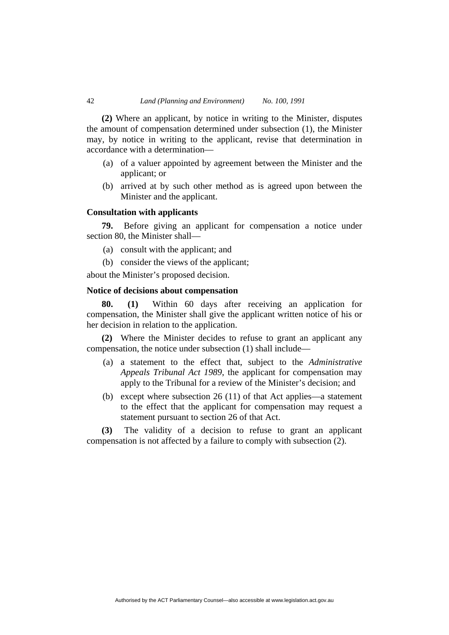**(2)** Where an applicant, by notice in writing to the Minister, disputes the amount of compensation determined under subsection (1), the Minister may, by notice in writing to the applicant, revise that determination in accordance with a determination—

- (a) of a valuer appointed by agreement between the Minister and the applicant; or
- (b) arrived at by such other method as is agreed upon between the Minister and the applicant.

# **Consultation with applicants**

**79.** Before giving an applicant for compensation a notice under section 80, the Minister shall—

- (a) consult with the applicant; and
- (b) consider the views of the applicant;

about the Minister's proposed decision.

#### **Notice of decisions about compensation**

**80. (1)** Within 60 days after receiving an application for compensation, the Minister shall give the applicant written notice of his or her decision in relation to the application.

**(2)** Where the Minister decides to refuse to grant an applicant any compensation, the notice under subsection (1) shall include—

- (a) a statement to the effect that, subject to the *Administrative Appeals Tribunal Act 1989*, the applicant for compensation may apply to the Tribunal for a review of the Minister's decision; and
- (b) except where subsection 26 (11) of that Act applies—a statement to the effect that the applicant for compensation may request a statement pursuant to section 26 of that Act.

**(3)** The validity of a decision to refuse to grant an applicant compensation is not affected by a failure to comply with subsection (2).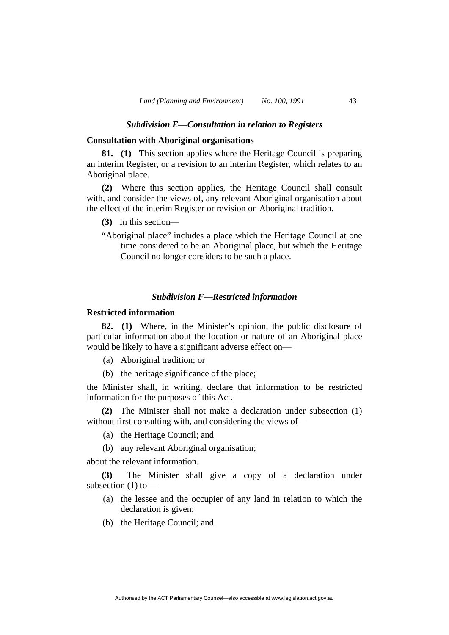# *Subdivision E—Consultation in relation to Registers*

# **Consultation with Aboriginal organisations**

**81. (1)** This section applies where the Heritage Council is preparing an interim Register, or a revision to an interim Register, which relates to an Aboriginal place.

**(2)** Where this section applies, the Heritage Council shall consult with, and consider the views of, any relevant Aboriginal organisation about the effect of the interim Register or revision on Aboriginal tradition.

- **(3)** In this section—
- "Aboriginal place" includes a place which the Heritage Council at one time considered to be an Aboriginal place, but which the Heritage Council no longer considers to be such a place.

### *Subdivision F—Restricted information*

# **Restricted information**

**82. (1)** Where, in the Minister's opinion, the public disclosure of particular information about the location or nature of an Aboriginal place would be likely to have a significant adverse effect on—

- (a) Aboriginal tradition; or
- (b) the heritage significance of the place;

the Minister shall, in writing, declare that information to be restricted information for the purposes of this Act.

**(2)** The Minister shall not make a declaration under subsection (1) without first consulting with, and considering the views of—

- (a) the Heritage Council; and
- (b) any relevant Aboriginal organisation;

about the relevant information.

**(3)** The Minister shall give a copy of a declaration under subsection (1) to—

- (a) the lessee and the occupier of any land in relation to which the declaration is given;
- (b) the Heritage Council; and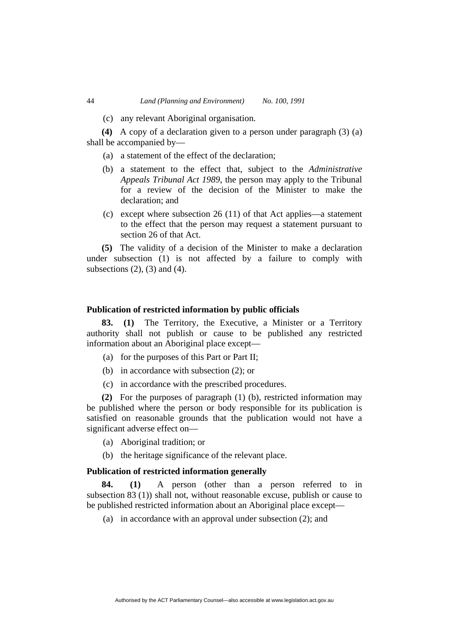(c) any relevant Aboriginal organisation.

**(4)** A copy of a declaration given to a person under paragraph (3) (a) shall be accompanied by—

- (a) a statement of the effect of the declaration;
- (b) a statement to the effect that, subject to the *Administrative Appeals Tribunal Act 1989*, the person may apply to the Tribunal for a review of the decision of the Minister to make the declaration; and
- (c) except where subsection 26 (11) of that Act applies—a statement to the effect that the person may request a statement pursuant to section 26 of that Act.

**(5)** The validity of a decision of the Minister to make a declaration under subsection (1) is not affected by a failure to comply with subsections  $(2)$ ,  $(3)$  and  $(4)$ .

# **Publication of restricted information by public officials**

**83. (1)** The Territory, the Executive, a Minister or a Territory authority shall not publish or cause to be published any restricted information about an Aboriginal place except—

- (a) for the purposes of this Part or Part II;
- (b) in accordance with subsection (2); or
- (c) in accordance with the prescribed procedures.

**(2)** For the purposes of paragraph (1) (b), restricted information may be published where the person or body responsible for its publication is satisfied on reasonable grounds that the publication would not have a significant adverse effect on—

- (a) Aboriginal tradition; or
- (b) the heritage significance of the relevant place.

# **Publication of restricted information generally**

**84. (1)** A person (other than a person referred to in subsection 83 (1)) shall not, without reasonable excuse, publish or cause to be published restricted information about an Aboriginal place except—

(a) in accordance with an approval under subsection (2); and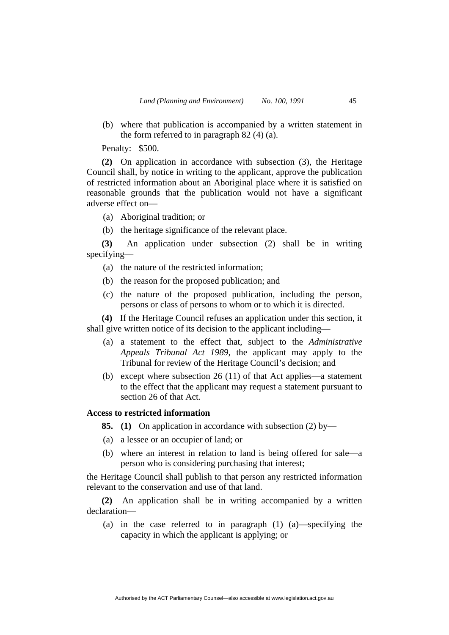(b) where that publication is accompanied by a written statement in the form referred to in paragraph 82 (4) (a).

Penalty: \$500.

**(2)** On application in accordance with subsection (3), the Heritage Council shall, by notice in writing to the applicant, approve the publication of restricted information about an Aboriginal place where it is satisfied on reasonable grounds that the publication would not have a significant adverse effect on—

(a) Aboriginal tradition; or

(b) the heritage significance of the relevant place.

**(3)** An application under subsection (2) shall be in writing specifying—

- (a) the nature of the restricted information;
- (b) the reason for the proposed publication; and
- (c) the nature of the proposed publication, including the person, persons or class of persons to whom or to which it is directed.

**(4)** If the Heritage Council refuses an application under this section, it shall give written notice of its decision to the applicant including—

- (a) a statement to the effect that, subject to the *Administrative Appeals Tribunal Act 1989*, the applicant may apply to the Tribunal for review of the Heritage Council's decision; and
- (b) except where subsection 26 (11) of that Act applies—a statement to the effect that the applicant may request a statement pursuant to section 26 of that Act.

# **Access to restricted information**

**85. (1)** On application in accordance with subsection (2) by—

- (a) a lessee or an occupier of land; or
- (b) where an interest in relation to land is being offered for sale—a person who is considering purchasing that interest;

the Heritage Council shall publish to that person any restricted information relevant to the conservation and use of that land.

**(2)** An application shall be in writing accompanied by a written declaration—

 (a) in the case referred to in paragraph (1) (a)—specifying the capacity in which the applicant is applying; or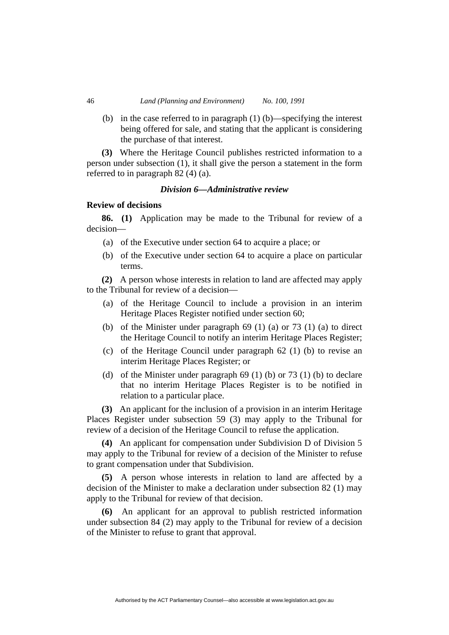(b) in the case referred to in paragraph (1) (b)—specifying the interest being offered for sale, and stating that the applicant is considering the purchase of that interest.

**(3)** Where the Heritage Council publishes restricted information to a person under subsection (1), it shall give the person a statement in the form referred to in paragraph 82 (4) (a).

# *Division 6—Administrative review*

# **Review of decisions**

**86. (1)** Application may be made to the Tribunal for review of a decision—

- (a) of the Executive under section 64 to acquire a place; or
- (b) of the Executive under section 64 to acquire a place on particular terms.

**(2)** A person whose interests in relation to land are affected may apply to the Tribunal for review of a decision—

- (a) of the Heritage Council to include a provision in an interim Heritage Places Register notified under section 60;
- (b) of the Minister under paragraph  $69$  (1) (a) or  $73$  (1) (a) to direct the Heritage Council to notify an interim Heritage Places Register;
- (c) of the Heritage Council under paragraph 62 (1) (b) to revise an interim Heritage Places Register; or
- (d) of the Minister under paragraph  $69$  (1) (b) or  $73$  (1) (b) to declare that no interim Heritage Places Register is to be notified in relation to a particular place.

**(3)** An applicant for the inclusion of a provision in an interim Heritage Places Register under subsection 59 (3) may apply to the Tribunal for review of a decision of the Heritage Council to refuse the application.

**(4)** An applicant for compensation under Subdivision D of Division 5 may apply to the Tribunal for review of a decision of the Minister to refuse to grant compensation under that Subdivision.

**(5)** A person whose interests in relation to land are affected by a decision of the Minister to make a declaration under subsection 82 (1) may apply to the Tribunal for review of that decision.

**(6)** An applicant for an approval to publish restricted information under subsection 84 (2) may apply to the Tribunal for review of a decision of the Minister to refuse to grant that approval.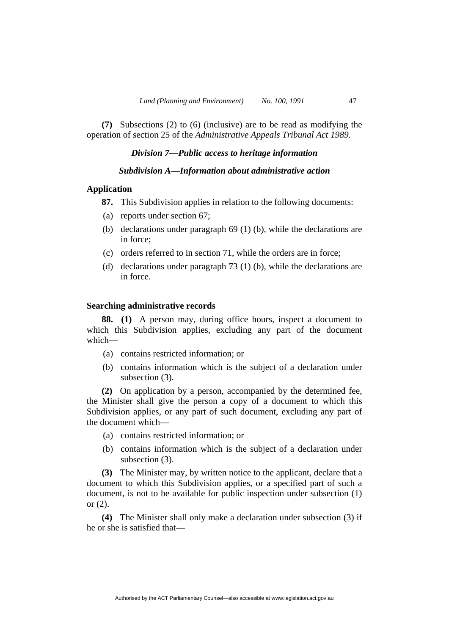**(7)** Subsections (2) to (6) (inclusive) are to be read as modifying the operation of section 25 of the *Administrative Appeals Tribunal Act 1989.* 

# *Division 7—Public access to heritage information*

# *Subdivision A—Information about administrative action*

# **Application**

- **87.** This Subdivision applies in relation to the following documents:
- (a) reports under section 67;
- (b) declarations under paragraph 69 (1) (b), while the declarations are in force;
- (c) orders referred to in section 71, while the orders are in force;
- (d) declarations under paragraph 73 (1) (b), while the declarations are in force.

# **Searching administrative records**

**88. (1)** A person may, during office hours, inspect a document to which this Subdivision applies, excluding any part of the document which—

- (a) contains restricted information; or
- (b) contains information which is the subject of a declaration under subsection  $(3)$ .

**(2)** On application by a person, accompanied by the determined fee, the Minister shall give the person a copy of a document to which this Subdivision applies, or any part of such document, excluding any part of the document which—

- (a) contains restricted information; or
- (b) contains information which is the subject of a declaration under subsection (3).

**(3)** The Minister may, by written notice to the applicant, declare that a document to which this Subdivision applies, or a specified part of such a document, is not to be available for public inspection under subsection (1) or  $(2)$ .

**(4)** The Minister shall only make a declaration under subsection (3) if he or she is satisfied that—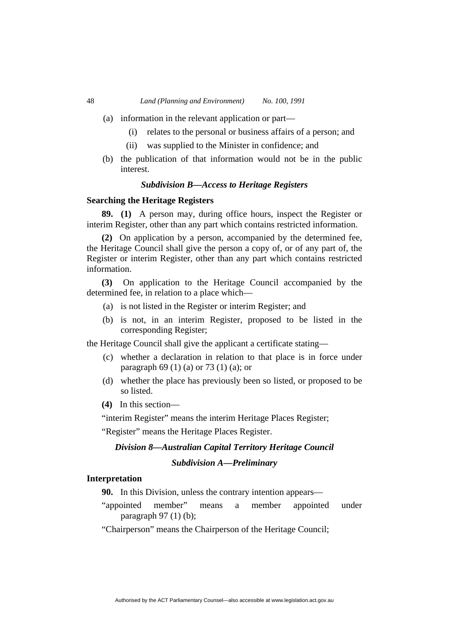- (a) information in the relevant application or part—
	- (i) relates to the personal or business affairs of a person; and
	- (ii) was supplied to the Minister in confidence; and
- (b) the publication of that information would not be in the public interest.

# *Subdivision B—Access to Heritage Registers*

#### **Searching the Heritage Registers**

**89. (1)** A person may, during office hours, inspect the Register or interim Register, other than any part which contains restricted information.

**(2)** On application by a person, accompanied by the determined fee, the Heritage Council shall give the person a copy of, or of any part of, the Register or interim Register, other than any part which contains restricted information.

**(3)** On application to the Heritage Council accompanied by the determined fee, in relation to a place which—

- (a) is not listed in the Register or interim Register; and
- (b) is not, in an interim Register, proposed to be listed in the corresponding Register;

the Heritage Council shall give the applicant a certificate stating—

- (c) whether a declaration in relation to that place is in force under paragraph 69 (1) (a) or 73 (1) (a); or
- (d) whether the place has previously been so listed, or proposed to be so listed.
- **(4)** In this section—

"interim Register" means the interim Heritage Places Register;

"Register" means the Heritage Places Register.

# *Division 8—Australian Capital Territory Heritage Council*

#### *Subdivision A—Preliminary*

# **Interpretation**

**90.** In this Division, unless the contrary intention appears—

"appointed member" means a member appointed under paragraph 97 (1) (b);

"Chairperson" means the Chairperson of the Heritage Council;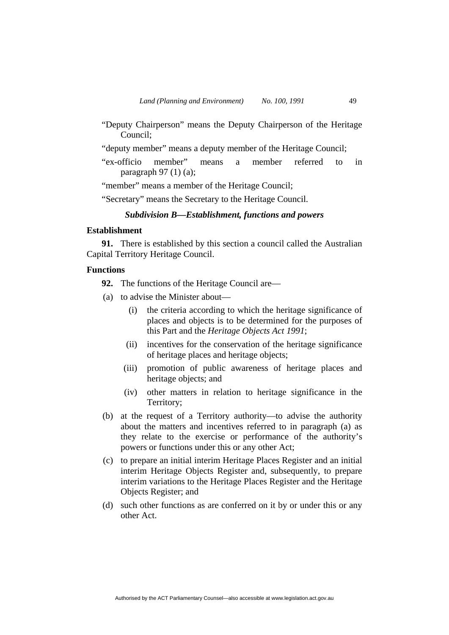- "Deputy Chairperson" means the Deputy Chairperson of the Heritage Council;
- "deputy member" means a deputy member of the Heritage Council;
- "ex-officio member" means a member referred to in paragraph 97 (1) (a);

"member" means a member of the Heritage Council;

"Secretary" means the Secretary to the Heritage Council.

# *Subdivision B—Establishment, functions and powers*

# **Establishment**

**91.** There is established by this section a council called the Australian Capital Territory Heritage Council.

# **Functions**

**92.** The functions of the Heritage Council are—

- (a) to advise the Minister about—
	- (i) the criteria according to which the heritage significance of places and objects is to be determined for the purposes of this Part and the *Heritage Objects Act 1991*;
	- (ii) incentives for the conservation of the heritage significance of heritage places and heritage objects;
	- (iii) promotion of public awareness of heritage places and heritage objects; and
	- (iv) other matters in relation to heritage significance in the Territory;
- (b) at the request of a Territory authority—to advise the authority about the matters and incentives referred to in paragraph (a) as they relate to the exercise or performance of the authority's powers or functions under this or any other Act;
- (c) to prepare an initial interim Heritage Places Register and an initial interim Heritage Objects Register and, subsequently, to prepare interim variations to the Heritage Places Register and the Heritage Objects Register; and
- (d) such other functions as are conferred on it by or under this or any other Act.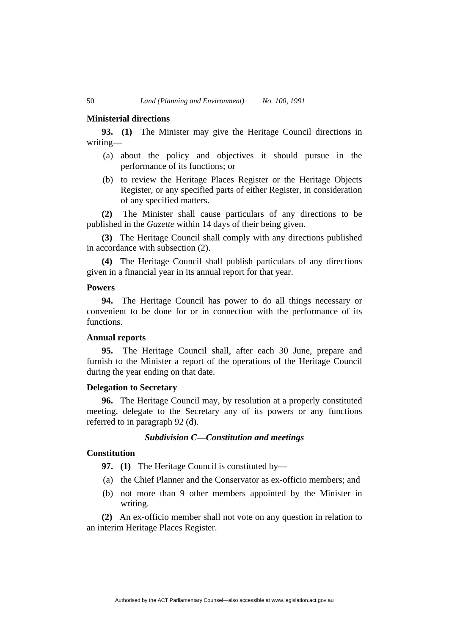### **Ministerial directions**

**93. (1)** The Minister may give the Heritage Council directions in writing—

- (a) about the policy and objectives it should pursue in the performance of its functions; or
- (b) to review the Heritage Places Register or the Heritage Objects Register, or any specified parts of either Register, in consideration of any specified matters.

**(2)** The Minister shall cause particulars of any directions to be published in the *Gazette* within 14 days of their being given.

**(3)** The Heritage Council shall comply with any directions published in accordance with subsection (2).

**(4)** The Heritage Council shall publish particulars of any directions given in a financial year in its annual report for that year.

#### **Powers**

**94.** The Heritage Council has power to do all things necessary or convenient to be done for or in connection with the performance of its functions.

#### **Annual reports**

**95.** The Heritage Council shall, after each 30 June, prepare and furnish to the Minister a report of the operations of the Heritage Council during the year ending on that date.

# **Delegation to Secretary**

**96.** The Heritage Council may, by resolution at a properly constituted meeting, delegate to the Secretary any of its powers or any functions referred to in paragraph 92 (d).

# *Subdivision C—Constitution and meetings*

# **Constitution**

**97. (1)** The Heritage Council is constituted by—

- (a) the Chief Planner and the Conservator as ex-officio members; and
- (b) not more than 9 other members appointed by the Minister in writing.

**(2)** An ex-officio member shall not vote on any question in relation to an interim Heritage Places Register.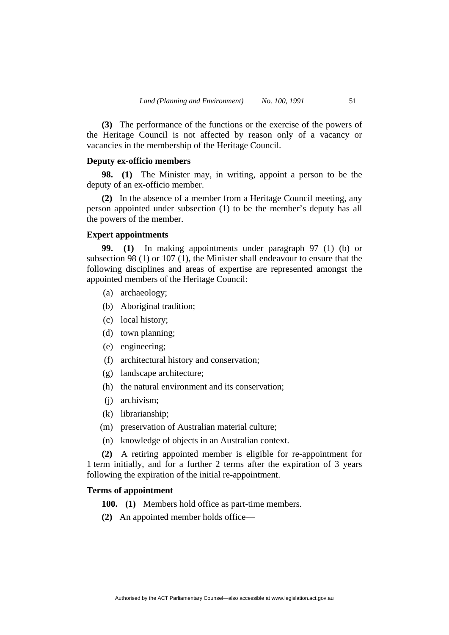**(3)** The performance of the functions or the exercise of the powers of the Heritage Council is not affected by reason only of a vacancy or vacancies in the membership of the Heritage Council.

# **Deputy ex-officio members**

**98. (1)** The Minister may, in writing, appoint a person to be the deputy of an ex-officio member.

**(2)** In the absence of a member from a Heritage Council meeting, any person appointed under subsection (1) to be the member's deputy has all the powers of the member.

# **Expert appointments**

**99. (1)** In making appointments under paragraph 97 (1) (b) or subsection 98 (1) or 107 (1), the Minister shall endeavour to ensure that the following disciplines and areas of expertise are represented amongst the appointed members of the Heritage Council:

- (a) archaeology;
- (b) Aboriginal tradition;
- (c) local history;
- (d) town planning;
- (e) engineering;
- (f) architectural history and conservation;
- (g) landscape architecture;
- (h) the natural environment and its conservation;
- (j) archivism;
- (k) librarianship;
- (m) preservation of Australian material culture;
- (n) knowledge of objects in an Australian context.

**(2)** A retiring appointed member is eligible for re-appointment for 1 term initially, and for a further 2 terms after the expiration of 3 years following the expiration of the initial re-appointment.

# **Terms of appointment**

**100. (1)** Members hold office as part-time members.

**(2)** An appointed member holds office—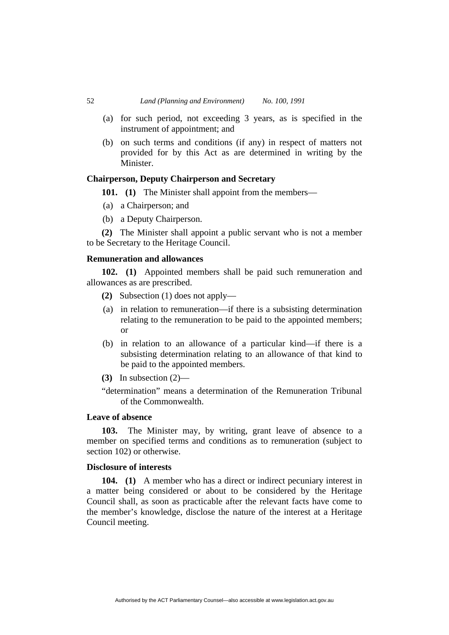- (a) for such period, not exceeding 3 years, as is specified in the instrument of appointment; and
- (b) on such terms and conditions (if any) in respect of matters not provided for by this Act as are determined in writing by the Minister.

# **Chairperson, Deputy Chairperson and Secretary**

**101.** (1) The Minister shall appoint from the members—

- (a) a Chairperson; and
- (b) a Deputy Chairperson.

**(2)** The Minister shall appoint a public servant who is not a member to be Secretary to the Heritage Council.

# **Remuneration and allowances**

**102. (1)** Appointed members shall be paid such remuneration and allowances as are prescribed.

- **(2)** Subsection (1) does not apply—
- (a) in relation to remuneration—if there is a subsisting determination relating to the remuneration to be paid to the appointed members; or
- (b) in relation to an allowance of a particular kind—if there is a subsisting determination relating to an allowance of that kind to be paid to the appointed members.
- **(3)** In subsection (2)—

"determination" means a determination of the Remuneration Tribunal of the Commonwealth.

# **Leave of absence**

**103.** The Minister may, by writing, grant leave of absence to a member on specified terms and conditions as to remuneration (subject to section 102) or otherwise.

# **Disclosure of interests**

**104. (1)** A member who has a direct or indirect pecuniary interest in a matter being considered or about to be considered by the Heritage Council shall, as soon as practicable after the relevant facts have come to the member's knowledge, disclose the nature of the interest at a Heritage Council meeting.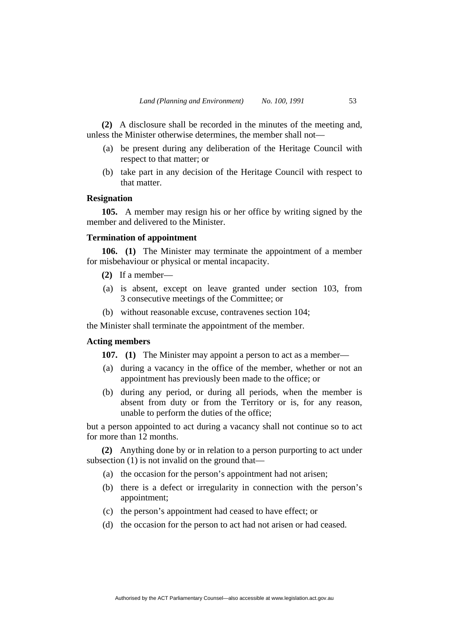**(2)** A disclosure shall be recorded in the minutes of the meeting and, unless the Minister otherwise determines, the member shall not—

- (a) be present during any deliberation of the Heritage Council with respect to that matter; or
- (b) take part in any decision of the Heritage Council with respect to that matter.

# **Resignation**

**105.** A member may resign his or her office by writing signed by the member and delivered to the Minister.

# **Termination of appointment**

**106. (1)** The Minister may terminate the appointment of a member for misbehaviour or physical or mental incapacity.

- **(2)** If a member—
- (a) is absent, except on leave granted under section 103, from 3 consecutive meetings of the Committee; or
- (b) without reasonable excuse, contravenes section 104;

the Minister shall terminate the appointment of the member.

# **Acting members**

**107.** (1) The Minister may appoint a person to act as a member—

- (a) during a vacancy in the office of the member, whether or not an appointment has previously been made to the office; or
- (b) during any period, or during all periods, when the member is absent from duty or from the Territory or is, for any reason, unable to perform the duties of the office;

but a person appointed to act during a vacancy shall not continue so to act for more than 12 months.

**(2)** Anything done by or in relation to a person purporting to act under subsection (1) is not invalid on the ground that—

- (a) the occasion for the person's appointment had not arisen;
- (b) there is a defect or irregularity in connection with the person's appointment;
- (c) the person's appointment had ceased to have effect; or
- (d) the occasion for the person to act had not arisen or had ceased.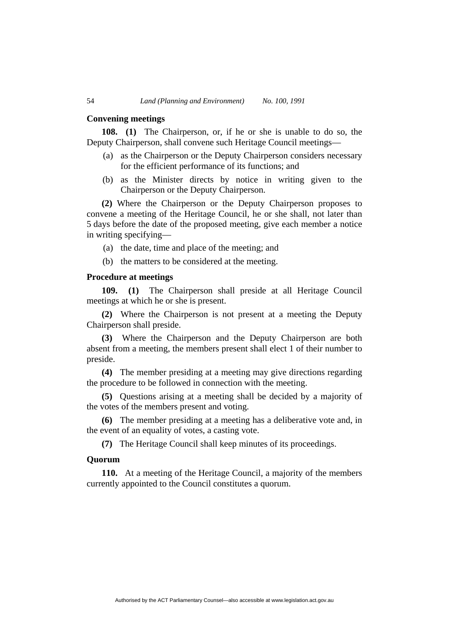#### **Convening meetings**

**108. (1)** The Chairperson, or, if he or she is unable to do so, the Deputy Chairperson, shall convene such Heritage Council meetings—

- (a) as the Chairperson or the Deputy Chairperson considers necessary for the efficient performance of its functions; and
- (b) as the Minister directs by notice in writing given to the Chairperson or the Deputy Chairperson.

**(2)** Where the Chairperson or the Deputy Chairperson proposes to convene a meeting of the Heritage Council, he or she shall, not later than 5 days before the date of the proposed meeting, give each member a notice in writing specifying—

- (a) the date, time and place of the meeting; and
- (b) the matters to be considered at the meeting.

# **Procedure at meetings**

**109. (1)** The Chairperson shall preside at all Heritage Council meetings at which he or she is present.

**(2)** Where the Chairperson is not present at a meeting the Deputy Chairperson shall preside.

**(3)** Where the Chairperson and the Deputy Chairperson are both absent from a meeting, the members present shall elect 1 of their number to preside.

**(4)** The member presiding at a meeting may give directions regarding the procedure to be followed in connection with the meeting.

**(5)** Questions arising at a meeting shall be decided by a majority of the votes of the members present and voting.

**(6)** The member presiding at a meeting has a deliberative vote and, in the event of an equality of votes, a casting vote.

**(7)** The Heritage Council shall keep minutes of its proceedings.

# **Quorum**

**110.** At a meeting of the Heritage Council, a majority of the members currently appointed to the Council constitutes a quorum.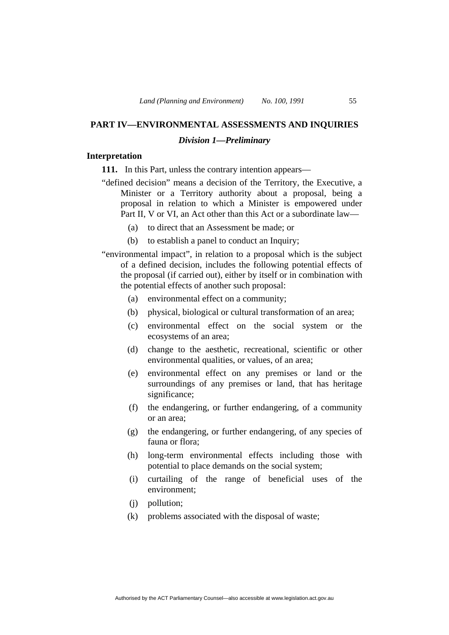# **PART IV—ENVIRONMENTAL ASSESSMENTS AND INQUIRIES**

# *Division 1—Preliminary*

# **Interpretation**

**111.** In this Part, unless the contrary intention appears—

- "defined decision" means a decision of the Territory, the Executive, a Minister or a Territory authority about a proposal, being a proposal in relation to which a Minister is empowered under Part II, V or VI, an Act other than this Act or a subordinate law—
	- (a) to direct that an Assessment be made; or
	- (b) to establish a panel to conduct an Inquiry;
- "environmental impact", in relation to a proposal which is the subject of a defined decision, includes the following potential effects of the proposal (if carried out), either by itself or in combination with the potential effects of another such proposal:
	- (a) environmental effect on a community;
	- (b) physical, biological or cultural transformation of an area;
	- (c) environmental effect on the social system or the ecosystems of an area;
	- (d) change to the aesthetic, recreational, scientific or other environmental qualities, or values, of an area;
	- (e) environmental effect on any premises or land or the surroundings of any premises or land, that has heritage significance:
	- (f) the endangering, or further endangering, of a community or an area;
	- (g) the endangering, or further endangering, of any species of fauna or flora;
	- (h) long-term environmental effects including those with potential to place demands on the social system;
	- (i) curtailing of the range of beneficial uses of the environment;
	- (j) pollution;
	- (k) problems associated with the disposal of waste;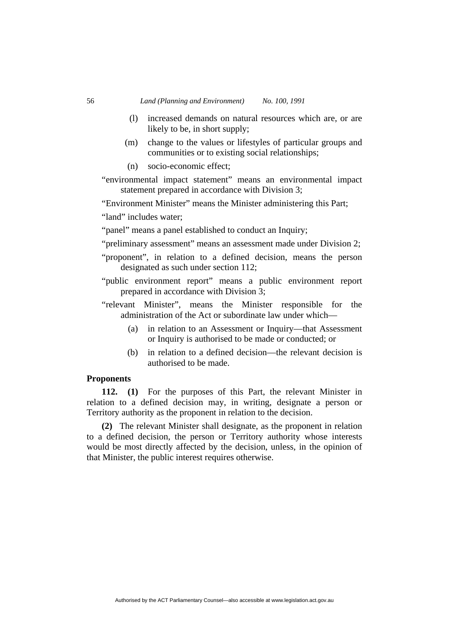- (l) increased demands on natural resources which are, or are likely to be, in short supply;
- (m) change to the values or lifestyles of particular groups and communities or to existing social relationships;
- (n) socio-economic effect;

"environmental impact statement" means an environmental impact statement prepared in accordance with Division 3;

"Environment Minister" means the Minister administering this Part;

"land" includes water;

"panel" means a panel established to conduct an Inquiry;

- "preliminary assessment" means an assessment made under Division 2;
- "proponent", in relation to a defined decision, means the person designated as such under section 112;
- "public environment report" means a public environment report prepared in accordance with Division 3;
- "relevant Minister", means the Minister responsible for the administration of the Act or subordinate law under which—
	- (a) in relation to an Assessment or Inquiry—that Assessment or Inquiry is authorised to be made or conducted; or
	- (b) in relation to a defined decision—the relevant decision is authorised to be made.

# **Proponents**

**112. (1)** For the purposes of this Part, the relevant Minister in relation to a defined decision may, in writing, designate a person or Territory authority as the proponent in relation to the decision.

**(2)** The relevant Minister shall designate, as the proponent in relation to a defined decision, the person or Territory authority whose interests would be most directly affected by the decision, unless, in the opinion of that Minister, the public interest requires otherwise.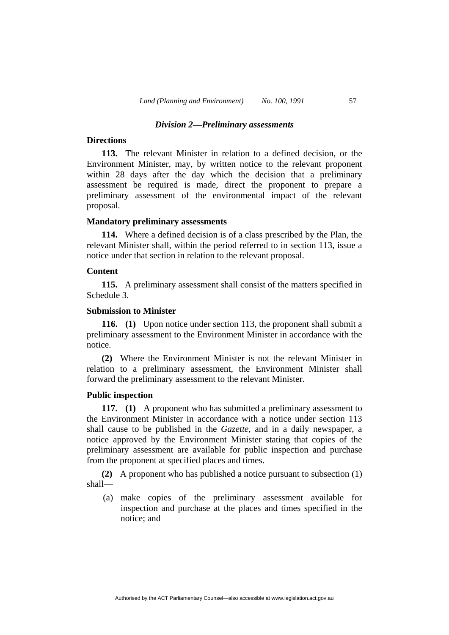#### *Division 2—Preliminary assessments*

# **Directions**

**113.** The relevant Minister in relation to a defined decision, or the Environment Minister, may, by written notice to the relevant proponent within 28 days after the day which the decision that a preliminary assessment be required is made, direct the proponent to prepare a preliminary assessment of the environmental impact of the relevant proposal.

#### **Mandatory preliminary assessments**

**114.** Where a defined decision is of a class prescribed by the Plan, the relevant Minister shall, within the period referred to in section 113, issue a notice under that section in relation to the relevant proposal.

# **Content**

**115.** A preliminary assessment shall consist of the matters specified in Schedule 3.

# **Submission to Minister**

**116. (1)** Upon notice under section 113, the proponent shall submit a preliminary assessment to the Environment Minister in accordance with the notice.

**(2)** Where the Environment Minister is not the relevant Minister in relation to a preliminary assessment, the Environment Minister shall forward the preliminary assessment to the relevant Minister.

# **Public inspection**

**117. (1)** A proponent who has submitted a preliminary assessment to the Environment Minister in accordance with a notice under section 113 shall cause to be published in the *Gazette*, and in a daily newspaper, a notice approved by the Environment Minister stating that copies of the preliminary assessment are available for public inspection and purchase from the proponent at specified places and times.

**(2)** A proponent who has published a notice pursuant to subsection (1) shall—

 (a) make copies of the preliminary assessment available for inspection and purchase at the places and times specified in the notice; and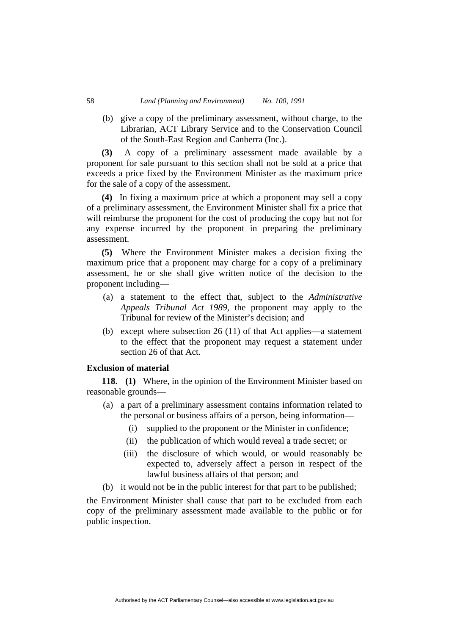(b) give a copy of the preliminary assessment, without charge, to the Librarian, ACT Library Service and to the Conservation Council of the South-East Region and Canberra (Inc.).

**(3)** A copy of a preliminary assessment made available by a proponent for sale pursuant to this section shall not be sold at a price that exceeds a price fixed by the Environment Minister as the maximum price for the sale of a copy of the assessment.

**(4)** In fixing a maximum price at which a proponent may sell a copy of a preliminary assessment, the Environment Minister shall fix a price that will reimburse the proponent for the cost of producing the copy but not for any expense incurred by the proponent in preparing the preliminary assessment.

**(5)** Where the Environment Minister makes a decision fixing the maximum price that a proponent may charge for a copy of a preliminary assessment, he or she shall give written notice of the decision to the proponent including—

- (a) a statement to the effect that, subject to the *Administrative Appeals Tribunal Act 1989*, the proponent may apply to the Tribunal for review of the Minister's decision; and
- (b) except where subsection 26 (11) of that Act applies—a statement to the effect that the proponent may request a statement under section 26 of that Act.

# **Exclusion of material**

**118. (1)** Where, in the opinion of the Environment Minister based on reasonable grounds—

- (a) a part of a preliminary assessment contains information related to the personal or business affairs of a person, being information—
	- (i) supplied to the proponent or the Minister in confidence;
	- (ii) the publication of which would reveal a trade secret; or
	- (iii) the disclosure of which would, or would reasonably be expected to, adversely affect a person in respect of the lawful business affairs of that person; and
- (b) it would not be in the public interest for that part to be published;

the Environment Minister shall cause that part to be excluded from each copy of the preliminary assessment made available to the public or for public inspection.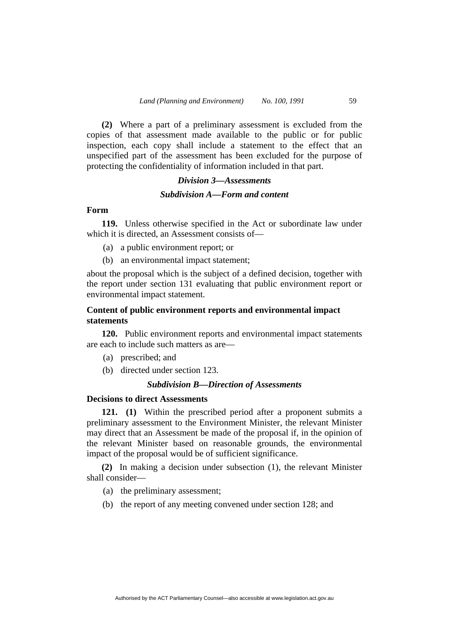**(2)** Where a part of a preliminary assessment is excluded from the copies of that assessment made available to the public or for public inspection, each copy shall include a statement to the effect that an unspecified part of the assessment has been excluded for the purpose of protecting the confidentiality of information included in that part.

# *Division 3—Assessments Subdivision A—Form and content*

# **Form**

**119.** Unless otherwise specified in the Act or subordinate law under which it is directed, an Assessment consists of—

- (a) a public environment report; or
- (b) an environmental impact statement;

about the proposal which is the subject of a defined decision, together with the report under section 131 evaluating that public environment report or environmental impact statement.

# **Content of public environment reports and environmental impact statements**

**120.** Public environment reports and environmental impact statements are each to include such matters as are—

- (a) prescribed; and
- (b) directed under section 123.

# *Subdivision B—Direction of Assessments*

# **Decisions to direct Assessments**

**121. (1)** Within the prescribed period after a proponent submits a preliminary assessment to the Environment Minister, the relevant Minister may direct that an Assessment be made of the proposal if, in the opinion of the relevant Minister based on reasonable grounds, the environmental impact of the proposal would be of sufficient significance.

**(2)** In making a decision under subsection (1), the relevant Minister shall consider—

- (a) the preliminary assessment;
- (b) the report of any meeting convened under section 128; and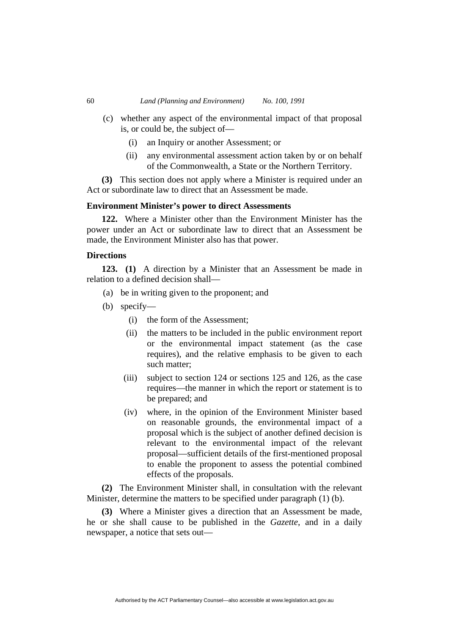- (c) whether any aspect of the environmental impact of that proposal is, or could be, the subject of—
	- (i) an Inquiry or another Assessment; or
	- (ii) any environmental assessment action taken by or on behalf of the Commonwealth, a State or the Northern Territory.

**(3)** This section does not apply where a Minister is required under an Act or subordinate law to direct that an Assessment be made.

# **Environment Minister's power to direct Assessments**

**122.** Where a Minister other than the Environment Minister has the power under an Act or subordinate law to direct that an Assessment be made, the Environment Minister also has that power.

# **Directions**

**123. (1)** A direction by a Minister that an Assessment be made in relation to a defined decision shall—

- (a) be in writing given to the proponent; and
- (b) specify—
	- (i) the form of the Assessment;
	- (ii) the matters to be included in the public environment report or the environmental impact statement (as the case requires), and the relative emphasis to be given to each such matter;
	- (iii) subject to section 124 or sections 125 and 126, as the case requires—the manner in which the report or statement is to be prepared; and
	- (iv) where, in the opinion of the Environment Minister based on reasonable grounds, the environmental impact of a proposal which is the subject of another defined decision is relevant to the environmental impact of the relevant proposal—sufficient details of the first-mentioned proposal to enable the proponent to assess the potential combined effects of the proposals.

**(2)** The Environment Minister shall, in consultation with the relevant Minister, determine the matters to be specified under paragraph (1) (b).

**(3)** Where a Minister gives a direction that an Assessment be made, he or she shall cause to be published in the *Gazette*, and in a daily newspaper, a notice that sets out—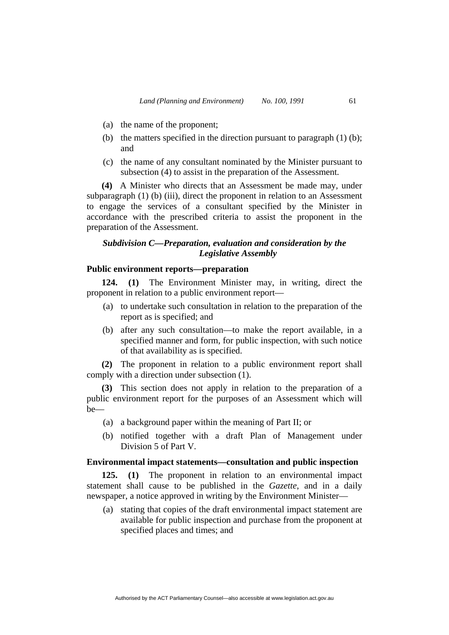- (a) the name of the proponent;
- (b) the matters specified in the direction pursuant to paragraph (1) (b); and
- (c) the name of any consultant nominated by the Minister pursuant to subsection (4) to assist in the preparation of the Assessment.

**(4)** A Minister who directs that an Assessment be made may, under subparagraph (1) (b) (iii), direct the proponent in relation to an Assessment to engage the services of a consultant specified by the Minister in accordance with the prescribed criteria to assist the proponent in the preparation of the Assessment.

# *Subdivision C—Preparation, evaluation and consideration by the Legislative Assembly*

# **Public environment reports—preparation**

**124. (1)** The Environment Minister may, in writing, direct the proponent in relation to a public environment report—

- (a) to undertake such consultation in relation to the preparation of the report as is specified; and
- (b) after any such consultation—to make the report available, in a specified manner and form, for public inspection, with such notice of that availability as is specified.

**(2)** The proponent in relation to a public environment report shall comply with a direction under subsection (1).

**(3)** This section does not apply in relation to the preparation of a public environment report for the purposes of an Assessment which will be—

- (a) a background paper within the meaning of Part II; or
- (b) notified together with a draft Plan of Management under Division 5 of Part V.

## **Environmental impact statements—consultation and public inspection**

**125. (1)** The proponent in relation to an environmental impact statement shall cause to be published in the *Gazette*, and in a daily newspaper, a notice approved in writing by the Environment Minister—

 (a) stating that copies of the draft environmental impact statement are available for public inspection and purchase from the proponent at specified places and times; and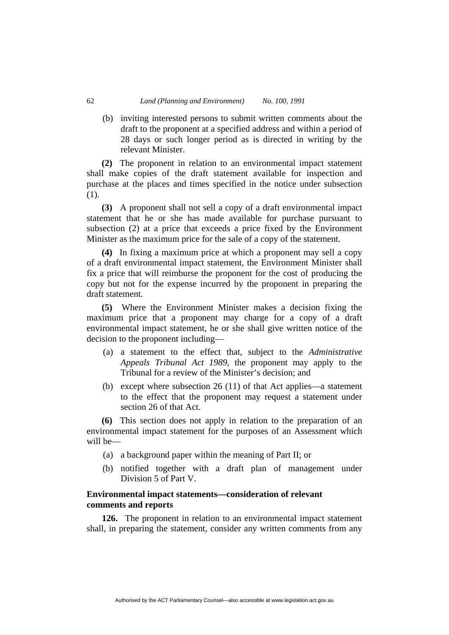(b) inviting interested persons to submit written comments about the draft to the proponent at a specified address and within a period of 28 days or such longer period as is directed in writing by the relevant Minister.

**(2)** The proponent in relation to an environmental impact statement shall make copies of the draft statement available for inspection and purchase at the places and times specified in the notice under subsection (1).

**(3)** A proponent shall not sell a copy of a draft environmental impact statement that he or she has made available for purchase pursuant to subsection (2) at a price that exceeds a price fixed by the Environment Minister as the maximum price for the sale of a copy of the statement.

**(4)** In fixing a maximum price at which a proponent may sell a copy of a draft environmental impact statement, the Environment Minister shall fix a price that will reimburse the proponent for the cost of producing the copy but not for the expense incurred by the proponent in preparing the draft statement.

**(5)** Where the Environment Minister makes a decision fixing the maximum price that a proponent may charge for a copy of a draft environmental impact statement, he or she shall give written notice of the decision to the proponent including—

- (a) a statement to the effect that, subject to the *Administrative Appeals Tribunal Act 1989*, the proponent may apply to the Tribunal for a review of the Minister's decision; and
- (b) except where subsection 26 (11) of that Act applies—a statement to the effect that the proponent may request a statement under section 26 of that Act.

**(6)** This section does not apply in relation to the preparation of an environmental impact statement for the purposes of an Assessment which will be—

- (a) a background paper within the meaning of Part II; or
- (b) notified together with a draft plan of management under Division 5 of Part V.

# **Environmental impact statements—consideration of relevant comments and reports**

**126.** The proponent in relation to an environmental impact statement shall, in preparing the statement, consider any written comments from any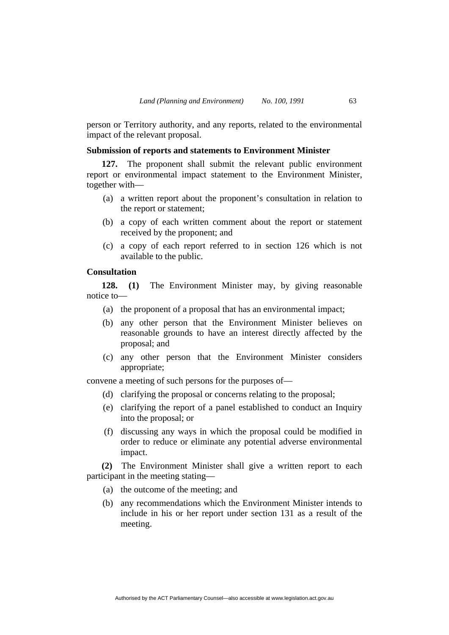person or Territory authority, and any reports, related to the environmental impact of the relevant proposal.

# **Submission of reports and statements to Environment Minister**

**127.** The proponent shall submit the relevant public environment report or environmental impact statement to the Environment Minister, together with—

- (a) a written report about the proponent's consultation in relation to the report or statement;
- (b) a copy of each written comment about the report or statement received by the proponent; and
- (c) a copy of each report referred to in section 126 which is not available to the public.

# **Consultation**

**128. (1)** The Environment Minister may, by giving reasonable notice to—

- (a) the proponent of a proposal that has an environmental impact;
- (b) any other person that the Environment Minister believes on reasonable grounds to have an interest directly affected by the proposal; and
- (c) any other person that the Environment Minister considers appropriate;

convene a meeting of such persons for the purposes of—

- (d) clarifying the proposal or concerns relating to the proposal;
- (e) clarifying the report of a panel established to conduct an Inquiry into the proposal; or
- (f) discussing any ways in which the proposal could be modified in order to reduce or eliminate any potential adverse environmental impact.

**(2)** The Environment Minister shall give a written report to each participant in the meeting stating—

- (a) the outcome of the meeting; and
- (b) any recommendations which the Environment Minister intends to include in his or her report under section 131 as a result of the meeting.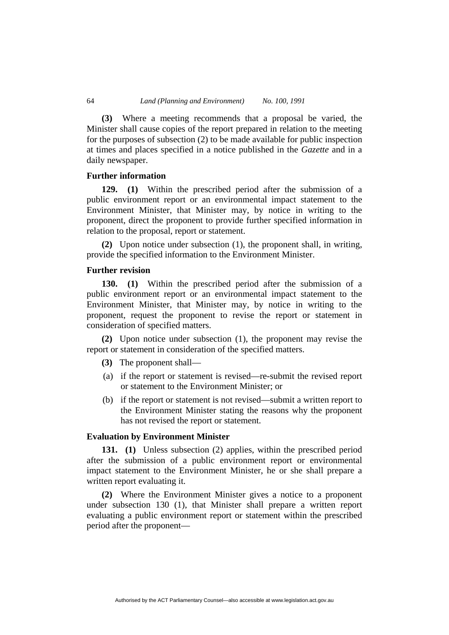**(3)** Where a meeting recommends that a proposal be varied, the Minister shall cause copies of the report prepared in relation to the meeting for the purposes of subsection (2) to be made available for public inspection at times and places specified in a notice published in the *Gazette* and in a daily newspaper.

#### **Further information**

**129. (1)** Within the prescribed period after the submission of a public environment report or an environmental impact statement to the Environment Minister, that Minister may, by notice in writing to the proponent, direct the proponent to provide further specified information in relation to the proposal, report or statement.

**(2)** Upon notice under subsection (1), the proponent shall, in writing, provide the specified information to the Environment Minister.

# **Further revision**

**130. (1)** Within the prescribed period after the submission of a public environment report or an environmental impact statement to the Environment Minister, that Minister may, by notice in writing to the proponent, request the proponent to revise the report or statement in consideration of specified matters.

**(2)** Upon notice under subsection (1), the proponent may revise the report or statement in consideration of the specified matters.

- **(3)** The proponent shall—
- (a) if the report or statement is revised—re-submit the revised report or statement to the Environment Minister; or
- (b) if the report or statement is not revised—submit a written report to the Environment Minister stating the reasons why the proponent has not revised the report or statement.

# **Evaluation by Environment Minister**

**131. (1)** Unless subsection (2) applies, within the prescribed period after the submission of a public environment report or environmental impact statement to the Environment Minister, he or she shall prepare a written report evaluating it.

**(2)** Where the Environment Minister gives a notice to a proponent under subsection 130 (1), that Minister shall prepare a written report evaluating a public environment report or statement within the prescribed period after the proponent—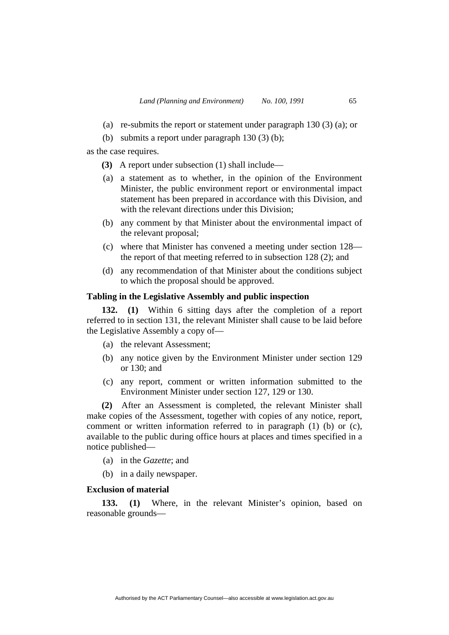- (a) re-submits the report or statement under paragraph  $130(3)$  (a); or
- (b) submits a report under paragraph 130 (3) (b);

as the case requires.

- **(3)** A report under subsection (1) shall include—
- (a) a statement as to whether, in the opinion of the Environment Minister, the public environment report or environmental impact statement has been prepared in accordance with this Division, and with the relevant directions under this Division;
- (b) any comment by that Minister about the environmental impact of the relevant proposal;
- (c) where that Minister has convened a meeting under section 128 the report of that meeting referred to in subsection 128 (2); and
- (d) any recommendation of that Minister about the conditions subject to which the proposal should be approved.

# **Tabling in the Legislative Assembly and public inspection**

**132. (1)** Within 6 sitting days after the completion of a report referred to in section 131, the relevant Minister shall cause to be laid before the Legislative Assembly a copy of—

- (a) the relevant Assessment;
- (b) any notice given by the Environment Minister under section 129 or 130; and
- (c) any report, comment or written information submitted to the Environment Minister under section 127, 129 or 130.

**(2)** After an Assessment is completed, the relevant Minister shall make copies of the Assessment, together with copies of any notice, report, comment or written information referred to in paragraph (1) (b) or (c), available to the public during office hours at places and times specified in a notice published—

- (a) in the *Gazette*; and
- (b) in a daily newspaper.

# **Exclusion of material**

**133. (1)** Where, in the relevant Minister's opinion, based on reasonable grounds—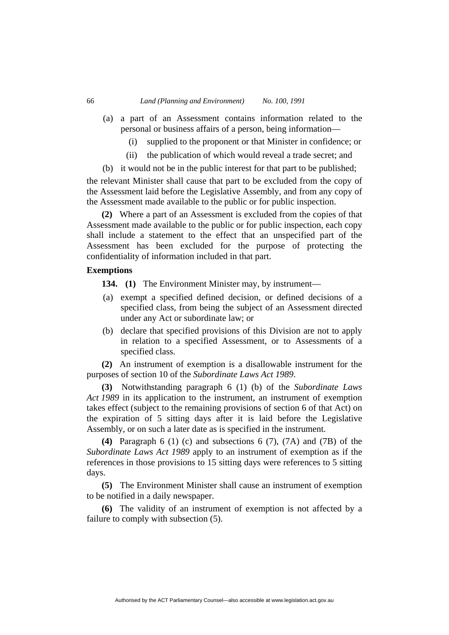- (a) a part of an Assessment contains information related to the personal or business affairs of a person, being information—
	- (i) supplied to the proponent or that Minister in confidence; or
	- (ii) the publication of which would reveal a trade secret; and
- (b) it would not be in the public interest for that part to be published;

the relevant Minister shall cause that part to be excluded from the copy of the Assessment laid before the Legislative Assembly, and from any copy of the Assessment made available to the public or for public inspection.

**(2)** Where a part of an Assessment is excluded from the copies of that Assessment made available to the public or for public inspection, each copy shall include a statement to the effect that an unspecified part of the Assessment has been excluded for the purpose of protecting the confidentiality of information included in that part.

## **Exemptions**

**134.** (1) The Environment Minister may, by instrument—

- (a) exempt a specified defined decision, or defined decisions of a specified class, from being the subject of an Assessment directed under any Act or subordinate law; or
- (b) declare that specified provisions of this Division are not to apply in relation to a specified Assessment, or to Assessments of a specified class.

**(2)** An instrument of exemption is a disallowable instrument for the purposes of section 10 of the *Subordinate Laws Act 1989*.

**(3)** Notwithstanding paragraph 6 (1) (b) of the *Subordinate Laws Act 1989* in its application to the instrument, an instrument of exemption takes effect (subject to the remaining provisions of section 6 of that Act) on the expiration of 5 sitting days after it is laid before the Legislative Assembly, or on such a later date as is specified in the instrument.

**(4)** Paragraph 6 (1) (c) and subsections 6 (7), (7A) and (7B) of the *Subordinate Laws Act 1989* apply to an instrument of exemption as if the references in those provisions to 15 sitting days were references to 5 sitting days.

**(5)** The Environment Minister shall cause an instrument of exemption to be notified in a daily newspaper.

**(6)** The validity of an instrument of exemption is not affected by a failure to comply with subsection (5).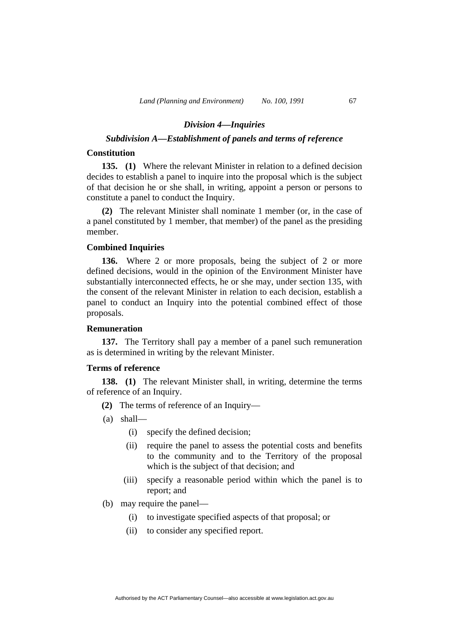#### *Division 4—Inquiries*

# *Subdivision A—Establishment of panels and terms of reference*

# **Constitution**

**135. (1)** Where the relevant Minister in relation to a defined decision decides to establish a panel to inquire into the proposal which is the subject of that decision he or she shall, in writing, appoint a person or persons to constitute a panel to conduct the Inquiry.

**(2)** The relevant Minister shall nominate 1 member (or, in the case of a panel constituted by 1 member, that member) of the panel as the presiding member.

# **Combined Inquiries**

**136.** Where 2 or more proposals, being the subject of 2 or more defined decisions, would in the opinion of the Environment Minister have substantially interconnected effects, he or she may, under section 135, with the consent of the relevant Minister in relation to each decision, establish a panel to conduct an Inquiry into the potential combined effect of those proposals.

# **Remuneration**

**137.** The Territory shall pay a member of a panel such remuneration as is determined in writing by the relevant Minister.

# **Terms of reference**

**138. (1)** The relevant Minister shall, in writing, determine the terms of reference of an Inquiry.

- **(2)** The terms of reference of an Inquiry—
- (a) shall—
	- (i) specify the defined decision;
	- (ii) require the panel to assess the potential costs and benefits to the community and to the Territory of the proposal which is the subject of that decision; and
	- (iii) specify a reasonable period within which the panel is to report; and
- (b) may require the panel—
	- (i) to investigate specified aspects of that proposal; or
	- (ii) to consider any specified report.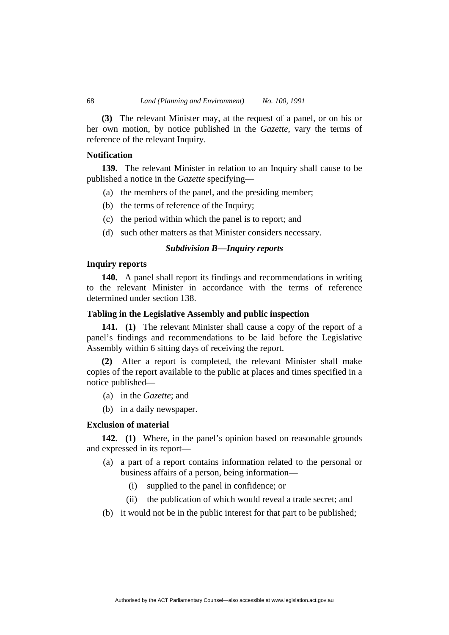**(3)** The relevant Minister may, at the request of a panel, or on his or her own motion, by notice published in the *Gazette*, vary the terms of reference of the relevant Inquiry.

# **Notification**

**139.** The relevant Minister in relation to an Inquiry shall cause to be published a notice in the *Gazette* specifying—

- (a) the members of the panel, and the presiding member;
- (b) the terms of reference of the Inquiry;
- (c) the period within which the panel is to report; and
- (d) such other matters as that Minister considers necessary.

# *Subdivision B—Inquiry reports*

# **Inquiry reports**

**140.** A panel shall report its findings and recommendations in writing to the relevant Minister in accordance with the terms of reference determined under section 138.

# **Tabling in the Legislative Assembly and public inspection**

**141. (1)** The relevant Minister shall cause a copy of the report of a panel's findings and recommendations to be laid before the Legislative Assembly within 6 sitting days of receiving the report.

**(2)** After a report is completed, the relevant Minister shall make copies of the report available to the public at places and times specified in a notice published—

- (a) in the *Gazette*; and
- (b) in a daily newspaper.

# **Exclusion of material**

**142. (1)** Where, in the panel's opinion based on reasonable grounds and expressed in its report—

- (a) a part of a report contains information related to the personal or business affairs of a person, being information—
	- (i) supplied to the panel in confidence; or
	- (ii) the publication of which would reveal a trade secret; and
- (b) it would not be in the public interest for that part to be published;

Authorised by the ACT Parliamentary Counsel—also accessible at www.legislation.act.gov.au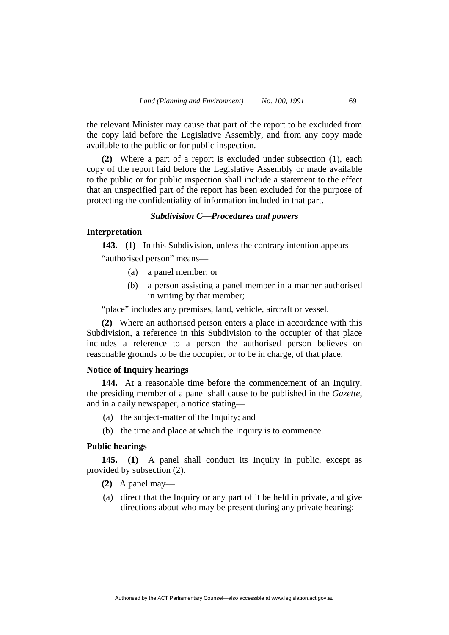the relevant Minister may cause that part of the report to be excluded from the copy laid before the Legislative Assembly, and from any copy made available to the public or for public inspection.

**(2)** Where a part of a report is excluded under subsection (1), each copy of the report laid before the Legislative Assembly or made available to the public or for public inspection shall include a statement to the effect that an unspecified part of the report has been excluded for the purpose of protecting the confidentiality of information included in that part.

#### *Subdivision C—Procedures and powers*

# **Interpretation**

**143. (1)** In this Subdivision, unless the contrary intention appears—

"authorised person" means—

- (a) a panel member; or
- (b) a person assisting a panel member in a manner authorised in writing by that member;

"place" includes any premises, land, vehicle, aircraft or vessel.

**(2)** Where an authorised person enters a place in accordance with this Subdivision, a reference in this Subdivision to the occupier of that place includes a reference to a person the authorised person believes on reasonable grounds to be the occupier, or to be in charge, of that place.

# **Notice of Inquiry hearings**

**144.** At a reasonable time before the commencement of an Inquiry, the presiding member of a panel shall cause to be published in the *Gazette*, and in a daily newspaper, a notice stating—

- (a) the subject-matter of the Inquiry; and
- (b) the time and place at which the Inquiry is to commence.

# **Public hearings**

**145. (1)** A panel shall conduct its Inquiry in public, except as provided by subsection (2).

- **(2)** A panel may—
- (a) direct that the Inquiry or any part of it be held in private, and give directions about who may be present during any private hearing;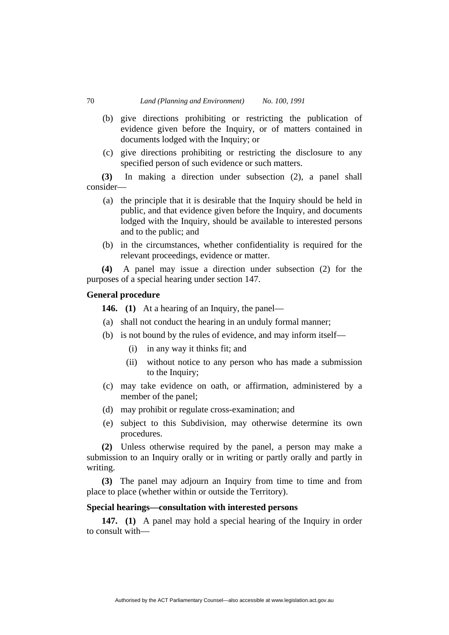- (b) give directions prohibiting or restricting the publication of evidence given before the Inquiry, or of matters contained in documents lodged with the Inquiry; or
- (c) give directions prohibiting or restricting the disclosure to any specified person of such evidence or such matters.

**(3)** In making a direction under subsection (2), a panel shall consider—

- (a) the principle that it is desirable that the Inquiry should be held in public, and that evidence given before the Inquiry, and documents lodged with the Inquiry, should be available to interested persons and to the public; and
- (b) in the circumstances, whether confidentiality is required for the relevant proceedings, evidence or matter.

**(4)** A panel may issue a direction under subsection (2) for the purposes of a special hearing under section 147.

# **General procedure**

**146. (1)** At a hearing of an Inquiry, the panel—

- (a) shall not conduct the hearing in an unduly formal manner;
- (b) is not bound by the rules of evidence, and may inform itself—
	- (i) in any way it thinks fit; and
	- (ii) without notice to any person who has made a submission to the Inquiry;
- (c) may take evidence on oath, or affirmation, administered by a member of the panel;
- (d) may prohibit or regulate cross-examination; and
- (e) subject to this Subdivision, may otherwise determine its own procedures.

**(2)** Unless otherwise required by the panel, a person may make a submission to an Inquiry orally or in writing or partly orally and partly in writing.

**(3)** The panel may adjourn an Inquiry from time to time and from place to place (whether within or outside the Territory).

# **Special hearings—consultation with interested persons**

**147. (1)** A panel may hold a special hearing of the Inquiry in order to consult with—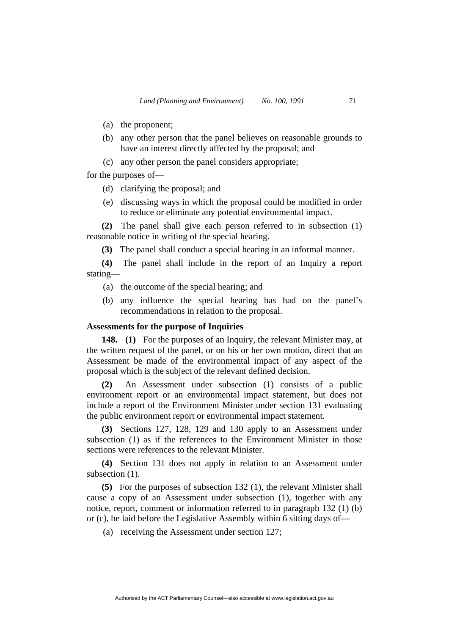- (a) the proponent;
- (b) any other person that the panel believes on reasonable grounds to have an interest directly affected by the proposal; and
- (c) any other person the panel considers appropriate;

for the purposes of—

- (d) clarifying the proposal; and
- (e) discussing ways in which the proposal could be modified in order to reduce or eliminate any potential environmental impact.

**(2)** The panel shall give each person referred to in subsection (1) reasonable notice in writing of the special hearing.

**(3)** The panel shall conduct a special hearing in an informal manner.

**(4)** The panel shall include in the report of an Inquiry a report stating—

- (a) the outcome of the special hearing; and
- (b) any influence the special hearing has had on the panel's recommendations in relation to the proposal.

# **Assessments for the purpose of Inquiries**

**148. (1)** For the purposes of an Inquiry, the relevant Minister may, at the written request of the panel, or on his or her own motion, direct that an Assessment be made of the environmental impact of any aspect of the proposal which is the subject of the relevant defined decision.

**(2)** An Assessment under subsection (1) consists of a public environment report or an environmental impact statement, but does not include a report of the Environment Minister under section 131 evaluating the public environment report or environmental impact statement.

**(3)** Sections 127, 128, 129 and 130 apply to an Assessment under subsection (1) as if the references to the Environment Minister in those sections were references to the relevant Minister.

**(4)** Section 131 does not apply in relation to an Assessment under subsection  $(1)$ .

**(5)** For the purposes of subsection 132 (1), the relevant Minister shall cause a copy of an Assessment under subsection (1), together with any notice, report, comment or information referred to in paragraph 132 (1) (b) or (c), be laid before the Legislative Assembly within 6 sitting days of—

(a) receiving the Assessment under section 127;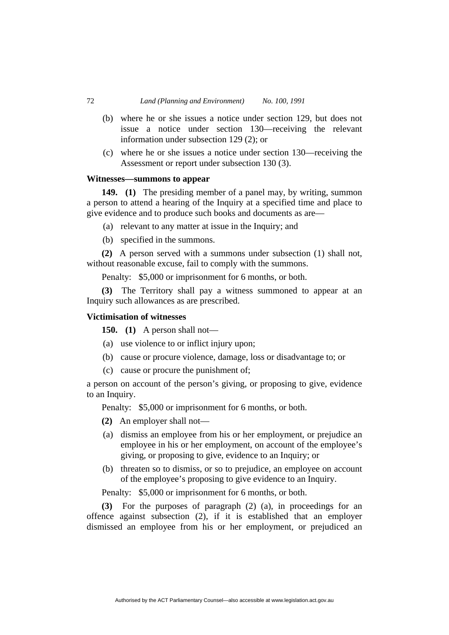- (b) where he or she issues a notice under section 129, but does not issue a notice under section 130—receiving the relevant information under subsection 129 (2); or
- (c) where he or she issues a notice under section 130—receiving the Assessment or report under subsection 130 (3).

# **Witnesses—summons to appear**

**149. (1)** The presiding member of a panel may, by writing, summon a person to attend a hearing of the Inquiry at a specified time and place to give evidence and to produce such books and documents as are—

- (a) relevant to any matter at issue in the Inquiry; and
- (b) specified in the summons.

**(2)** A person served with a summons under subsection (1) shall not, without reasonable excuse, fail to comply with the summons.

Penalty: \$5,000 or imprisonment for 6 months, or both.

**(3)** The Territory shall pay a witness summoned to appear at an Inquiry such allowances as are prescribed.

## **Victimisation of witnesses**

**150. (1)** A person shall not—

- (a) use violence to or inflict injury upon;
- (b) cause or procure violence, damage, loss or disadvantage to; or
- (c) cause or procure the punishment of;

a person on account of the person's giving, or proposing to give, evidence to an Inquiry.

Penalty: \$5,000 or imprisonment for 6 months, or both.

**(2)** An employer shall not—

- (a) dismiss an employee from his or her employment, or prejudice an employee in his or her employment, on account of the employee's giving, or proposing to give, evidence to an Inquiry; or
- (b) threaten so to dismiss, or so to prejudice, an employee on account of the employee's proposing to give evidence to an Inquiry.

Penalty: \$5,000 or imprisonment for 6 months, or both.

**(3)** For the purposes of paragraph (2) (a), in proceedings for an offence against subsection (2), if it is established that an employer dismissed an employee from his or her employment, or prejudiced an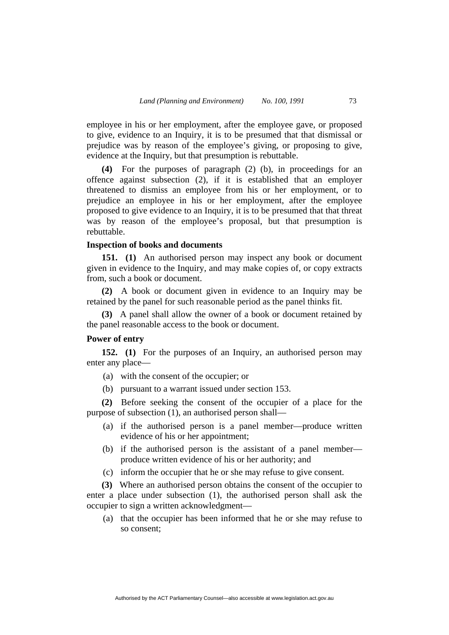employee in his or her employment, after the employee gave, or proposed to give, evidence to an Inquiry, it is to be presumed that that dismissal or prejudice was by reason of the employee's giving, or proposing to give, evidence at the Inquiry, but that presumption is rebuttable.

**(4)** For the purposes of paragraph (2) (b), in proceedings for an offence against subsection (2), if it is established that an employer threatened to dismiss an employee from his or her employment, or to prejudice an employee in his or her employment, after the employee proposed to give evidence to an Inquiry, it is to be presumed that that threat was by reason of the employee's proposal, but that presumption is rebuttable.

# **Inspection of books and documents**

**151. (1)** An authorised person may inspect any book or document given in evidence to the Inquiry, and may make copies of, or copy extracts from, such a book or document.

**(2)** A book or document given in evidence to an Inquiry may be retained by the panel for such reasonable period as the panel thinks fit.

**(3)** A panel shall allow the owner of a book or document retained by the panel reasonable access to the book or document.

## **Power of entry**

**152. (1)** For the purposes of an Inquiry, an authorised person may enter any place—

- (a) with the consent of the occupier; or
- (b) pursuant to a warrant issued under section 153.

**(2)** Before seeking the consent of the occupier of a place for the purpose of subsection (1), an authorised person shall—

- (a) if the authorised person is a panel member—produce written evidence of his or her appointment;
- (b) if the authorised person is the assistant of a panel member produce written evidence of his or her authority; and
- (c) inform the occupier that he or she may refuse to give consent.

**(3)** Where an authorised person obtains the consent of the occupier to enter a place under subsection (1), the authorised person shall ask the occupier to sign a written acknowledgment—

 (a) that the occupier has been informed that he or she may refuse to so consent;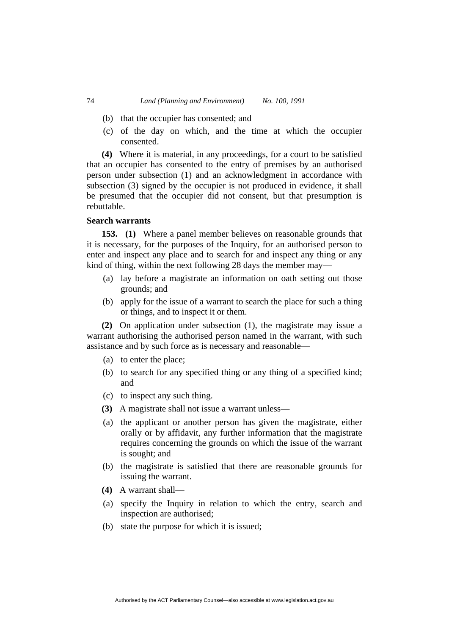- (b) that the occupier has consented; and
- (c) of the day on which, and the time at which the occupier consented.

**(4)** Where it is material, in any proceedings, for a court to be satisfied that an occupier has consented to the entry of premises by an authorised person under subsection (1) and an acknowledgment in accordance with subsection (3) signed by the occupier is not produced in evidence, it shall be presumed that the occupier did not consent, but that presumption is rebuttable.

# **Search warrants**

**153. (1)** Where a panel member believes on reasonable grounds that it is necessary, for the purposes of the Inquiry, for an authorised person to enter and inspect any place and to search for and inspect any thing or any kind of thing, within the next following 28 days the member may—

- (a) lay before a magistrate an information on oath setting out those grounds; and
- (b) apply for the issue of a warrant to search the place for such a thing or things, and to inspect it or them.

**(2)** On application under subsection (1), the magistrate may issue a warrant authorising the authorised person named in the warrant, with such assistance and by such force as is necessary and reasonable—

- (a) to enter the place;
- (b) to search for any specified thing or any thing of a specified kind; and
- (c) to inspect any such thing.
- **(3)** A magistrate shall not issue a warrant unless—
- (a) the applicant or another person has given the magistrate, either orally or by affidavit, any further information that the magistrate requires concerning the grounds on which the issue of the warrant is sought; and
- (b) the magistrate is satisfied that there are reasonable grounds for issuing the warrant.
- **(4)** A warrant shall—
- (a) specify the Inquiry in relation to which the entry, search and inspection are authorised;
- (b) state the purpose for which it is issued;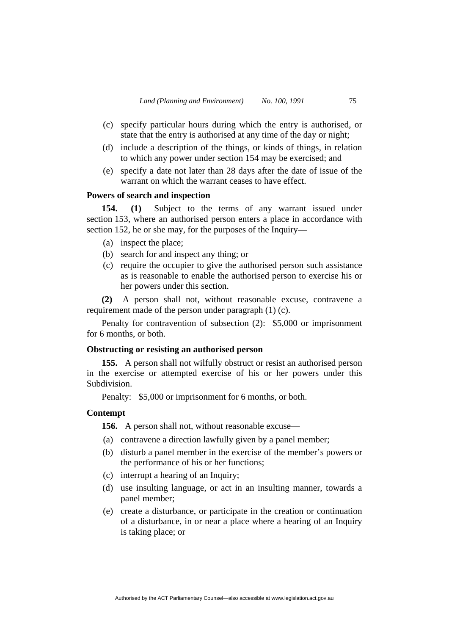- (c) specify particular hours during which the entry is authorised, or state that the entry is authorised at any time of the day or night;
- (d) include a description of the things, or kinds of things, in relation to which any power under section 154 may be exercised; and
- (e) specify a date not later than 28 days after the date of issue of the warrant on which the warrant ceases to have effect.

# **Powers of search and inspection**

**154. (1)** Subject to the terms of any warrant issued under section 153, where an authorised person enters a place in accordance with section 152, he or she may, for the purposes of the Inquiry—

- (a) inspect the place;
- (b) search for and inspect any thing; or
- (c) require the occupier to give the authorised person such assistance as is reasonable to enable the authorised person to exercise his or her powers under this section.

**(2)** A person shall not, without reasonable excuse, contravene a requirement made of the person under paragraph (1) (c).

Penalty for contravention of subsection (2): \$5,000 or imprisonment for 6 months, or both.

#### **Obstructing or resisting an authorised person**

**155.** A person shall not wilfully obstruct or resist an authorised person in the exercise or attempted exercise of his or her powers under this Subdivision.

Penalty: \$5,000 or imprisonment for 6 months, or both.

## **Contempt**

**156.** A person shall not, without reasonable excuse—

- (a) contravene a direction lawfully given by a panel member;
- (b) disturb a panel member in the exercise of the member's powers or the performance of his or her functions;
- (c) interrupt a hearing of an Inquiry;
- (d) use insulting language, or act in an insulting manner, towards a panel member;
- (e) create a disturbance, or participate in the creation or continuation of a disturbance, in or near a place where a hearing of an Inquiry is taking place; or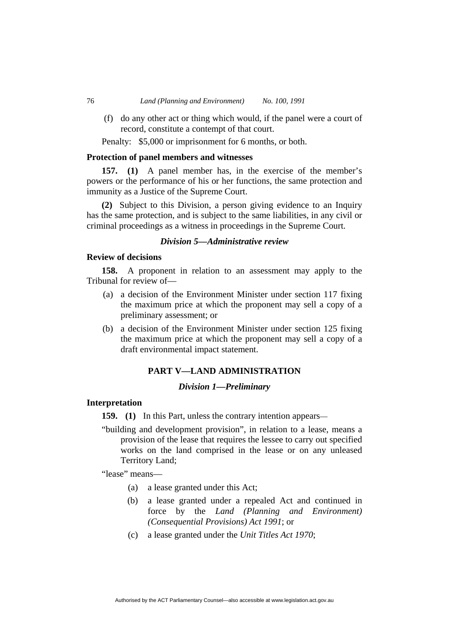(f) do any other act or thing which would, if the panel were a court of record, constitute a contempt of that court.

Penalty: \$5,000 or imprisonment for 6 months, or both.

## **Protection of panel members and witnesses**

**157. (1)** A panel member has, in the exercise of the member's powers or the performance of his or her functions, the same protection and immunity as a Justice of the Supreme Court.

**(2)** Subject to this Division, a person giving evidence to an Inquiry has the same protection, and is subject to the same liabilities, in any civil or criminal proceedings as a witness in proceedings in the Supreme Court.

# *Division 5—Administrative review*

## **Review of decisions**

**158.** A proponent in relation to an assessment may apply to the Tribunal for review of—

- (a) a decision of the Environment Minister under section 117 fixing the maximum price at which the proponent may sell a copy of a preliminary assessment; or
- (b) a decision of the Environment Minister under section 125 fixing the maximum price at which the proponent may sell a copy of a draft environmental impact statement.

# **PART V—LAND ADMINISTRATION**

# *Division 1—Preliminary*

# **Interpretation**

**159.** (1) In this Part, unless the contrary intention appears—

"building and development provision", in relation to a lease, means a provision of the lease that requires the lessee to carry out specified works on the land comprised in the lease or on any unleased Territory Land;

"lease" means—

- (a) a lease granted under this Act;
- (b) a lease granted under a repealed Act and continued in force by the *Land (Planning and Environment) (Consequential Provisions) Act 1991*; or
- (c) a lease granted under the *Unit Titles Act 1970*;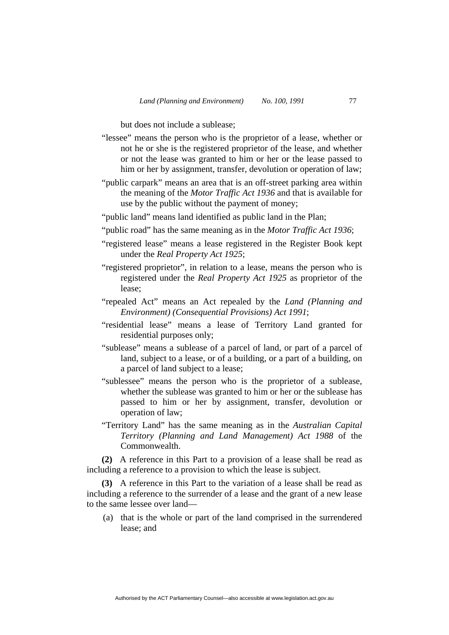but does not include a sublease;

- "lessee" means the person who is the proprietor of a lease, whether or not he or she is the registered proprietor of the lease, and whether or not the lease was granted to him or her or the lease passed to him or her by assignment, transfer, devolution or operation of law;
- "public carpark" means an area that is an off-street parking area within the meaning of the *Motor Traffic Act 1936* and that is available for use by the public without the payment of money;
- "public land" means land identified as public land in the Plan;
- "public road" has the same meaning as in the *Motor Traffic Act 1936*;
- "registered lease" means a lease registered in the Register Book kept under the *Real Property Act 1925*;
- "registered proprietor", in relation to a lease, means the person who is registered under the *Real Property Act 1925* as proprietor of the lease;
- "repealed Act" means an Act repealed by the *Land (Planning and Environment) (Consequential Provisions) Act 1991*;
- "residential lease" means a lease of Territory Land granted for residential purposes only;
- "sublease" means a sublease of a parcel of land, or part of a parcel of land, subject to a lease, or of a building, or a part of a building, on a parcel of land subject to a lease;
- "sublessee" means the person who is the proprietor of a sublease, whether the sublease was granted to him or her or the sublease has passed to him or her by assignment, transfer, devolution or operation of law;
- "Territory Land" has the same meaning as in the *Australian Capital Territory (Planning and Land Management) Act 1988* of the Commonwealth.

**(2)** A reference in this Part to a provision of a lease shall be read as including a reference to a provision to which the lease is subject.

**(3)** A reference in this Part to the variation of a lease shall be read as including a reference to the surrender of a lease and the grant of a new lease to the same lessee over land—

 (a) that is the whole or part of the land comprised in the surrendered lease; and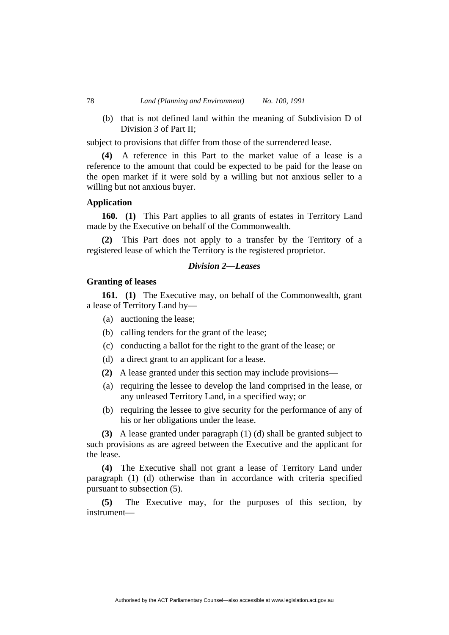(b) that is not defined land within the meaning of Subdivision D of Division 3 of Part II;

subject to provisions that differ from those of the surrendered lease.

**(4)** A reference in this Part to the market value of a lease is a reference to the amount that could be expected to be paid for the lease on the open market if it were sold by a willing but not anxious seller to a willing but not anxious buyer.

# **Application**

**160. (1)** This Part applies to all grants of estates in Territory Land made by the Executive on behalf of the Commonwealth.

**(2)** This Part does not apply to a transfer by the Territory of a registered lease of which the Territory is the registered proprietor.

# *Division 2—Leases*

# **Granting of leases**

**161. (1)** The Executive may, on behalf of the Commonwealth, grant a lease of Territory Land by—

- (a) auctioning the lease;
- (b) calling tenders for the grant of the lease;
- (c) conducting a ballot for the right to the grant of the lease; or
- (d) a direct grant to an applicant for a lease.
- **(2)** A lease granted under this section may include provisions—
- (a) requiring the lessee to develop the land comprised in the lease, or any unleased Territory Land, in a specified way; or
- (b) requiring the lessee to give security for the performance of any of his or her obligations under the lease.

**(3)** A lease granted under paragraph (1) (d) shall be granted subject to such provisions as are agreed between the Executive and the applicant for the lease.

**(4)** The Executive shall not grant a lease of Territory Land under paragraph (1) (d) otherwise than in accordance with criteria specified pursuant to subsection (5).

**(5)** The Executive may, for the purposes of this section, by instrument—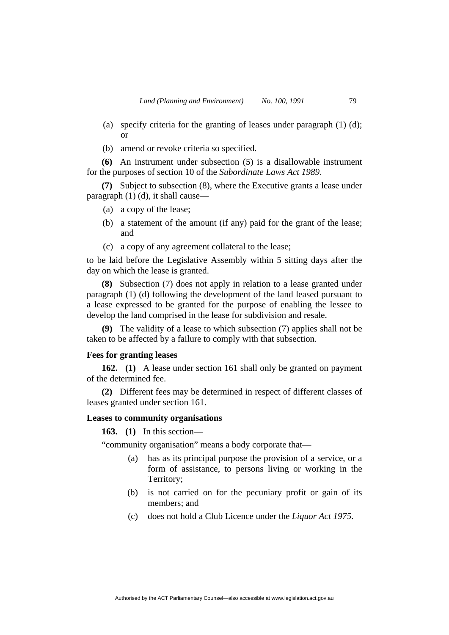- (a) specify criteria for the granting of leases under paragraph (1) (d); or
- (b) amend or revoke criteria so specified.

**(6)** An instrument under subsection (5) is a disallowable instrument for the purposes of section 10 of the *Subordinate Laws Act 1989*.

**(7)** Subject to subsection (8), where the Executive grants a lease under paragraph (1) (d), it shall cause—

- (a) a copy of the lease;
- (b) a statement of the amount (if any) paid for the grant of the lease; and
- (c) a copy of any agreement collateral to the lease;

to be laid before the Legislative Assembly within 5 sitting days after the day on which the lease is granted.

**(8)** Subsection (7) does not apply in relation to a lease granted under paragraph (1) (d) following the development of the land leased pursuant to a lease expressed to be granted for the purpose of enabling the lessee to develop the land comprised in the lease for subdivision and resale.

**(9)** The validity of a lease to which subsection (7) applies shall not be taken to be affected by a failure to comply with that subsection.

## **Fees for granting leases**

**162. (1)** A lease under section 161 shall only be granted on payment of the determined fee.

**(2)** Different fees may be determined in respect of different classes of leases granted under section 161.

# **Leases to community organisations**

**163. (1)** In this section—

"community organisation" means a body corporate that—

- (a) has as its principal purpose the provision of a service, or a form of assistance, to persons living or working in the Territory;
- (b) is not carried on for the pecuniary profit or gain of its members; and
- (c) does not hold a Club Licence under the *Liquor Act 1975*.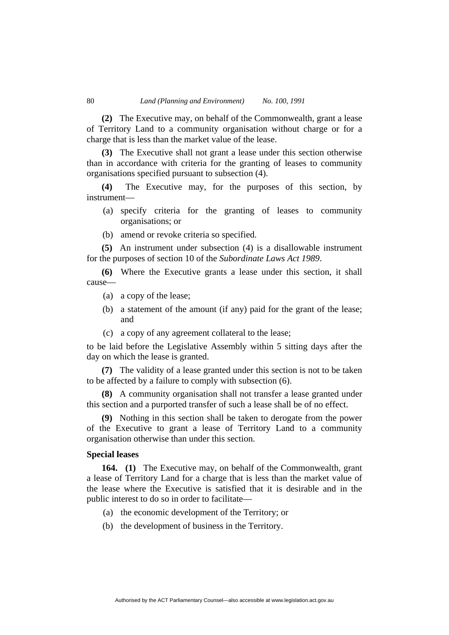**(2)** The Executive may, on behalf of the Commonwealth, grant a lease of Territory Land to a community organisation without charge or for a charge that is less than the market value of the lease.

**(3)** The Executive shall not grant a lease under this section otherwise than in accordance with criteria for the granting of leases to community organisations specified pursuant to subsection (4).

**(4)** The Executive may, for the purposes of this section, by instrument—

- (a) specify criteria for the granting of leases to community organisations; or
- (b) amend or revoke criteria so specified.

**(5)** An instrument under subsection (4) is a disallowable instrument for the purposes of section 10 of the *Subordinate Laws Act 1989*.

**(6)** Where the Executive grants a lease under this section, it shall cause—

- (a) a copy of the lease;
- (b) a statement of the amount (if any) paid for the grant of the lease; and
- (c) a copy of any agreement collateral to the lease;

to be laid before the Legislative Assembly within 5 sitting days after the day on which the lease is granted.

**(7)** The validity of a lease granted under this section is not to be taken to be affected by a failure to comply with subsection (6).

**(8)** A community organisation shall not transfer a lease granted under this section and a purported transfer of such a lease shall be of no effect.

**(9)** Nothing in this section shall be taken to derogate from the power of the Executive to grant a lease of Territory Land to a community organisation otherwise than under this section.

## **Special leases**

**164. (1)** The Executive may, on behalf of the Commonwealth, grant a lease of Territory Land for a charge that is less than the market value of the lease where the Executive is satisfied that it is desirable and in the public interest to do so in order to facilitate—

Authorised by the ACT Parliamentary Counsel—also accessible at www.legislation.act.gov.au

- (a) the economic development of the Territory; or
- (b) the development of business in the Territory.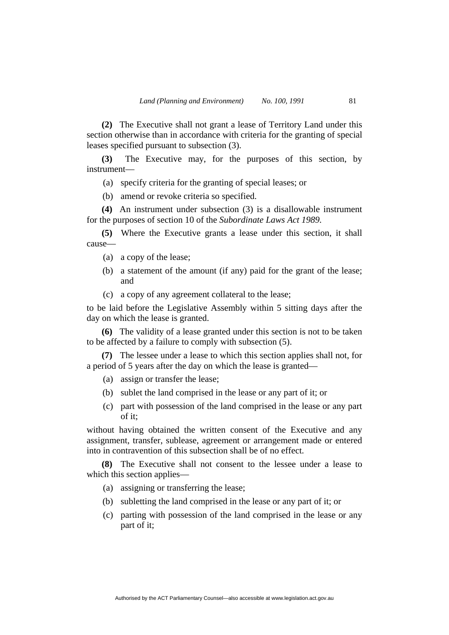**(2)** The Executive shall not grant a lease of Territory Land under this section otherwise than in accordance with criteria for the granting of special leases specified pursuant to subsection (3).

**(3)** The Executive may, for the purposes of this section, by instrument—

(a) specify criteria for the granting of special leases; or

(b) amend or revoke criteria so specified.

**(4)** An instrument under subsection (3) is a disallowable instrument for the purposes of section 10 of the *Subordinate Laws Act 1989.*

**(5)** Where the Executive grants a lease under this section, it shall cause—

- (a) a copy of the lease;
- (b) a statement of the amount (if any) paid for the grant of the lease; and
- (c) a copy of any agreement collateral to the lease;

to be laid before the Legislative Assembly within 5 sitting days after the day on which the lease is granted.

**(6)** The validity of a lease granted under this section is not to be taken to be affected by a failure to comply with subsection (5).

**(7)** The lessee under a lease to which this section applies shall not, for a period of 5 years after the day on which the lease is granted—

- (a) assign or transfer the lease;
- (b) sublet the land comprised in the lease or any part of it; or
- (c) part with possession of the land comprised in the lease or any part of it;

without having obtained the written consent of the Executive and any assignment, transfer, sublease, agreement or arrangement made or entered into in contravention of this subsection shall be of no effect.

**(8)** The Executive shall not consent to the lessee under a lease to which this section applies—

- (a) assigning or transferring the lease;
- (b) subletting the land comprised in the lease or any part of it; or
- (c) parting with possession of the land comprised in the lease or any part of it;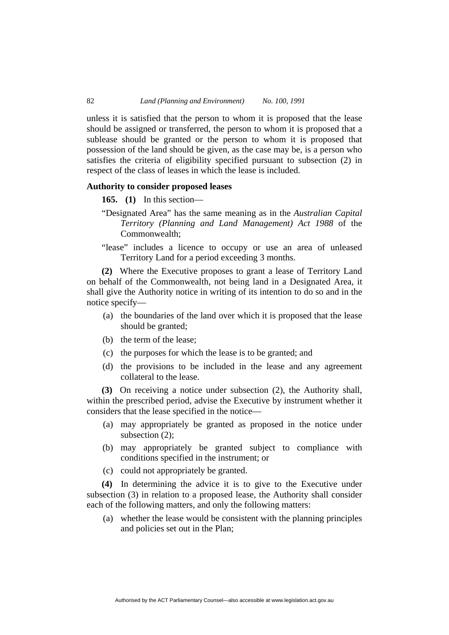unless it is satisfied that the person to whom it is proposed that the lease should be assigned or transferred, the person to whom it is proposed that a sublease should be granted or the person to whom it is proposed that possession of the land should be given, as the case may be, is a person who satisfies the criteria of eligibility specified pursuant to subsection (2) in respect of the class of leases in which the lease is included.

## **Authority to consider proposed leases**

- **165. (1)** In this section—
- "Designated Area" has the same meaning as in the *Australian Capital Territory (Planning and Land Management) Act 1988* of the Commonwealth;
- "lease" includes a licence to occupy or use an area of unleased Territory Land for a period exceeding 3 months.

**(2)** Where the Executive proposes to grant a lease of Territory Land on behalf of the Commonwealth, not being land in a Designated Area, it shall give the Authority notice in writing of its intention to do so and in the notice specify—

- (a) the boundaries of the land over which it is proposed that the lease should be granted;
- (b) the term of the lease;
- (c) the purposes for which the lease is to be granted; and
- (d) the provisions to be included in the lease and any agreement collateral to the lease.

**(3)** On receiving a notice under subsection (2), the Authority shall, within the prescribed period, advise the Executive by instrument whether it considers that the lease specified in the notice—

- (a) may appropriately be granted as proposed in the notice under subsection (2);
- (b) may appropriately be granted subject to compliance with conditions specified in the instrument; or
- (c) could not appropriately be granted.

**(4)** In determining the advice it is to give to the Executive under subsection (3) in relation to a proposed lease, the Authority shall consider each of the following matters, and only the following matters:

Authorised by the ACT Parliamentary Counsel—also accessible at www.legislation.act.gov.au

 (a) whether the lease would be consistent with the planning principles and policies set out in the Plan;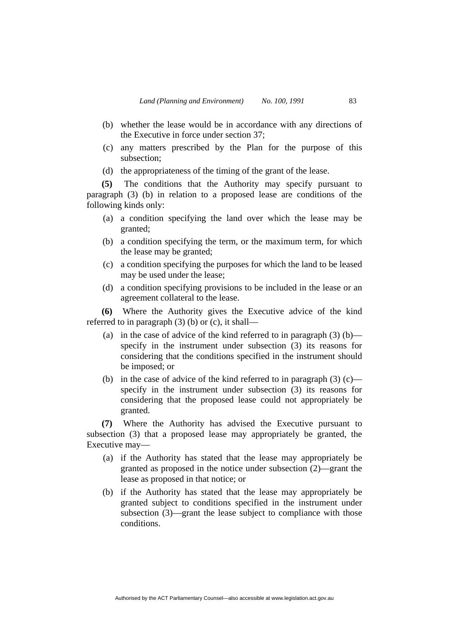- (b) whether the lease would be in accordance with any directions of the Executive in force under section 37;
- (c) any matters prescribed by the Plan for the purpose of this subsection;
- (d) the appropriateness of the timing of the grant of the lease.

**(5)** The conditions that the Authority may specify pursuant to paragraph (3) (b) in relation to a proposed lease are conditions of the following kinds only:

- (a) a condition specifying the land over which the lease may be granted;
- (b) a condition specifying the term, or the maximum term, for which the lease may be granted;
- (c) a condition specifying the purposes for which the land to be leased may be used under the lease;
- (d) a condition specifying provisions to be included in the lease or an agreement collateral to the lease.

**(6)** Where the Authority gives the Executive advice of the kind referred to in paragraph (3) (b) or (c), it shall—

- (a) in the case of advice of the kind referred to in paragraph  $(3)$  (b) specify in the instrument under subsection (3) its reasons for considering that the conditions specified in the instrument should be imposed; or
- (b) in the case of advice of the kind referred to in paragraph  $(3)$  (c) specify in the instrument under subsection (3) its reasons for considering that the proposed lease could not appropriately be granted.

**(7)** Where the Authority has advised the Executive pursuant to subsection (3) that a proposed lease may appropriately be granted, the Executive may—

- (a) if the Authority has stated that the lease may appropriately be granted as proposed in the notice under subsection (2)—grant the lease as proposed in that notice; or
- (b) if the Authority has stated that the lease may appropriately be granted subject to conditions specified in the instrument under subsection (3)—grant the lease subject to compliance with those conditions.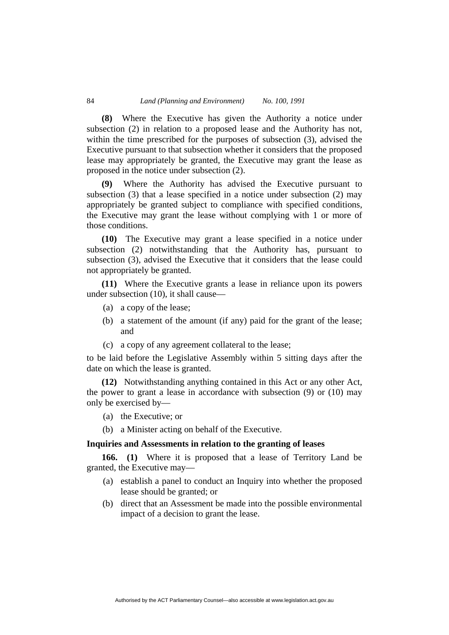**(8)** Where the Executive has given the Authority a notice under subsection (2) in relation to a proposed lease and the Authority has not, within the time prescribed for the purposes of subsection (3), advised the Executive pursuant to that subsection whether it considers that the proposed lease may appropriately be granted, the Executive may grant the lease as proposed in the notice under subsection (2).

**(9)** Where the Authority has advised the Executive pursuant to subsection (3) that a lease specified in a notice under subsection (2) may appropriately be granted subject to compliance with specified conditions, the Executive may grant the lease without complying with 1 or more of those conditions.

**(10)** The Executive may grant a lease specified in a notice under subsection (2) notwithstanding that the Authority has, pursuant to subsection (3), advised the Executive that it considers that the lease could not appropriately be granted.

**(11)** Where the Executive grants a lease in reliance upon its powers under subsection (10), it shall cause—

- (a) a copy of the lease;
- (b) a statement of the amount (if any) paid for the grant of the lease; and
- (c) a copy of any agreement collateral to the lease;

to be laid before the Legislative Assembly within 5 sitting days after the date on which the lease is granted.

**(12)** Notwithstanding anything contained in this Act or any other Act, the power to grant a lease in accordance with subsection (9) or (10) may only be exercised by—

- (a) the Executive; or
- (b) a Minister acting on behalf of the Executive.

# **Inquiries and Assessments in relation to the granting of leases**

**166. (1)** Where it is proposed that a lease of Territory Land be granted, the Executive may—

- (a) establish a panel to conduct an Inquiry into whether the proposed lease should be granted; or
- (b) direct that an Assessment be made into the possible environmental impact of a decision to grant the lease.

Authorised by the ACT Parliamentary Counsel—also accessible at www.legislation.act.gov.au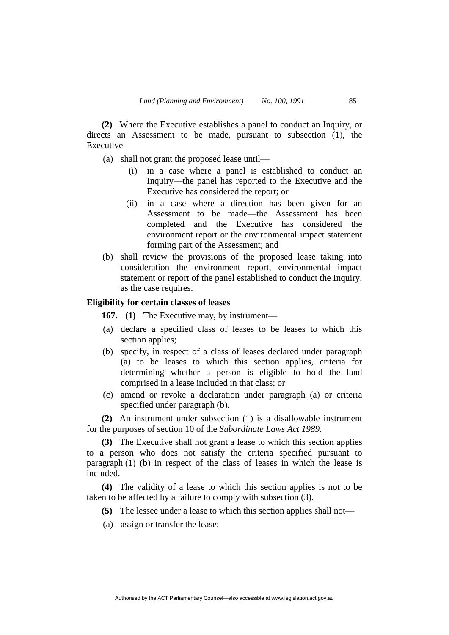**(2)** Where the Executive establishes a panel to conduct an Inquiry, or directs an Assessment to be made, pursuant to subsection (1), the Executive—

- (a) shall not grant the proposed lease until—
	- (i) in a case where a panel is established to conduct an Inquiry—the panel has reported to the Executive and the Executive has considered the report; or
	- (ii) in a case where a direction has been given for an Assessment to be made—the Assessment has been completed and the Executive has considered the environment report or the environmental impact statement forming part of the Assessment; and
- (b) shall review the provisions of the proposed lease taking into consideration the environment report, environmental impact statement or report of the panel established to conduct the Inquiry, as the case requires.

# **Eligibility for certain classes of leases**

**167. (1)** The Executive may, by instrument—

- (a) declare a specified class of leases to be leases to which this section applies;
- (b) specify, in respect of a class of leases declared under paragraph (a) to be leases to which this section applies, criteria for determining whether a person is eligible to hold the land comprised in a lease included in that class; or
- (c) amend or revoke a declaration under paragraph (a) or criteria specified under paragraph (b).

**(2)** An instrument under subsection (1) is a disallowable instrument for the purposes of section 10 of the *Subordinate Laws Act 1989*.

**(3)** The Executive shall not grant a lease to which this section applies to a person who does not satisfy the criteria specified pursuant to paragraph  $(1)$   $(b)$  in respect of the class of leases in which the lease is included.

**(4)** The validity of a lease to which this section applies is not to be taken to be affected by a failure to comply with subsection (3).

- **(5)** The lessee under a lease to which this section applies shall not—
- (a) assign or transfer the lease;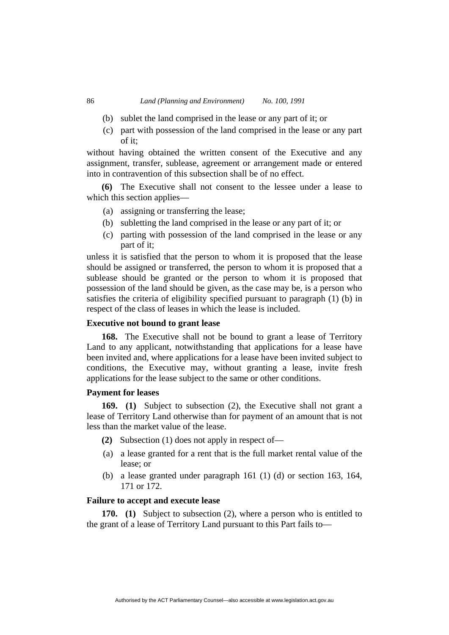- (b) sublet the land comprised in the lease or any part of it; or
- (c) part with possession of the land comprised in the lease or any part of it;

without having obtained the written consent of the Executive and any assignment, transfer, sublease, agreement or arrangement made or entered into in contravention of this subsection shall be of no effect.

**(6)** The Executive shall not consent to the lessee under a lease to which this section applies—

- (a) assigning or transferring the lease;
- (b) subletting the land comprised in the lease or any part of it; or
- (c) parting with possession of the land comprised in the lease or any part of it;

unless it is satisfied that the person to whom it is proposed that the lease should be assigned or transferred, the person to whom it is proposed that a sublease should be granted or the person to whom it is proposed that possession of the land should be given, as the case may be, is a person who satisfies the criteria of eligibility specified pursuant to paragraph (1) (b) in respect of the class of leases in which the lease is included.

## **Executive not bound to grant lease**

**168.** The Executive shall not be bound to grant a lease of Territory Land to any applicant, notwithstanding that applications for a lease have been invited and, where applications for a lease have been invited subject to conditions, the Executive may, without granting a lease, invite fresh applications for the lease subject to the same or other conditions.

# **Payment for leases**

**169. (1)** Subject to subsection (2), the Executive shall not grant a lease of Territory Land otherwise than for payment of an amount that is not less than the market value of the lease.

- **(2)** Subsection (1) does not apply in respect of—
- (a) a lease granted for a rent that is the full market rental value of the lease; or
- (b) a lease granted under paragraph 161 (1) (d) or section 163, 164, 171 or 172.

# **Failure to accept and execute lease**

**170. (1)** Subject to subsection (2), where a person who is entitled to the grant of a lease of Territory Land pursuant to this Part fails to—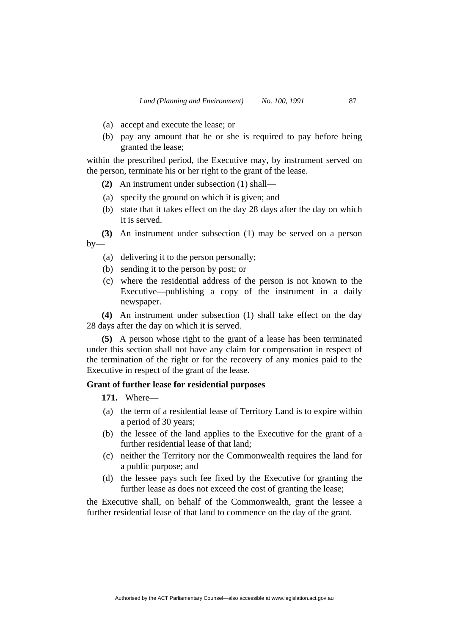- (a) accept and execute the lease; or
- (b) pay any amount that he or she is required to pay before being granted the lease;

within the prescribed period, the Executive may, by instrument served on the person, terminate his or her right to the grant of the lease.

**(2)** An instrument under subsection (1) shall—

- (a) specify the ground on which it is given; and
- (b) state that it takes effect on the day 28 days after the day on which it is served.

**(3)** An instrument under subsection (1) may be served on a person  $by-$ 

- (a) delivering it to the person personally;
- (b) sending it to the person by post; or
- (c) where the residential address of the person is not known to the Executive—publishing a copy of the instrument in a daily newspaper.

**(4)** An instrument under subsection (1) shall take effect on the day 28 days after the day on which it is served.

**(5)** A person whose right to the grant of a lease has been terminated under this section shall not have any claim for compensation in respect of the termination of the right or for the recovery of any monies paid to the Executive in respect of the grant of the lease.

# **Grant of further lease for residential purposes**

**171.** Where—

- (a) the term of a residential lease of Territory Land is to expire within a period of 30 years;
- (b) the lessee of the land applies to the Executive for the grant of a further residential lease of that land;
- (c) neither the Territory nor the Commonwealth requires the land for a public purpose; and
- (d) the lessee pays such fee fixed by the Executive for granting the further lease as does not exceed the cost of granting the lease;

the Executive shall, on behalf of the Commonwealth, grant the lessee a further residential lease of that land to commence on the day of the grant.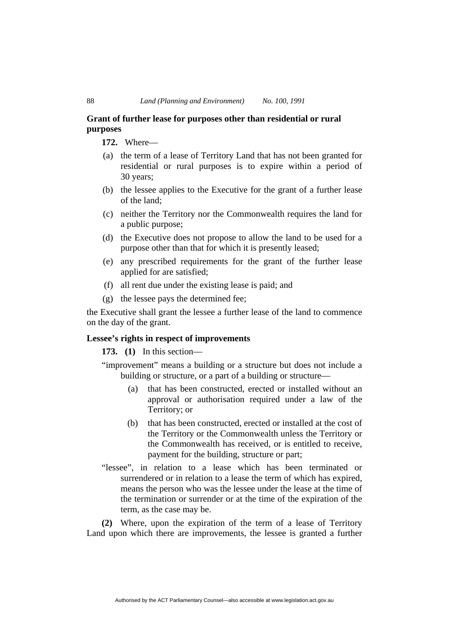# **Grant of further lease for purposes other than residential or rural purposes**

**172.** Where—

- (a) the term of a lease of Territory Land that has not been granted for residential or rural purposes is to expire within a period of 30 years;
- (b) the lessee applies to the Executive for the grant of a further lease of the land;
- (c) neither the Territory nor the Commonwealth requires the land for a public purpose;
- (d) the Executive does not propose to allow the land to be used for a purpose other than that for which it is presently leased;
- (e) any prescribed requirements for the grant of the further lease applied for are satisfied;
- (f) all rent due under the existing lease is paid; and
- (g) the lessee pays the determined fee;

the Executive shall grant the lessee a further lease of the land to commence on the day of the grant.

# **Lessee's rights in respect of improvements**

**173. (1)** In this section—

"improvement" means a building or a structure but does not include a building or structure, or a part of a building or structure—

- (a) that has been constructed, erected or installed without an approval or authorisation required under a law of the Territory; or
- (b) that has been constructed, erected or installed at the cost of the Territory or the Commonwealth unless the Territory or the Commonwealth has received, or is entitled to receive, payment for the building, structure or part;
- "lessee", in relation to a lease which has been terminated or surrendered or in relation to a lease the term of which has expired, means the person who was the lessee under the lease at the time of the termination or surrender or at the time of the expiration of the term, as the case may be.

**(2)** Where, upon the expiration of the term of a lease of Territory Land upon which there are improvements, the lessee is granted a further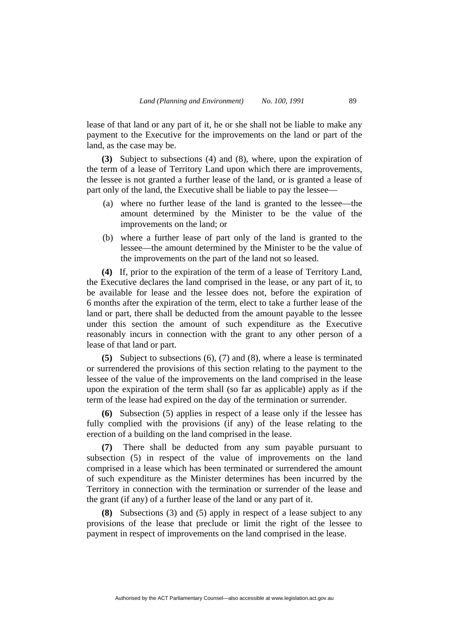lease of that land or any part of it, he or she shall not be liable to make any payment to the Executive for the improvements on the land or part of the land, as the case may be.

**(3)** Subject to subsections (4) and (8), where, upon the expiration of the term of a lease of Territory Land upon which there are improvements, the lessee is not granted a further lease of the land, or is granted a lease of part only of the land, the Executive shall be liable to pay the lessee—

- (a) where no further lease of the land is granted to the lessee—the amount determined by the Minister to be the value of the improvements on the land; or
- (b) where a further lease of part only of the land is granted to the lessee—the amount determined by the Minister to be the value of the improvements on the part of the land not so leased.

**(4)** If, prior to the expiration of the term of a lease of Territory Land, the Executive declares the land comprised in the lease, or any part of it, to be available for lease and the lessee does not, before the expiration of 6 months after the expiration of the term, elect to take a further lease of the land or part, there shall be deducted from the amount payable to the lessee under this section the amount of such expenditure as the Executive reasonably incurs in connection with the grant to any other person of a lease of that land or part.

**(5)** Subject to subsections (6), (7) and (8), where a lease is terminated or surrendered the provisions of this section relating to the payment to the lessee of the value of the improvements on the land comprised in the lease upon the expiration of the term shall (so far as applicable) apply as if the term of the lease had expired on the day of the termination or surrender.

**(6)** Subsection (5) applies in respect of a lease only if the lessee has fully complied with the provisions (if any) of the lease relating to the erection of a building on the land comprised in the lease.

**(7)** There shall be deducted from any sum payable pursuant to subsection (5) in respect of the value of improvements on the land comprised in a lease which has been terminated or surrendered the amount of such expenditure as the Minister determines has been incurred by the Territory in connection with the termination or surrender of the lease and the grant (if any) of a further lease of the land or any part of it.

**(8)** Subsections (3) and (5) apply in respect of a lease subject to any provisions of the lease that preclude or limit the right of the lessee to payment in respect of improvements on the land comprised in the lease.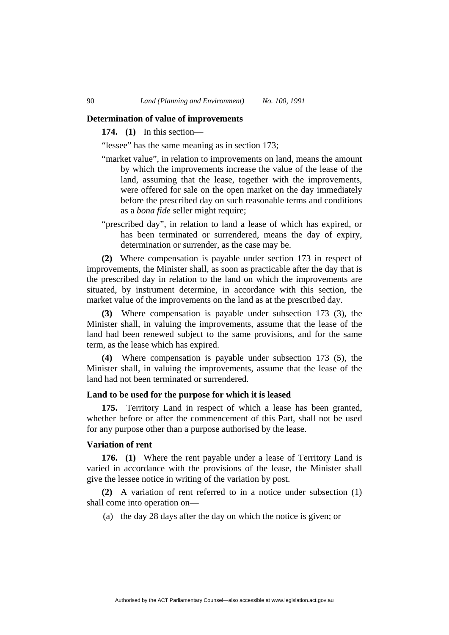## **Determination of value of improvements**

**174. (1)** In this section—

"lessee" has the same meaning as in section 173;

- "market value", in relation to improvements on land, means the amount by which the improvements increase the value of the lease of the land, assuming that the lease, together with the improvements, were offered for sale on the open market on the day immediately before the prescribed day on such reasonable terms and conditions as a *bona fide* seller might require;
- "prescribed day", in relation to land a lease of which has expired, or has been terminated or surrendered, means the day of expiry, determination or surrender, as the case may be.

**(2)** Where compensation is payable under section 173 in respect of improvements, the Minister shall, as soon as practicable after the day that is the prescribed day in relation to the land on which the improvements are situated, by instrument determine, in accordance with this section, the market value of the improvements on the land as at the prescribed day.

**(3)** Where compensation is payable under subsection 173 (3), the Minister shall, in valuing the improvements, assume that the lease of the land had been renewed subject to the same provisions, and for the same term, as the lease which has expired.

**(4)** Where compensation is payable under subsection 173 (5), the Minister shall, in valuing the improvements, assume that the lease of the land had not been terminated or surrendered.

# **Land to be used for the purpose for which it is leased**

**175.** Territory Land in respect of which a lease has been granted, whether before or after the commencement of this Part, shall not be used for any purpose other than a purpose authorised by the lease.

# **Variation of rent**

**176. (1)** Where the rent payable under a lease of Territory Land is varied in accordance with the provisions of the lease, the Minister shall give the lessee notice in writing of the variation by post.

**(2)** A variation of rent referred to in a notice under subsection (1) shall come into operation on—

(a) the day 28 days after the day on which the notice is given; or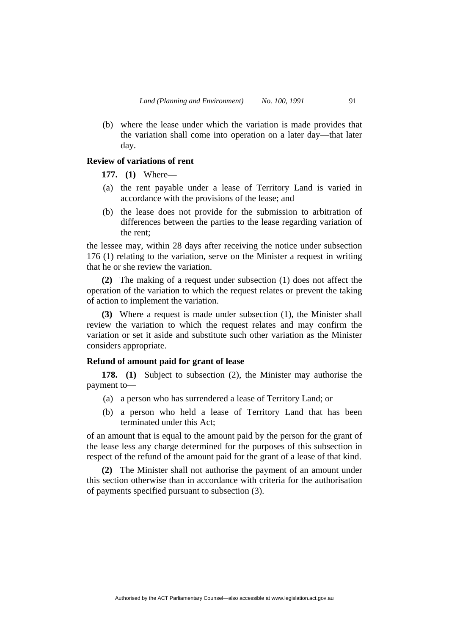(b) where the lease under which the variation is made provides that the variation shall come into operation on a later day—that later day.

# **Review of variations of rent**

**177. (1)** Where—

- (a) the rent payable under a lease of Territory Land is varied in accordance with the provisions of the lease; and
- (b) the lease does not provide for the submission to arbitration of differences between the parties to the lease regarding variation of the rent;

the lessee may, within 28 days after receiving the notice under subsection 176 (1) relating to the variation, serve on the Minister a request in writing that he or she review the variation.

**(2)** The making of a request under subsection (1) does not affect the operation of the variation to which the request relates or prevent the taking of action to implement the variation.

**(3)** Where a request is made under subsection (1), the Minister shall review the variation to which the request relates and may confirm the variation or set it aside and substitute such other variation as the Minister considers appropriate.

# **Refund of amount paid for grant of lease**

**178. (1)** Subject to subsection (2), the Minister may authorise the payment to—

- (a) a person who has surrendered a lease of Territory Land; or
- (b) a person who held a lease of Territory Land that has been terminated under this Act;

of an amount that is equal to the amount paid by the person for the grant of the lease less any charge determined for the purposes of this subsection in respect of the refund of the amount paid for the grant of a lease of that kind.

**(2)** The Minister shall not authorise the payment of an amount under this section otherwise than in accordance with criteria for the authorisation of payments specified pursuant to subsection (3).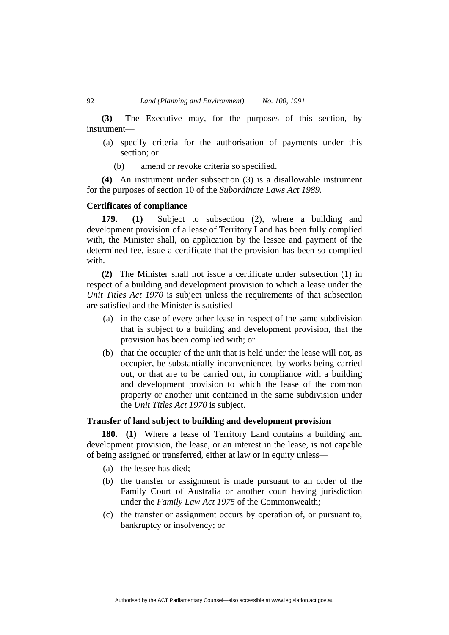**(3)** The Executive may, for the purposes of this section, by instrument—

- (a) specify criteria for the authorisation of payments under this section; or
	- (b) amend or revoke criteria so specified.

**(4)** An instrument under subsection (3) is a disallowable instrument for the purposes of section 10 of the *Subordinate Laws Act 1989.*

## **Certificates of compliance**

**179. (1)** Subject to subsection (2), where a building and development provision of a lease of Territory Land has been fully complied with, the Minister shall, on application by the lessee and payment of the determined fee, issue a certificate that the provision has been so complied with.

**(2)** The Minister shall not issue a certificate under subsection (1) in respect of a building and development provision to which a lease under the *Unit Titles Act 1970* is subject unless the requirements of that subsection are satisfied and the Minister is satisfied—

- (a) in the case of every other lease in respect of the same subdivision that is subject to a building and development provision, that the provision has been complied with; or
- (b) that the occupier of the unit that is held under the lease will not, as occupier, be substantially inconvenienced by works being carried out, or that are to be carried out, in compliance with a building and development provision to which the lease of the common property or another unit contained in the same subdivision under the *Unit Titles Act 1970* is subject.

# **Transfer of land subject to building and development provision**

**180. (1)** Where a lease of Territory Land contains a building and development provision, the lease, or an interest in the lease, is not capable of being assigned or transferred, either at law or in equity unless—

- (a) the lessee has died;
- (b) the transfer or assignment is made pursuant to an order of the Family Court of Australia or another court having jurisdiction under the *Family Law Act 1975* of the Commonwealth;
- (c) the transfer or assignment occurs by operation of, or pursuant to, bankruptcy or insolvency; or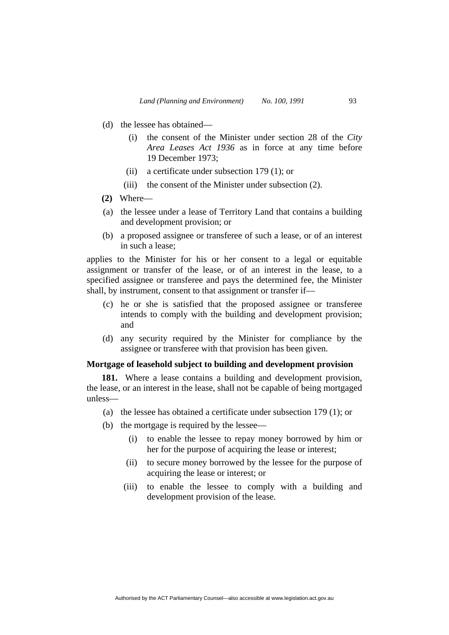- (d) the lessee has obtained—
	- (i) the consent of the Minister under section 28 of the *City Area Leases Act 1936* as in force at any time before 19 December 1973;
	- (ii) a certificate under subsection 179 (1); or
	- (iii) the consent of the Minister under subsection (2).
- **(2)** Where—
- (a) the lessee under a lease of Territory Land that contains a building and development provision; or
- (b) a proposed assignee or transferee of such a lease, or of an interest in such a lease;

applies to the Minister for his or her consent to a legal or equitable assignment or transfer of the lease, or of an interest in the lease, to a specified assignee or transferee and pays the determined fee, the Minister shall, by instrument, consent to that assignment or transfer if—

- (c) he or she is satisfied that the proposed assignee or transferee intends to comply with the building and development provision; and
- (d) any security required by the Minister for compliance by the assignee or transferee with that provision has been given.

# **Mortgage of leasehold subject to building and development provision**

**181.** Where a lease contains a building and development provision, the lease, or an interest in the lease, shall not be capable of being mortgaged unless—

- (a) the lessee has obtained a certificate under subsection 179 (1); or
- (b) the mortgage is required by the lessee—
	- (i) to enable the lessee to repay money borrowed by him or her for the purpose of acquiring the lease or interest;
	- (ii) to secure money borrowed by the lessee for the purpose of acquiring the lease or interest; or
	- (iii) to enable the lessee to comply with a building and development provision of the lease.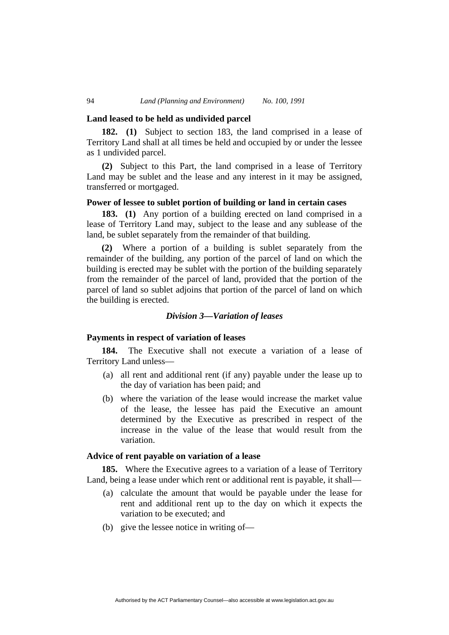## **Land leased to be held as undivided parcel**

**182. (1)** Subject to section 183, the land comprised in a lease of Territory Land shall at all times be held and occupied by or under the lessee as 1 undivided parcel.

**(2)** Subject to this Part, the land comprised in a lease of Territory Land may be sublet and the lease and any interest in it may be assigned, transferred or mortgaged.

# **Power of lessee to sublet portion of building or land in certain cases**

**183. (1)** Any portion of a building erected on land comprised in a lease of Territory Land may, subject to the lease and any sublease of the land, be sublet separately from the remainder of that building.

**(2)** Where a portion of a building is sublet separately from the remainder of the building, any portion of the parcel of land on which the building is erected may be sublet with the portion of the building separately from the remainder of the parcel of land, provided that the portion of the parcel of land so sublet adjoins that portion of the parcel of land on which the building is erected.

#### *Division 3—Variation of leases*

# **Payments in respect of variation of leases**

**184.** The Executive shall not execute a variation of a lease of Territory Land unless—

- (a) all rent and additional rent (if any) payable under the lease up to the day of variation has been paid; and
- (b) where the variation of the lease would increase the market value of the lease, the lessee has paid the Executive an amount determined by the Executive as prescribed in respect of the increase in the value of the lease that would result from the variation.

# **Advice of rent payable on variation of a lease**

**185.** Where the Executive agrees to a variation of a lease of Territory Land, being a lease under which rent or additional rent is payable, it shall—

- (a) calculate the amount that would be payable under the lease for rent and additional rent up to the day on which it expects the variation to be executed; and
- (b) give the lessee notice in writing of—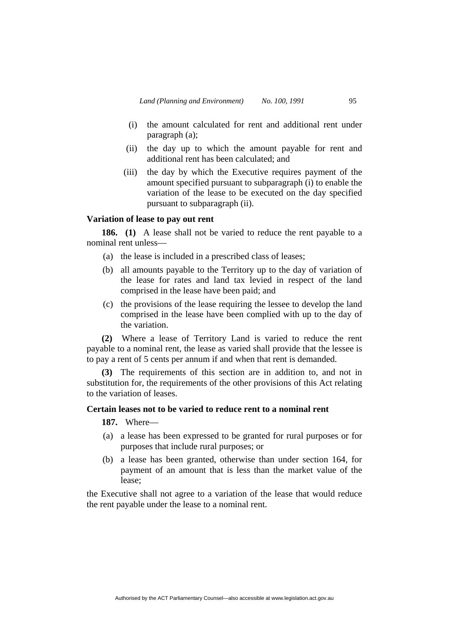- (i) the amount calculated for rent and additional rent under paragraph (a);
- (ii) the day up to which the amount payable for rent and additional rent has been calculated; and
- (iii) the day by which the Executive requires payment of the amount specified pursuant to subparagraph (i) to enable the variation of the lease to be executed on the day specified pursuant to subparagraph (ii).

# **Variation of lease to pay out rent**

**186. (1)** A lease shall not be varied to reduce the rent payable to a nominal rent unless—

- (a) the lease is included in a prescribed class of leases;
- (b) all amounts payable to the Territory up to the day of variation of the lease for rates and land tax levied in respect of the land comprised in the lease have been paid; and
- (c) the provisions of the lease requiring the lessee to develop the land comprised in the lease have been complied with up to the day of the variation.

**(2)** Where a lease of Territory Land is varied to reduce the rent payable to a nominal rent, the lease as varied shall provide that the lessee is to pay a rent of 5 cents per annum if and when that rent is demanded.

**(3)** The requirements of this section are in addition to, and not in substitution for, the requirements of the other provisions of this Act relating to the variation of leases.

# **Certain leases not to be varied to reduce rent to a nominal rent**

**187.** Where—

- (a) a lease has been expressed to be granted for rural purposes or for purposes that include rural purposes; or
- (b) a lease has been granted, otherwise than under section 164, for payment of an amount that is less than the market value of the lease;

the Executive shall not agree to a variation of the lease that would reduce the rent payable under the lease to a nominal rent.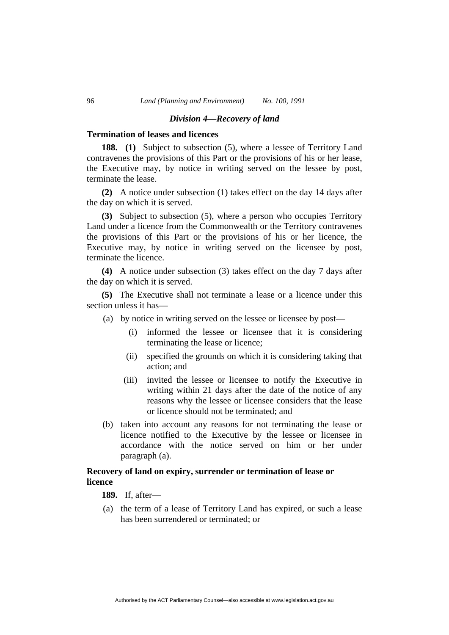## *Division 4—Recovery of land*

## **Termination of leases and licences**

**188. (1)** Subject to subsection (5), where a lessee of Territory Land contravenes the provisions of this Part or the provisions of his or her lease, the Executive may, by notice in writing served on the lessee by post, terminate the lease.

**(2)** A notice under subsection (1) takes effect on the day 14 days after the day on which it is served.

**(3)** Subject to subsection (5), where a person who occupies Territory Land under a licence from the Commonwealth or the Territory contravenes the provisions of this Part or the provisions of his or her licence, the Executive may, by notice in writing served on the licensee by post, terminate the licence.

**(4)** A notice under subsection (3) takes effect on the day 7 days after the day on which it is served.

**(5)** The Executive shall not terminate a lease or a licence under this section unless it has—

- (a) by notice in writing served on the lessee or licensee by post—
	- (i) informed the lessee or licensee that it is considering terminating the lease or licence;
	- (ii) specified the grounds on which it is considering taking that action; and
	- (iii) invited the lessee or licensee to notify the Executive in writing within 21 days after the date of the notice of any reasons why the lessee or licensee considers that the lease or licence should not be terminated; and
- (b) taken into account any reasons for not terminating the lease or licence notified to the Executive by the lessee or licensee in accordance with the notice served on him or her under paragraph (a).

# **Recovery of land on expiry, surrender or termination of lease or licence**

**189.** If, after—

 (a) the term of a lease of Territory Land has expired, or such a lease has been surrendered or terminated; or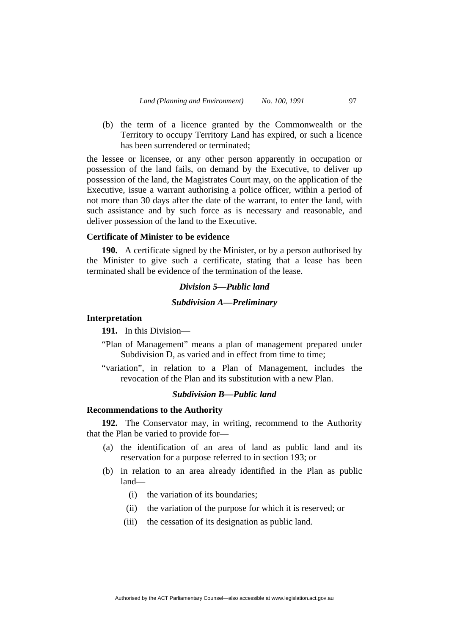(b) the term of a licence granted by the Commonwealth or the Territory to occupy Territory Land has expired, or such a licence has been surrendered or terminated;

the lessee or licensee, or any other person apparently in occupation or possession of the land fails, on demand by the Executive, to deliver up possession of the land, the Magistrates Court may, on the application of the Executive, issue a warrant authorising a police officer, within a period of not more than 30 days after the date of the warrant, to enter the land, with such assistance and by such force as is necessary and reasonable, and deliver possession of the land to the Executive.

## **Certificate of Minister to be evidence**

**190.** A certificate signed by the Minister, or by a person authorised by the Minister to give such a certificate, stating that a lease has been terminated shall be evidence of the termination of the lease.

# *Division 5—Public land*

## *Subdivision A—Preliminary*

# **Interpretation**

**191.** In this Division—

- "Plan of Management" means a plan of management prepared under Subdivision D, as varied and in effect from time to time;
- "variation", in relation to a Plan of Management, includes the revocation of the Plan and its substitution with a new Plan.

# *Subdivision B—Public land*

## **Recommendations to the Authority**

**192.** The Conservator may, in writing, recommend to the Authority that the Plan be varied to provide for—

- (a) the identification of an area of land as public land and its reservation for a purpose referred to in section 193; or
- (b) in relation to an area already identified in the Plan as public land—
	- (i) the variation of its boundaries;
	- (ii) the variation of the purpose for which it is reserved; or
	- (iii) the cessation of its designation as public land.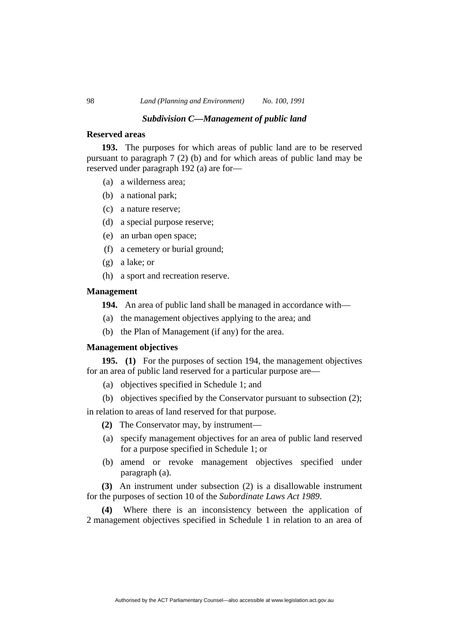### *Subdivision C—Management of public land*

## **Reserved areas**

**193.** The purposes for which areas of public land are to be reserved pursuant to paragraph 7 (2) (b) and for which areas of public land may be reserved under paragraph 192 (a) are for—

- (a) a wilderness area;
- (b) a national park;
- (c) a nature reserve;
- (d) a special purpose reserve;
- (e) an urban open space;
- (f) a cemetery or burial ground;
- (g) a lake; or
- (h) a sport and recreation reserve.

#### **Management**

**194.** An area of public land shall be managed in accordance with—

- (a) the management objectives applying to the area; and
- (b) the Plan of Management (if any) for the area.

# **Management objectives**

**195. (1)** For the purposes of section 194, the management objectives for an area of public land reserved for a particular purpose are—

- (a) objectives specified in Schedule 1; and
- (b) objectives specified by the Conservator pursuant to subsection (2);

in relation to areas of land reserved for that purpose.

- **(2)** The Conservator may, by instrument—
- (a) specify management objectives for an area of public land reserved for a purpose specified in Schedule 1; or
- (b) amend or revoke management objectives specified under paragraph (a).

**(3)** An instrument under subsection (2) is a disallowable instrument for the purposes of section 10 of the *Subordinate Laws Act 1989*.

**(4)** Where there is an inconsistency between the application of 2 management objectives specified in Schedule 1 in relation to an area of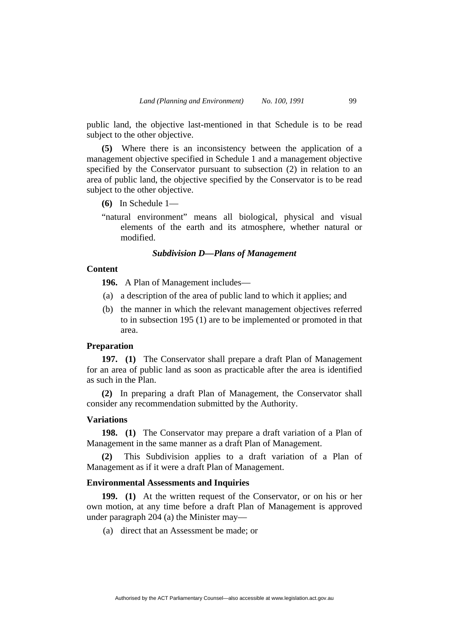public land, the objective last-mentioned in that Schedule is to be read subject to the other objective.

**(5)** Where there is an inconsistency between the application of a management objective specified in Schedule 1 and a management objective specified by the Conservator pursuant to subsection (2) in relation to an area of public land, the objective specified by the Conservator is to be read subject to the other objective.

- **(6)** In Schedule 1—
- "natural environment" means all biological, physical and visual elements of the earth and its atmosphere, whether natural or modified.

# *Subdivision D—Plans of Management*

# **Content**

**196.** A Plan of Management includes—

- (a) a description of the area of public land to which it applies; and
- (b) the manner in which the relevant management objectives referred to in subsection 195 (1) are to be implemented or promoted in that area.

# **Preparation**

**197. (1)** The Conservator shall prepare a draft Plan of Management for an area of public land as soon as practicable after the area is identified as such in the Plan.

**(2)** In preparing a draft Plan of Management, the Conservator shall consider any recommendation submitted by the Authority.

# **Variations**

**198. (1)** The Conservator may prepare a draft variation of a Plan of Management in the same manner as a draft Plan of Management.

**(2)** This Subdivision applies to a draft variation of a Plan of Management as if it were a draft Plan of Management.

## **Environmental Assessments and Inquiries**

**199. (1)** At the written request of the Conservator, or on his or her own motion, at any time before a draft Plan of Management is approved under paragraph 204 (a) the Minister may—

(a) direct that an Assessment be made; or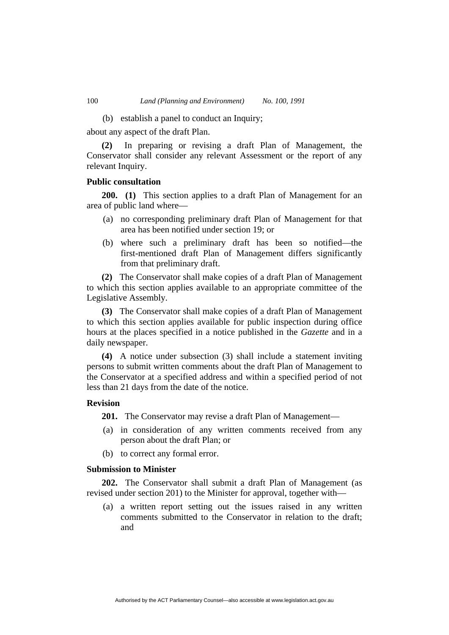(b) establish a panel to conduct an Inquiry;

about any aspect of the draft Plan.

**(2)** In preparing or revising a draft Plan of Management, the Conservator shall consider any relevant Assessment or the report of any relevant Inquiry.

## **Public consultation**

**200. (1)** This section applies to a draft Plan of Management for an area of public land where—

- (a) no corresponding preliminary draft Plan of Management for that area has been notified under section 19; or
- (b) where such a preliminary draft has been so notified—the first-mentioned draft Plan of Management differs significantly from that preliminary draft.

**(2)** The Conservator shall make copies of a draft Plan of Management to which this section applies available to an appropriate committee of the Legislative Assembly.

**(3)** The Conservator shall make copies of a draft Plan of Management to which this section applies available for public inspection during office hours at the places specified in a notice published in the *Gazette* and in a daily newspaper.

**(4)** A notice under subsection (3) shall include a statement inviting persons to submit written comments about the draft Plan of Management to the Conservator at a specified address and within a specified period of not less than 21 days from the date of the notice.

## **Revision**

**201.** The Conservator may revise a draft Plan of Management—

- (a) in consideration of any written comments received from any person about the draft Plan; or
- (b) to correct any formal error.

## **Submission to Minister**

**202.** The Conservator shall submit a draft Plan of Management (as revised under section 201) to the Minister for approval, together with—

 (a) a written report setting out the issues raised in any written comments submitted to the Conservator in relation to the draft; and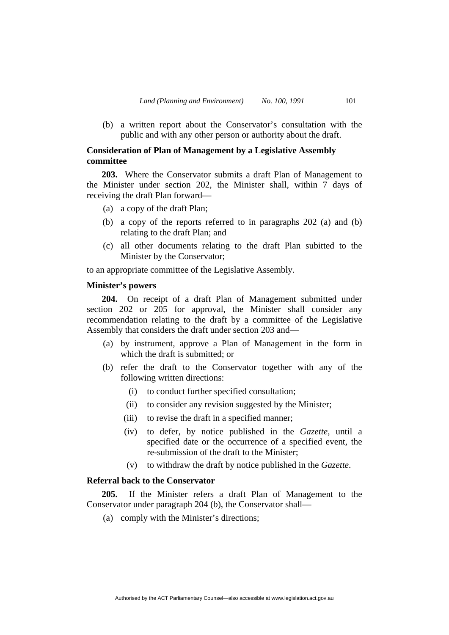(b) a written report about the Conservator's consultation with the public and with any other person or authority about the draft.

# **Consideration of Plan of Management by a Legislative Assembly committee**

**203.** Where the Conservator submits a draft Plan of Management to the Minister under section 202, the Minister shall, within 7 days of receiving the draft Plan forward—

- (a) a copy of the draft Plan;
- (b) a copy of the reports referred to in paragraphs 202 (a) and (b) relating to the draft Plan; and
- (c) all other documents relating to the draft Plan subitted to the Minister by the Conservator;

to an appropriate committee of the Legislative Assembly.

## **Minister's powers**

**204.** On receipt of a draft Plan of Management submitted under section 202 or 205 for approval, the Minister shall consider any recommendation relating to the draft by a committee of the Legislative Assembly that considers the draft under section 203 and—

- (a) by instrument, approve a Plan of Management in the form in which the draft is submitted; or
- (b) refer the draft to the Conservator together with any of the following written directions:
	- (i) to conduct further specified consultation;
	- (ii) to consider any revision suggested by the Minister;
	- (iii) to revise the draft in a specified manner;
	- (iv) to defer, by notice published in the *Gazette*, until a specified date or the occurrence of a specified event, the re-submission of the draft to the Minister;
	- (v) to withdraw the draft by notice published in the *Gazette*.

# **Referral back to the Conservator**

**205.** If the Minister refers a draft Plan of Management to the Conservator under paragraph 204 (b), the Conservator shall—

(a) comply with the Minister's directions;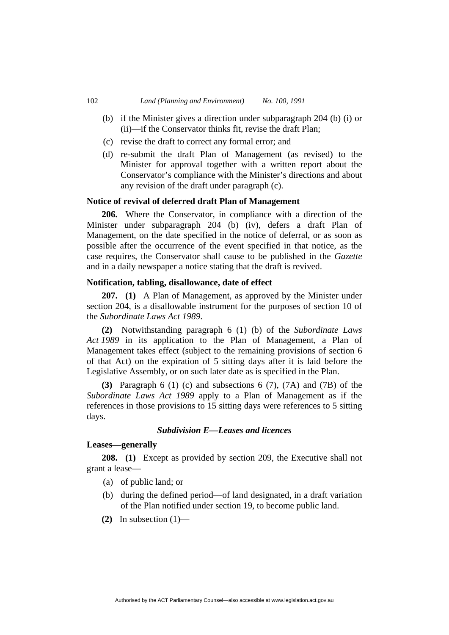- (b) if the Minister gives a direction under subparagraph 204 (b) (i) or (ii)—if the Conservator thinks fit, revise the draft Plan;
- (c) revise the draft to correct any formal error; and
- (d) re-submit the draft Plan of Management (as revised) to the Minister for approval together with a written report about the Conservator's compliance with the Minister's directions and about any revision of the draft under paragraph (c).

## **Notice of revival of deferred draft Plan of Management**

**206.** Where the Conservator, in compliance with a direction of the Minister under subparagraph 204 (b) (iv), defers a draft Plan of Management, on the date specified in the notice of deferral, or as soon as possible after the occurrence of the event specified in that notice, as the case requires, the Conservator shall cause to be published in the *Gazette*  and in a daily newspaper a notice stating that the draft is revived.

## **Notification, tabling, disallowance, date of effect**

**207. (1)** A Plan of Management, as approved by the Minister under section 204, is a disallowable instrument for the purposes of section 10 of the *Subordinate Laws Act 1989*.

**(2)** Notwithstanding paragraph 6 (1) (b) of the *Subordinate Laws Act 1989* in its application to the Plan of Management, a Plan of Management takes effect (subject to the remaining provisions of section 6 of that Act) on the expiration of 5 sitting days after it is laid before the Legislative Assembly, or on such later date as is specified in the Plan.

**(3)** Paragraph 6 (1) (c) and subsections 6 (7), (7A) and (7B) of the *Subordinate Laws Act 1989* apply to a Plan of Management as if the references in those provisions to 15 sitting days were references to 5 sitting days.

# *Subdivision E—Leases and licences*

## **Leases—generally**

**208. (1)** Except as provided by section 209, the Executive shall not grant a lease—

- (a) of public land; or
- (b) during the defined period—of land designated, in a draft variation of the Plan notified under section 19, to become public land.
- **(2)** In subsection (1)—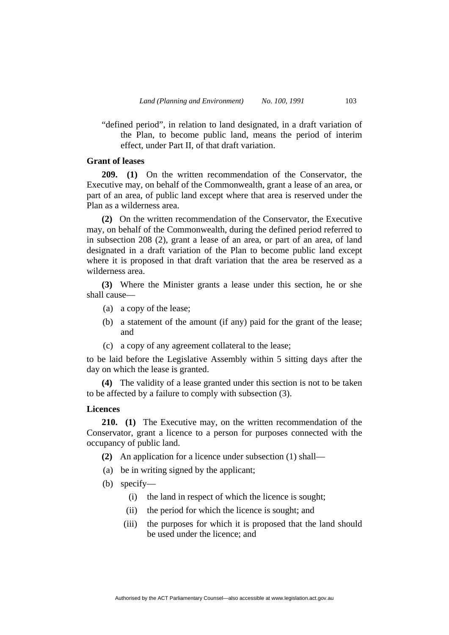"defined period", in relation to land designated, in a draft variation of the Plan, to become public land, means the period of interim effect, under Part II, of that draft variation.

# **Grant of leases**

**209. (1)** On the written recommendation of the Conservator, the Executive may, on behalf of the Commonwealth, grant a lease of an area, or part of an area, of public land except where that area is reserved under the Plan as a wilderness area.

**(2)** On the written recommendation of the Conservator, the Executive may, on behalf of the Commonwealth, during the defined period referred to in subsection 208 (2), grant a lease of an area, or part of an area, of land designated in a draft variation of the Plan to become public land except where it is proposed in that draft variation that the area be reserved as a wilderness area.

**(3)** Where the Minister grants a lease under this section, he or she shall cause—

- (a) a copy of the lease;
- (b) a statement of the amount (if any) paid for the grant of the lease; and
- (c) a copy of any agreement collateral to the lease;

to be laid before the Legislative Assembly within 5 sitting days after the day on which the lease is granted.

**(4)** The validity of a lease granted under this section is not to be taken to be affected by a failure to comply with subsection (3).

# **Licences**

**210. (1)** The Executive may, on the written recommendation of the Conservator, grant a licence to a person for purposes connected with the occupancy of public land.

**(2)** An application for a licence under subsection (1) shall—

- (a) be in writing signed by the applicant;
- (b) specify—
	- (i) the land in respect of which the licence is sought;
	- (ii) the period for which the licence is sought; and
	- (iii) the purposes for which it is proposed that the land should be used under the licence; and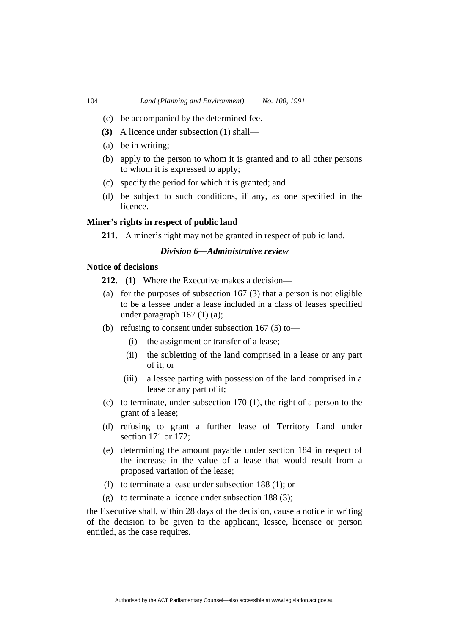- (c) be accompanied by the determined fee.
- **(3)** A licence under subsection (1) shall—
- (a) be in writing;
- (b) apply to the person to whom it is granted and to all other persons to whom it is expressed to apply;
- (c) specify the period for which it is granted; and
- (d) be subject to such conditions, if any, as one specified in the licence.

## **Miner's rights in respect of public land**

**211.** A miner's right may not be granted in respect of public land.

# *Division 6—Administrative review*

## **Notice of decisions**

- **212. (1)** Where the Executive makes a decision—
- (a) for the purposes of subsection  $167$  (3) that a person is not eligible to be a lessee under a lease included in a class of leases specified under paragraph 167 (1) (a);
- (b) refusing to consent under subsection 167 (5) to—
	- (i) the assignment or transfer of a lease;
	- (ii) the subletting of the land comprised in a lease or any part of it; or
	- (iii) a lessee parting with possession of the land comprised in a lease or any part of it;
- (c) to terminate, under subsection 170 (1), the right of a person to the grant of a lease;
- (d) refusing to grant a further lease of Territory Land under section 171 or 172;
- (e) determining the amount payable under section 184 in respect of the increase in the value of a lease that would result from a proposed variation of the lease;
- (f) to terminate a lease under subsection 188 (1); or
- (g) to terminate a licence under subsection 188 (3);

the Executive shall, within 28 days of the decision, cause a notice in writing of the decision to be given to the applicant, lessee, licensee or person entitled, as the case requires.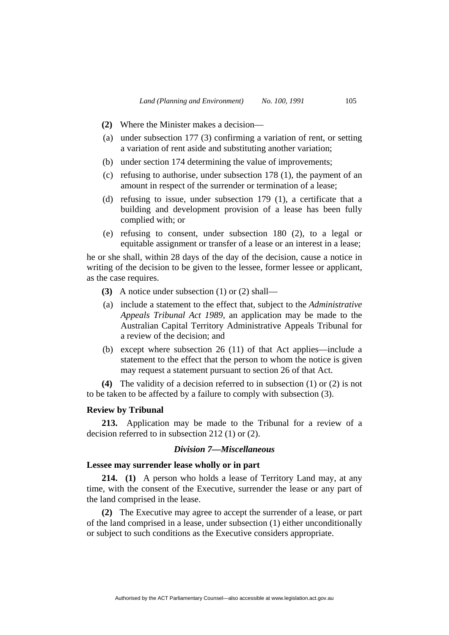- **(2)** Where the Minister makes a decision—
- (a) under subsection 177 (3) confirming a variation of rent, or setting a variation of rent aside and substituting another variation;
- (b) under section 174 determining the value of improvements;
- (c) refusing to authorise, under subsection 178 (1), the payment of an amount in respect of the surrender or termination of a lease;
- (d) refusing to issue, under subsection 179 (1), a certificate that a building and development provision of a lease has been fully complied with; or
- (e) refusing to consent, under subsection 180 (2), to a legal or equitable assignment or transfer of a lease or an interest in a lease;

he or she shall, within 28 days of the day of the decision, cause a notice in writing of the decision to be given to the lessee, former lessee or applicant, as the case requires.

- **(3)** A notice under subsection (1) or (2) shall—
- (a) include a statement to the effect that, subject to the *Administrative Appeals Tribunal Act 1989*, an application may be made to the Australian Capital Territory Administrative Appeals Tribunal for a review of the decision; and
- (b) except where subsection 26 (11) of that Act applies—include a statement to the effect that the person to whom the notice is given may request a statement pursuant to section 26 of that Act.

**(4)** The validity of a decision referred to in subsection (1) or (2) is not to be taken to be affected by a failure to comply with subsection (3).

## **Review by Tribunal**

**213.** Application may be made to the Tribunal for a review of a decision referred to in subsection 212 (1) or (2).

# *Division 7—Miscellaneous*

## **Lessee may surrender lease wholly or in part**

**214. (1)** A person who holds a lease of Territory Land may, at any time, with the consent of the Executive, surrender the lease or any part of the land comprised in the lease.

**(2)** The Executive may agree to accept the surrender of a lease, or part of the land comprised in a lease, under subsection (1) either unconditionally or subject to such conditions as the Executive considers appropriate.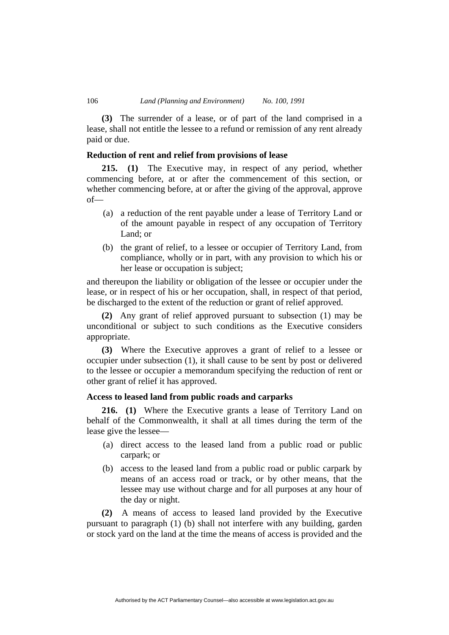**(3)** The surrender of a lease, or of part of the land comprised in a lease, shall not entitle the lessee to a refund or remission of any rent already paid or due.

## **Reduction of rent and relief from provisions of lease**

**215. (1)** The Executive may, in respect of any period, whether commencing before, at or after the commencement of this section, or whether commencing before, at or after the giving of the approval, approve of—

- (a) a reduction of the rent payable under a lease of Territory Land or of the amount payable in respect of any occupation of Territory Land; or
- (b) the grant of relief, to a lessee or occupier of Territory Land, from compliance, wholly or in part, with any provision to which his or her lease or occupation is subject;

and thereupon the liability or obligation of the lessee or occupier under the lease, or in respect of his or her occupation, shall, in respect of that period, be discharged to the extent of the reduction or grant of relief approved.

**(2)** Any grant of relief approved pursuant to subsection (1) may be unconditional or subject to such conditions as the Executive considers appropriate.

**(3)** Where the Executive approves a grant of relief to a lessee or occupier under subsection (1), it shall cause to be sent by post or delivered to the lessee or occupier a memorandum specifying the reduction of rent or other grant of relief it has approved.

# **Access to leased land from public roads and carparks**

**216. (1)** Where the Executive grants a lease of Territory Land on behalf of the Commonwealth, it shall at all times during the term of the lease give the lessee—

- (a) direct access to the leased land from a public road or public carpark; or
- (b) access to the leased land from a public road or public carpark by means of an access road or track, or by other means, that the lessee may use without charge and for all purposes at any hour of the day or night.

**(2)** A means of access to leased land provided by the Executive pursuant to paragraph (1) (b) shall not interfere with any building, garden or stock yard on the land at the time the means of access is provided and the

Authorised by the ACT Parliamentary Counsel—also accessible at www.legislation.act.gov.au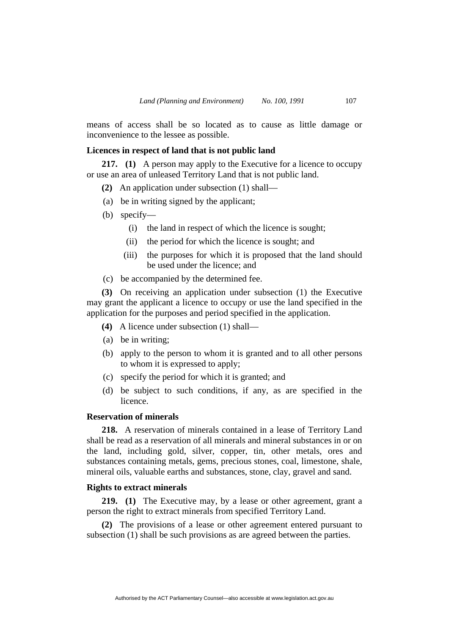means of access shall be so located as to cause as little damage or inconvenience to the lessee as possible.

# **Licences in respect of land that is not public land**

**217. (1)** A person may apply to the Executive for a licence to occupy or use an area of unleased Territory Land that is not public land.

- **(2)** An application under subsection (1) shall—
- (a) be in writing signed by the applicant;
- (b) specify—
	- (i) the land in respect of which the licence is sought;
	- (ii) the period for which the licence is sought; and
	- (iii) the purposes for which it is proposed that the land should be used under the licence; and
- (c) be accompanied by the determined fee.

**(3)** On receiving an application under subsection (1) the Executive may grant the applicant a licence to occupy or use the land specified in the application for the purposes and period specified in the application.

- **(4)** A licence under subsection (1) shall—
- (a) be in writing;
- (b) apply to the person to whom it is granted and to all other persons to whom it is expressed to apply;
- (c) specify the period for which it is granted; and
- (d) be subject to such conditions, if any, as are specified in the licence.

# **Reservation of minerals**

**218.** A reservation of minerals contained in a lease of Territory Land shall be read as a reservation of all minerals and mineral substances in or on the land, including gold, silver, copper, tin, other metals, ores and substances containing metals, gems, precious stones, coal, limestone, shale, mineral oils, valuable earths and substances, stone, clay, gravel and sand.

## **Rights to extract minerals**

**219. (1)** The Executive may, by a lease or other agreement, grant a person the right to extract minerals from specified Territory Land.

**(2)** The provisions of a lease or other agreement entered pursuant to subsection (1) shall be such provisions as are agreed between the parties.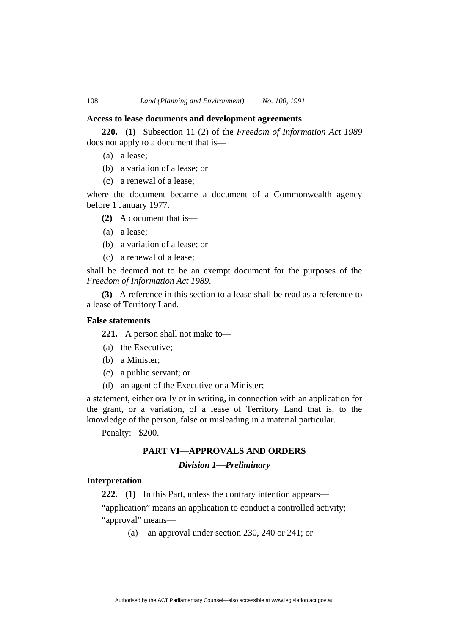#### **Access to lease documents and development agreements**

**220. (1)** Subsection 11 (2) of the *Freedom of Information Act 1989* does not apply to a document that is—

- (a) a lease;
- (b) a variation of a lease; or
- (c) a renewal of a lease;

where the document became a document of a Commonwealth agency before 1 January 1977.

- **(2)** A document that is—
- (a) a lease;
- (b) a variation of a lease; or
- (c) a renewal of a lease;

shall be deemed not to be an exempt document for the purposes of the *Freedom of Information Act 1989*.

**(3)** A reference in this section to a lease shall be read as a reference to a lease of Territory Land.

## **False statements**

**221.** A person shall not make to—

- (a) the Executive;
- (b) a Minister;
- (c) a public servant; or
- (d) an agent of the Executive or a Minister;

a statement, either orally or in writing, in connection with an application for the grant, or a variation, of a lease of Territory Land that is, to the knowledge of the person, false or misleading in a material particular.

Penalty: \$200.

## **PART VI—APPROVALS AND ORDERS**

#### *Division 1—Preliminary*

## **Interpretation**

**222. (1)** In this Part, unless the contrary intention appears—

"application" means an application to conduct a controlled activity; "approval" means—

(a) an approval under section 230, 240 or 241; or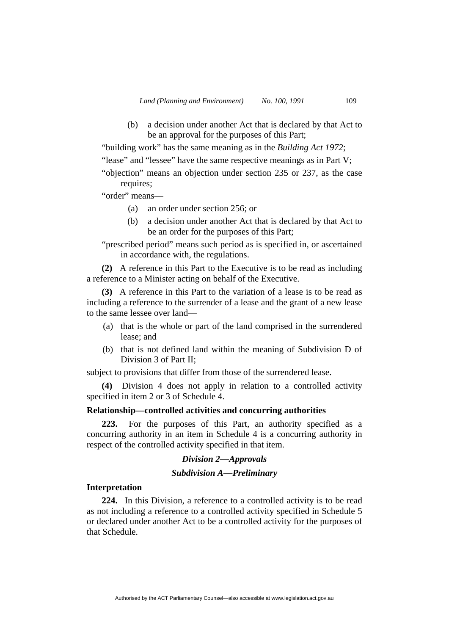(b) a decision under another Act that is declared by that Act to be an approval for the purposes of this Part;

"building work" has the same meaning as in the *Building Act 1972*;

"lease" and "lessee" have the same respective meanings as in Part V;

"objection" means an objection under section 235 or 237, as the case requires;

# "order" means—

- (a) an order under section 256; or
- (b) a decision under another Act that is declared by that Act to be an order for the purposes of this Part;
- "prescribed period" means such period as is specified in, or ascertained in accordance with, the regulations.

**(2)** A reference in this Part to the Executive is to be read as including a reference to a Minister acting on behalf of the Executive.

**(3)** A reference in this Part to the variation of a lease is to be read as including a reference to the surrender of a lease and the grant of a new lease to the same lessee over land—

- (a) that is the whole or part of the land comprised in the surrendered lease; and
- (b) that is not defined land within the meaning of Subdivision D of Division 3 of Part II;

subject to provisions that differ from those of the surrendered lease.

**(4)** Division 4 does not apply in relation to a controlled activity specified in item 2 or 3 of Schedule 4.

## **Relationship—controlled activities and concurring authorities**

**223.** For the purposes of this Part, an authority specified as a concurring authority in an item in Schedule 4 is a concurring authority in respect of the controlled activity specified in that item.

## *Division 2—Approvals*

## *Subdivision A—Preliminary*

#### **Interpretation**

**224.** In this Division, a reference to a controlled activity is to be read as not including a reference to a controlled activity specified in Schedule 5 or declared under another Act to be a controlled activity for the purposes of that Schedule.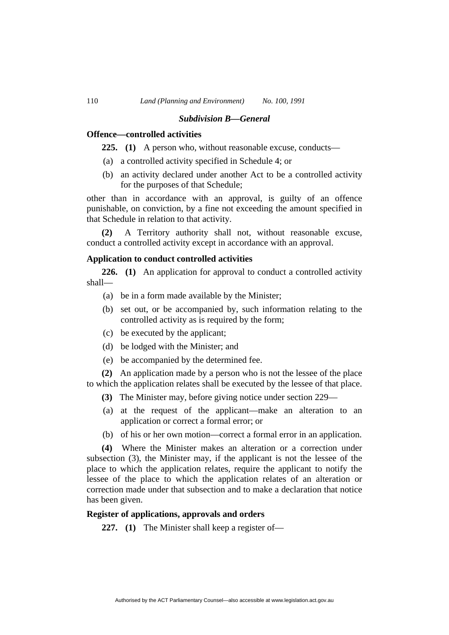#### *Subdivision B—General*

## **Offence—controlled activities**

**225. (1)** A person who, without reasonable excuse, conducts—

- (a) a controlled activity specified in Schedule 4; or
- (b) an activity declared under another Act to be a controlled activity for the purposes of that Schedule;

other than in accordance with an approval, is guilty of an offence punishable, on conviction, by a fine not exceeding the amount specified in that Schedule in relation to that activity.

**(2)** A Territory authority shall not, without reasonable excuse, conduct a controlled activity except in accordance with an approval.

## **Application to conduct controlled activities**

**226. (1)** An application for approval to conduct a controlled activity shall—

- (a) be in a form made available by the Minister;
- (b) set out, or be accompanied by, such information relating to the controlled activity as is required by the form;
- (c) be executed by the applicant;
- (d) be lodged with the Minister; and
- (e) be accompanied by the determined fee.

**(2)** An application made by a person who is not the lessee of the place to which the application relates shall be executed by the lessee of that place.

- **(3)** The Minister may, before giving notice under section 229—
- (a) at the request of the applicant—make an alteration to an application or correct a formal error; or
- (b) of his or her own motion—correct a formal error in an application.

**(4)** Where the Minister makes an alteration or a correction under subsection (3), the Minister may, if the applicant is not the lessee of the place to which the application relates, require the applicant to notify the lessee of the place to which the application relates of an alteration or correction made under that subsection and to make a declaration that notice has been given.

#### **Register of applications, approvals and orders**

**227. (1)** The Minister shall keep a register of—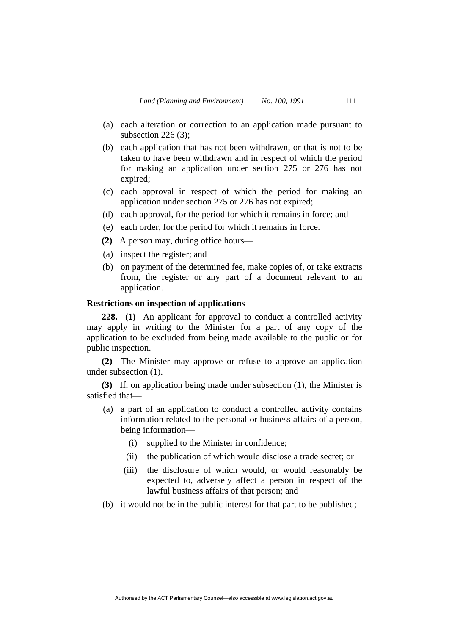- (a) each alteration or correction to an application made pursuant to subsection 226 (3);
- (b) each application that has not been withdrawn, or that is not to be taken to have been withdrawn and in respect of which the period for making an application under section 275 or 276 has not expired;
- (c) each approval in respect of which the period for making an application under section 275 or 276 has not expired;
- (d) each approval, for the period for which it remains in force; and
- (e) each order, for the period for which it remains in force.
- **(2)** A person may, during office hours—
- (a) inspect the register; and
- (b) on payment of the determined fee, make copies of, or take extracts from, the register or any part of a document relevant to an application.

## **Restrictions on inspection of applications**

**228. (1)** An applicant for approval to conduct a controlled activity may apply in writing to the Minister for a part of any copy of the application to be excluded from being made available to the public or for public inspection.

**(2)** The Minister may approve or refuse to approve an application under subsection (1).

**(3)** If, on application being made under subsection (1), the Minister is satisfied that—

- (a) a part of an application to conduct a controlled activity contains information related to the personal or business affairs of a person, being information—
	- (i) supplied to the Minister in confidence;
	- (ii) the publication of which would disclose a trade secret; or
	- (iii) the disclosure of which would, or would reasonably be expected to, adversely affect a person in respect of the lawful business affairs of that person; and
- (b) it would not be in the public interest for that part to be published;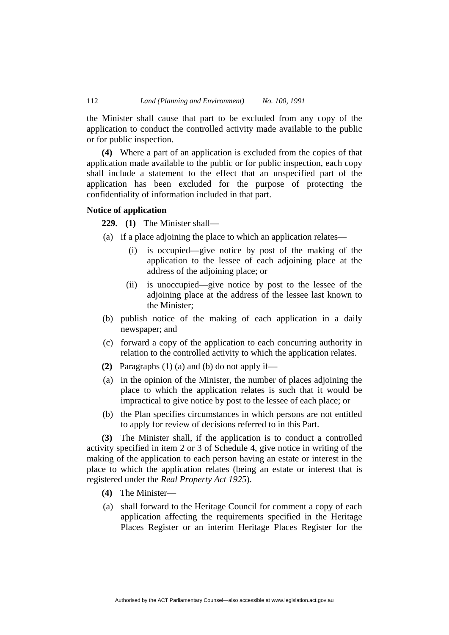the Minister shall cause that part to be excluded from any copy of the application to conduct the controlled activity made available to the public or for public inspection.

**(4)** Where a part of an application is excluded from the copies of that application made available to the public or for public inspection, each copy shall include a statement to the effect that an unspecified part of the application has been excluded for the purpose of protecting the confidentiality of information included in that part.

# **Notice of application**

**229. (1)** The Minister shall—

- (a) if a place adjoining the place to which an application relates—
	- (i) is occupied—give notice by post of the making of the application to the lessee of each adjoining place at the address of the adjoining place; or
	- (ii) is unoccupied—give notice by post to the lessee of the adjoining place at the address of the lessee last known to the Minister;
- (b) publish notice of the making of each application in a daily newspaper; and
- (c) forward a copy of the application to each concurring authority in relation to the controlled activity to which the application relates.
- **(2)** Paragraphs (1) (a) and (b) do not apply if—
- (a) in the opinion of the Minister, the number of places adjoining the place to which the application relates is such that it would be impractical to give notice by post to the lessee of each place; or
- (b) the Plan specifies circumstances in which persons are not entitled to apply for review of decisions referred to in this Part.

**(3)** The Minister shall, if the application is to conduct a controlled activity specified in item 2 or 3 of Schedule 4, give notice in writing of the making of the application to each person having an estate or interest in the place to which the application relates (being an estate or interest that is registered under the *Real Property Act 1925*).

- **(4)** The Minister—
- (a) shall forward to the Heritage Council for comment a copy of each application affecting the requirements specified in the Heritage Places Register or an interim Heritage Places Register for the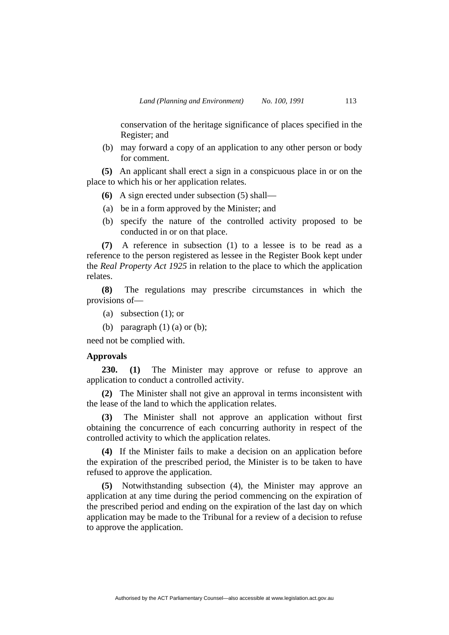conservation of the heritage significance of places specified in the Register; and

 (b) may forward a copy of an application to any other person or body for comment.

**(5)** An applicant shall erect a sign in a conspicuous place in or on the place to which his or her application relates.

- **(6)** A sign erected under subsection (5) shall—
- (a) be in a form approved by the Minister; and
- (b) specify the nature of the controlled activity proposed to be conducted in or on that place.

**(7)** A reference in subsection (1) to a lessee is to be read as a reference to the person registered as lessee in the Register Book kept under the *Real Property Act 1925* in relation to the place to which the application relates.

**(8)** The regulations may prescribe circumstances in which the provisions of—

- (a) subsection (1); or
- (b) paragraph  $(1)$  (a) or (b);

need not be complied with.

## **Approvals**

**230. (1)** The Minister may approve or refuse to approve an application to conduct a controlled activity.

**(2)** The Minister shall not give an approval in terms inconsistent with the lease of the land to which the application relates.

**(3)** The Minister shall not approve an application without first obtaining the concurrence of each concurring authority in respect of the controlled activity to which the application relates.

**(4)** If the Minister fails to make a decision on an application before the expiration of the prescribed period, the Minister is to be taken to have refused to approve the application.

**(5)** Notwithstanding subsection (4), the Minister may approve an application at any time during the period commencing on the expiration of the prescribed period and ending on the expiration of the last day on which application may be made to the Tribunal for a review of a decision to refuse to approve the application.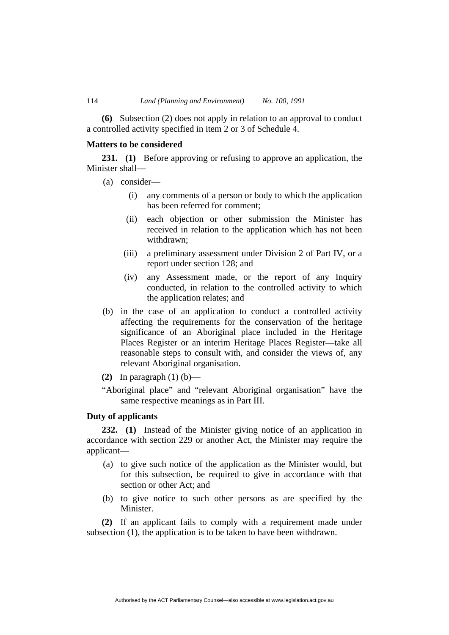**(6)** Subsection (2) does not apply in relation to an approval to conduct a controlled activity specified in item 2 or 3 of Schedule 4.

## **Matters to be considered**

**231. (1)** Before approving or refusing to approve an application, the Minister shall—

- (a) consider—
	- (i) any comments of a person or body to which the application has been referred for comment;
	- (ii) each objection or other submission the Minister has received in relation to the application which has not been withdrawn;
	- (iii) a preliminary assessment under Division 2 of Part IV, or a report under section 128; and
	- (iv) any Assessment made, or the report of any Inquiry conducted, in relation to the controlled activity to which the application relates; and
- (b) in the case of an application to conduct a controlled activity affecting the requirements for the conservation of the heritage significance of an Aboriginal place included in the Heritage Places Register or an interim Heritage Places Register—take all reasonable steps to consult with, and consider the views of, any relevant Aboriginal organisation.
- **(2)** In paragraph (1) (b)—
- "Aboriginal place" and "relevant Aboriginal organisation" have the same respective meanings as in Part III.

# **Duty of applicants**

**232. (1)** Instead of the Minister giving notice of an application in accordance with section 229 or another Act, the Minister may require the applicant—

- (a) to give such notice of the application as the Minister would, but for this subsection, be required to give in accordance with that section or other Act; and
- (b) to give notice to such other persons as are specified by the Minister.

**(2)** If an applicant fails to comply with a requirement made under subsection (1), the application is to be taken to have been withdrawn.

Authorised by the ACT Parliamentary Counsel—also accessible at www.legislation.act.gov.au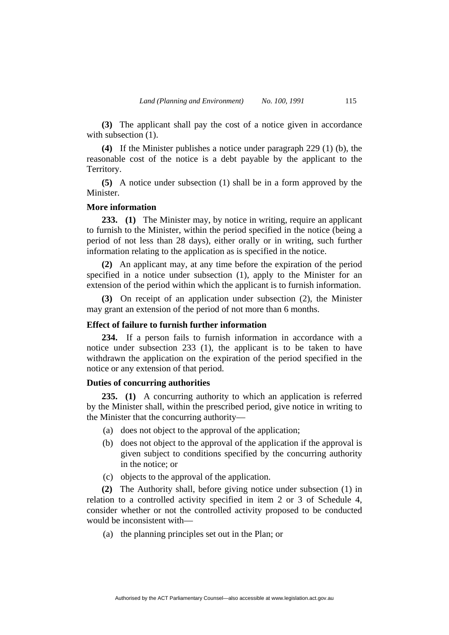**(3)** The applicant shall pay the cost of a notice given in accordance with subsection  $(1)$ .

**(4)** If the Minister publishes a notice under paragraph 229 (1) (b), the reasonable cost of the notice is a debt payable by the applicant to the Territory.

**(5)** A notice under subsection (1) shall be in a form approved by the Minister.

# **More information**

**233. (1)** The Minister may, by notice in writing, require an applicant to furnish to the Minister, within the period specified in the notice (being a period of not less than 28 days), either orally or in writing, such further information relating to the application as is specified in the notice.

**(2)** An applicant may, at any time before the expiration of the period specified in a notice under subsection (1), apply to the Minister for an extension of the period within which the applicant is to furnish information.

**(3)** On receipt of an application under subsection (2), the Minister may grant an extension of the period of not more than 6 months.

# **Effect of failure to furnish further information**

**234.** If a person fails to furnish information in accordance with a notice under subsection 233 (1), the applicant is to be taken to have withdrawn the application on the expiration of the period specified in the notice or any extension of that period.

## **Duties of concurring authorities**

**235. (1)** A concurring authority to which an application is referred by the Minister shall, within the prescribed period, give notice in writing to the Minister that the concurring authority—

- (a) does not object to the approval of the application;
- (b) does not object to the approval of the application if the approval is given subject to conditions specified by the concurring authority in the notice; or
- (c) objects to the approval of the application.

**(2)** The Authority shall, before giving notice under subsection (1) in relation to a controlled activity specified in item 2 or 3 of Schedule 4, consider whether or not the controlled activity proposed to be conducted would be inconsistent with—

(a) the planning principles set out in the Plan; or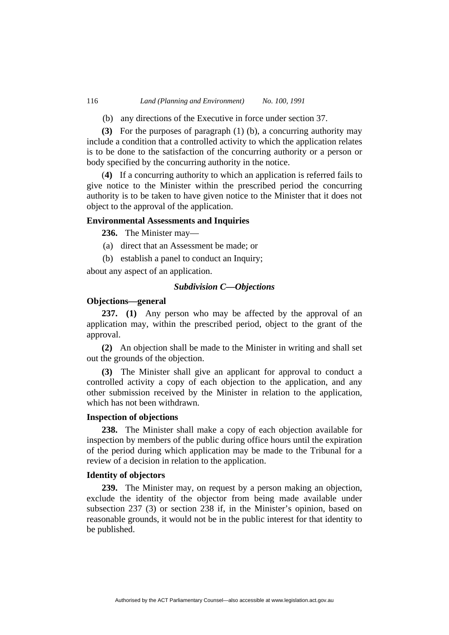(b) any directions of the Executive in force under section 37.

**(3)** For the purposes of paragraph (1) (b), a concurring authority may include a condition that a controlled activity to which the application relates is to be done to the satisfaction of the concurring authority or a person or body specified by the concurring authority in the notice.

(**4)** If a concurring authority to which an application is referred fails to give notice to the Minister within the prescribed period the concurring authority is to be taken to have given notice to the Minister that it does not object to the approval of the application.

## **Environmental Assessments and Inquiries**

**236.** The Minister may—

- (a) direct that an Assessment be made; or
- (b) establish a panel to conduct an Inquiry;

about any aspect of an application.

## *Subdivision C—Objections*

# **Objections—general**

**237. (1)** Any person who may be affected by the approval of an application may, within the prescribed period, object to the grant of the approval.

**(2)** An objection shall be made to the Minister in writing and shall set out the grounds of the objection.

**(3)** The Minister shall give an applicant for approval to conduct a controlled activity a copy of each objection to the application, and any other submission received by the Minister in relation to the application, which has not been withdrawn.

## **Inspection of objections**

**238.** The Minister shall make a copy of each objection available for inspection by members of the public during office hours until the expiration of the period during which application may be made to the Tribunal for a review of a decision in relation to the application.

## **Identity of objectors**

**239.** The Minister may, on request by a person making an objection, exclude the identity of the objector from being made available under subsection 237 (3) or section 238 if, in the Minister's opinion, based on reasonable grounds, it would not be in the public interest for that identity to be published.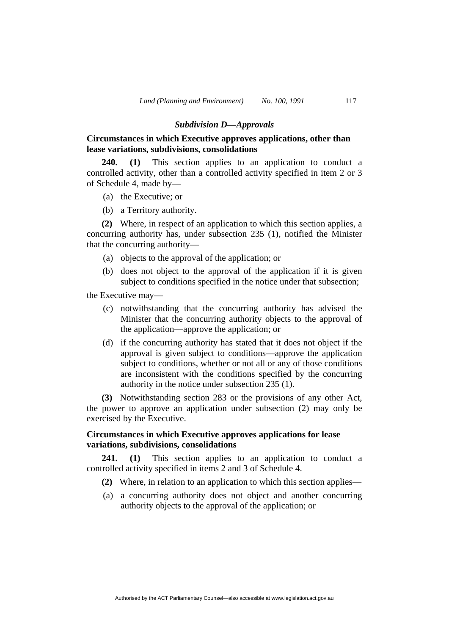### *Subdivision D—Approvals*

# **Circumstances in which Executive approves applications, other than lease variations, subdivisions, consolidations**

**240. (1)** This section applies to an application to conduct a controlled activity, other than a controlled activity specified in item 2 or 3 of Schedule 4, made by—

- (a) the Executive; or
- (b) a Territory authority.

**(2)** Where, in respect of an application to which this section applies, a concurring authority has, under subsection 235 (1), notified the Minister that the concurring authority—

- (a) objects to the approval of the application; or
- (b) does not object to the approval of the application if it is given subject to conditions specified in the notice under that subsection;

the Executive may—

- (c) notwithstanding that the concurring authority has advised the Minister that the concurring authority objects to the approval of the application—approve the application; or
- (d) if the concurring authority has stated that it does not object if the approval is given subject to conditions—approve the application subject to conditions, whether or not all or any of those conditions are inconsistent with the conditions specified by the concurring authority in the notice under subsection 235 (1).

**(3)** Notwithstanding section 283 or the provisions of any other Act, the power to approve an application under subsection (2) may only be exercised by the Executive.

# **Circumstances in which Executive approves applications for lease variations, subdivisions, consolidations**

241. (1) This section applies to an application to conduct a controlled activity specified in items 2 and 3 of Schedule 4.

- **(2)** Where, in relation to an application to which this section applies—
- (a) a concurring authority does not object and another concurring authority objects to the approval of the application; or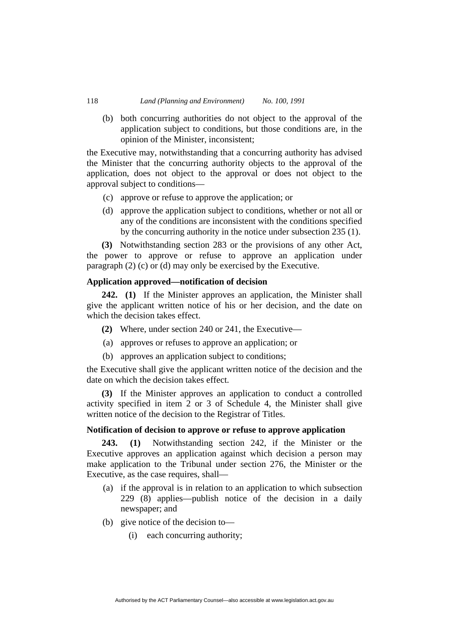(b) both concurring authorities do not object to the approval of the application subject to conditions, but those conditions are, in the opinion of the Minister, inconsistent;

the Executive may, notwithstanding that a concurring authority has advised the Minister that the concurring authority objects to the approval of the application, does not object to the approval or does not object to the approval subject to conditions—

- (c) approve or refuse to approve the application; or
- (d) approve the application subject to conditions, whether or not all or any of the conditions are inconsistent with the conditions specified by the concurring authority in the notice under subsection 235 (1).

**(3)** Notwithstanding section 283 or the provisions of any other Act, the power to approve or refuse to approve an application under paragraph (2) (c) or (d) may only be exercised by the Executive.

## **Application approved—notification of decision**

**242. (1)** If the Minister approves an application, the Minister shall give the applicant written notice of his or her decision, and the date on which the decision takes effect.

- **(2)** Where, under section 240 or 241, the Executive—
- (a) approves or refuses to approve an application; or
- (b) approves an application subject to conditions;

the Executive shall give the applicant written notice of the decision and the date on which the decision takes effect.

**(3)** If the Minister approves an application to conduct a controlled activity specified in item 2 or 3 of Schedule 4, the Minister shall give written notice of the decision to the Registrar of Titles.

### **Notification of decision to approve or refuse to approve application**

**243. (1)** Notwithstanding section 242, if the Minister or the Executive approves an application against which decision a person may make application to the Tribunal under section 276, the Minister or the Executive, as the case requires, shall—

- (a) if the approval is in relation to an application to which subsection 229 (8) applies—publish notice of the decision in a daily newspaper; and
- (b) give notice of the decision to—
	- (i) each concurring authority;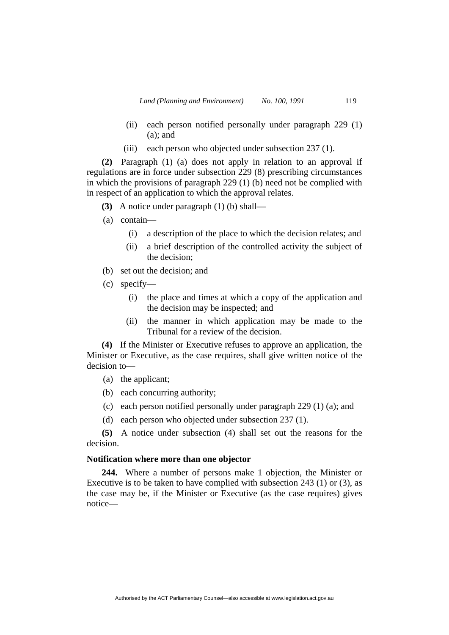- (ii) each person notified personally under paragraph 229 (1) (a); and
- (iii) each person who objected under subsection 237 (1).

**(2)** Paragraph (1) (a) does not apply in relation to an approval if regulations are in force under subsection 229 (8) prescribing circumstances in which the provisions of paragraph 229 (1) (b) need not be complied with in respect of an application to which the approval relates.

- **(3)** A notice under paragraph (1) (b) shall—
- (a) contain—
	- (i) a description of the place to which the decision relates; and
	- (ii) a brief description of the controlled activity the subject of the decision;
- (b) set out the decision; and
- (c) specify—
	- (i) the place and times at which a copy of the application and the decision may be inspected; and
	- (ii) the manner in which application may be made to the Tribunal for a review of the decision.

**(4)** If the Minister or Executive refuses to approve an application, the Minister or Executive, as the case requires, shall give written notice of the decision to—

- (a) the applicant;
- (b) each concurring authority;
- (c) each person notified personally under paragraph 229 (1) (a); and
- (d) each person who objected under subsection 237 (1).

**(5)** A notice under subsection (4) shall set out the reasons for the decision.

## **Notification where more than one objector**

**244.** Where a number of persons make 1 objection, the Minister or Executive is to be taken to have complied with subsection 243 (1) or (3), as the case may be, if the Minister or Executive (as the case requires) gives notice—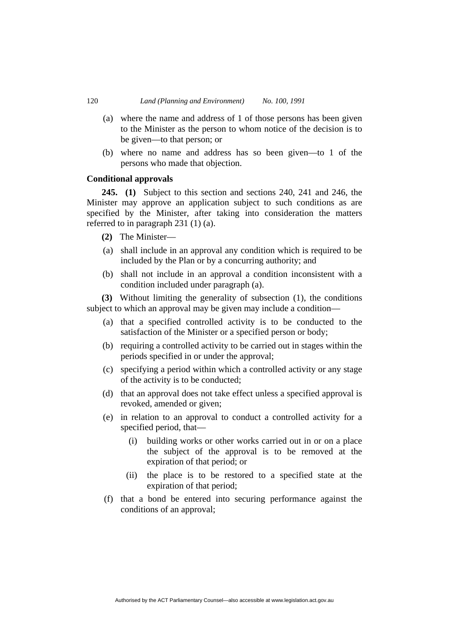- (a) where the name and address of 1 of those persons has been given to the Minister as the person to whom notice of the decision is to be given—to that person; or
- (b) where no name and address has so been given—to 1 of the persons who made that objection.

# **Conditional approvals**

**245. (1)** Subject to this section and sections 240, 241 and 246, the Minister may approve an application subject to such conditions as are specified by the Minister, after taking into consideration the matters referred to in paragraph 231 (1) (a).

- **(2)** The Minister—
- (a) shall include in an approval any condition which is required to be included by the Plan or by a concurring authority; and
- (b) shall not include in an approval a condition inconsistent with a condition included under paragraph (a).

**(3)** Without limiting the generality of subsection (1), the conditions subject to which an approval may be given may include a condition—

- (a) that a specified controlled activity is to be conducted to the satisfaction of the Minister or a specified person or body;
- (b) requiring a controlled activity to be carried out in stages within the periods specified in or under the approval;
- (c) specifying a period within which a controlled activity or any stage of the activity is to be conducted;
- (d) that an approval does not take effect unless a specified approval is revoked, amended or given;
- (e) in relation to an approval to conduct a controlled activity for a specified period, that—
	- (i) building works or other works carried out in or on a place the subject of the approval is to be removed at the expiration of that period; or
	- (ii) the place is to be restored to a specified state at the expiration of that period;
- (f) that a bond be entered into securing performance against the conditions of an approval;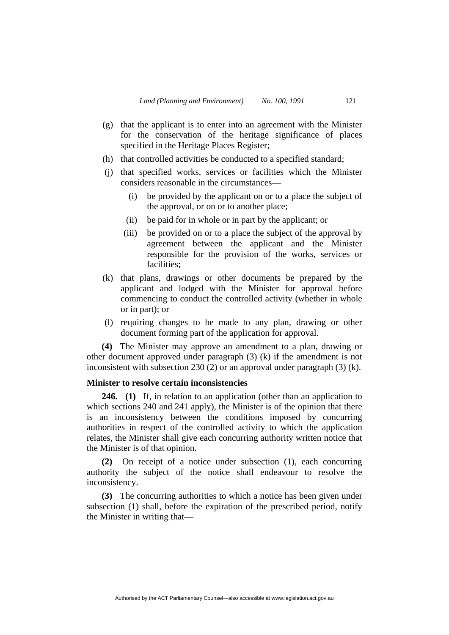- (g) that the applicant is to enter into an agreement with the Minister for the conservation of the heritage significance of places specified in the Heritage Places Register;
- (h) that controlled activities be conducted to a specified standard;
- (j) that specified works, services or facilities which the Minister considers reasonable in the circumstances—
	- (i) be provided by the applicant on or to a place the subject of the approval, or on or to another place;
	- (ii) be paid for in whole or in part by the applicant; or
	- (iii) be provided on or to a place the subject of the approval by agreement between the applicant and the Minister responsible for the provision of the works, services or facilities;
- (k) that plans, drawings or other documents be prepared by the applicant and lodged with the Minister for approval before commencing to conduct the controlled activity (whether in whole or in part); or
- (l) requiring changes to be made to any plan, drawing or other document forming part of the application for approval.

**(4)** The Minister may approve an amendment to a plan, drawing or other document approved under paragraph (3) (k) if the amendment is not inconsistent with subsection 230 (2) or an approval under paragraph (3) (k).

# **Minister to resolve certain inconsistencies**

**246. (1)** If, in relation to an application (other than an application to which sections 240 and 241 apply), the Minister is of the opinion that there is an inconsistency between the conditions imposed by concurring authorities in respect of the controlled activity to which the application relates, the Minister shall give each concurring authority written notice that the Minister is of that opinion.

**(2)** On receipt of a notice under subsection (1), each concurring authority the subject of the notice shall endeavour to resolve the inconsistency.

**(3)** The concurring authorities to which a notice has been given under subsection (1) shall, before the expiration of the prescribed period, notify the Minister in writing that—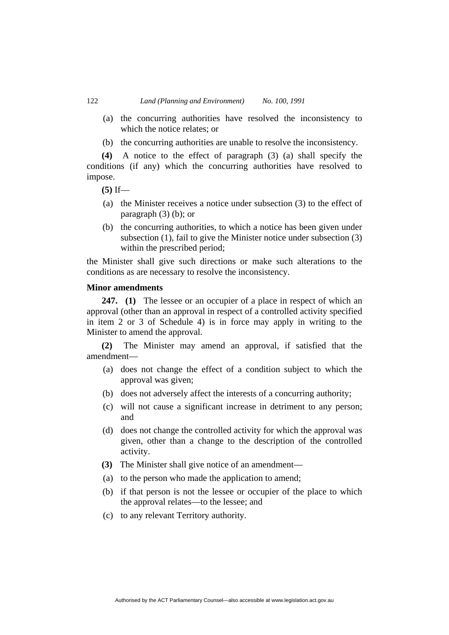- (a) the concurring authorities have resolved the inconsistency to which the notice relates; or
- (b) the concurring authorities are unable to resolve the inconsistency.

**(4)** A notice to the effect of paragraph (3) (a) shall specify the conditions (if any) which the concurring authorities have resolved to impose.

**(5)** If—

- (a) the Minister receives a notice under subsection (3) to the effect of paragraph (3) (b); or
- (b) the concurring authorities, to which a notice has been given under subsection (1), fail to give the Minister notice under subsection (3) within the prescribed period;

the Minister shall give such directions or make such alterations to the conditions as are necessary to resolve the inconsistency.

#### **Minor amendments**

**247. (1)** The lessee or an occupier of a place in respect of which an approval (other than an approval in respect of a controlled activity specified in item 2 or 3 of Schedule 4) is in force may apply in writing to the Minister to amend the approval.

**(2)** The Minister may amend an approval, if satisfied that the amendment—

- (a) does not change the effect of a condition subject to which the approval was given;
- (b) does not adversely affect the interests of a concurring authority;
- (c) will not cause a significant increase in detriment to any person; and
- (d) does not change the controlled activity for which the approval was given, other than a change to the description of the controlled activity.
- **(3)** The Minister shall give notice of an amendment—
- (a) to the person who made the application to amend;
- (b) if that person is not the lessee or occupier of the place to which the approval relates—to the lessee; and
- (c) to any relevant Territory authority.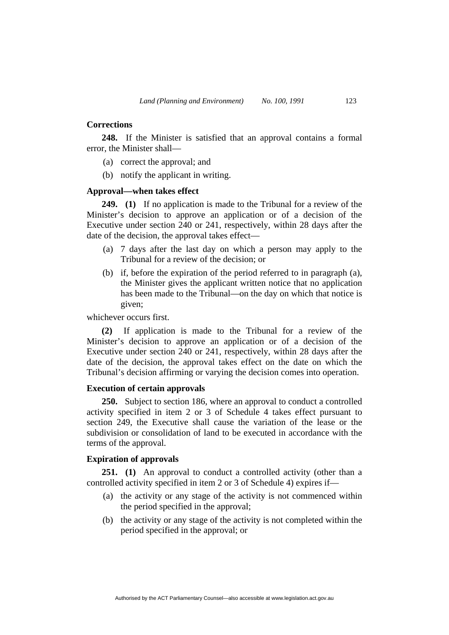## **Corrections**

**248.** If the Minister is satisfied that an approval contains a formal error, the Minister shall—

- (a) correct the approval; and
- (b) notify the applicant in writing.

# **Approval—when takes effect**

**249. (1)** If no application is made to the Tribunal for a review of the Minister's decision to approve an application or of a decision of the Executive under section 240 or 241, respectively, within 28 days after the date of the decision, the approval takes effect—

- (a) 7 days after the last day on which a person may apply to the Tribunal for a review of the decision; or
- (b) if, before the expiration of the period referred to in paragraph (a), the Minister gives the applicant written notice that no application has been made to the Tribunal—on the day on which that notice is given;

whichever occurs first.

**(2)** If application is made to the Tribunal for a review of the Minister's decision to approve an application or of a decision of the Executive under section 240 or 241, respectively, within 28 days after the date of the decision, the approval takes effect on the date on which the Tribunal's decision affirming or varying the decision comes into operation.

## **Execution of certain approvals**

**250.** Subject to section 186, where an approval to conduct a controlled activity specified in item 2 or 3 of Schedule 4 takes effect pursuant to section 249, the Executive shall cause the variation of the lease or the subdivision or consolidation of land to be executed in accordance with the terms of the approval.

## **Expiration of approvals**

**251. (1)** An approval to conduct a controlled activity (other than a controlled activity specified in item 2 or 3 of Schedule 4) expires if—

- (a) the activity or any stage of the activity is not commenced within the period specified in the approval;
- (b) the activity or any stage of the activity is not completed within the period specified in the approval; or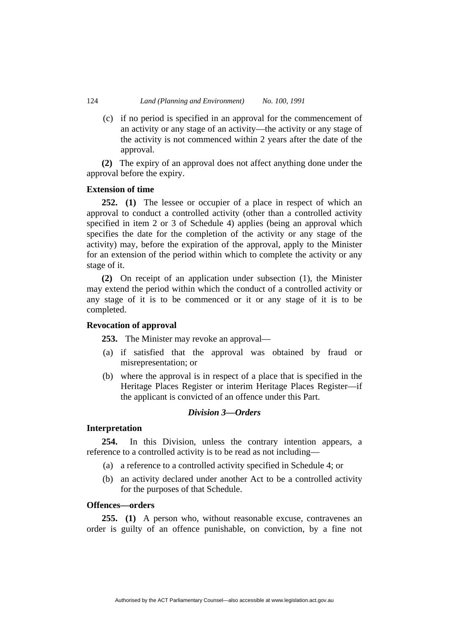(c) if no period is specified in an approval for the commencement of an activity or any stage of an activity—the activity or any stage of the activity is not commenced within 2 years after the date of the approval.

**(2)** The expiry of an approval does not affect anything done under the approval before the expiry.

## **Extension of time**

**252. (1)** The lessee or occupier of a place in respect of which an approval to conduct a controlled activity (other than a controlled activity specified in item 2 or 3 of Schedule 4) applies (being an approval which specifies the date for the completion of the activity or any stage of the activity) may, before the expiration of the approval, apply to the Minister for an extension of the period within which to complete the activity or any stage of it.

**(2)** On receipt of an application under subsection (1), the Minister may extend the period within which the conduct of a controlled activity or any stage of it is to be commenced or it or any stage of it is to be completed.

# **Revocation of approval**

**253.** The Minister may revoke an approval—

- (a) if satisfied that the approval was obtained by fraud or misrepresentation; or
- (b) where the approval is in respect of a place that is specified in the Heritage Places Register or interim Heritage Places Register—if the applicant is convicted of an offence under this Part.

# *Division 3—Orders*

# **Interpretation**

**254.** In this Division, unless the contrary intention appears, a reference to a controlled activity is to be read as not including—

- (a) a reference to a controlled activity specified in Schedule 4; or
- (b) an activity declared under another Act to be a controlled activity for the purposes of that Schedule.

## **Offences—orders**

**255. (1)** A person who, without reasonable excuse, contravenes an order is guilty of an offence punishable, on conviction, by a fine not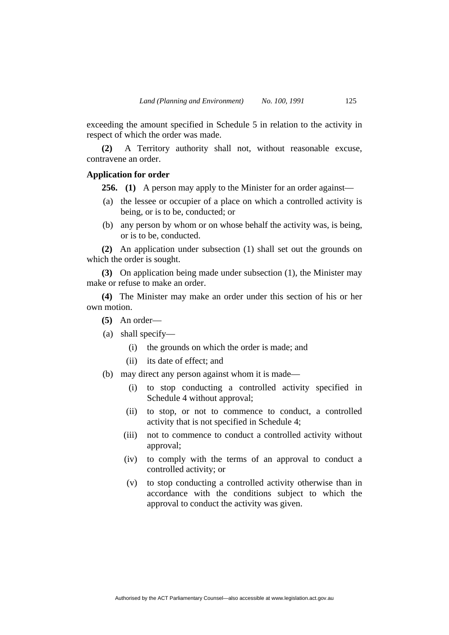exceeding the amount specified in Schedule 5 in relation to the activity in respect of which the order was made.

**(2)** A Territory authority shall not, without reasonable excuse, contravene an order.

#### **Application for order**

**256. (1)** A person may apply to the Minister for an order against—

- (a) the lessee or occupier of a place on which a controlled activity is being, or is to be, conducted; or
- (b) any person by whom or on whose behalf the activity was, is being, or is to be, conducted.

**(2)** An application under subsection (1) shall set out the grounds on which the order is sought.

**(3)** On application being made under subsection (1), the Minister may make or refuse to make an order.

**(4)** The Minister may make an order under this section of his or her own motion.

- **(5)** An order—
- (a) shall specify—
	- (i) the grounds on which the order is made; and
	- (ii) its date of effect; and
- (b) may direct any person against whom it is made—
	- (i) to stop conducting a controlled activity specified in Schedule 4 without approval;
	- (ii) to stop, or not to commence to conduct, a controlled activity that is not specified in Schedule 4;
	- (iii) not to commence to conduct a controlled activity without approval;
	- (iv) to comply with the terms of an approval to conduct a controlled activity; or
	- (v) to stop conducting a controlled activity otherwise than in accordance with the conditions subject to which the approval to conduct the activity was given.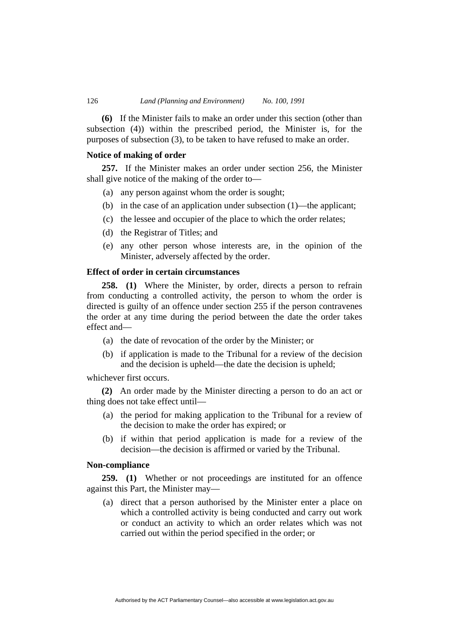**(6)** If the Minister fails to make an order under this section (other than subsection (4)) within the prescribed period, the Minister is, for the purposes of subsection (3), to be taken to have refused to make an order.

## **Notice of making of order**

**257.** If the Minister makes an order under section 256, the Minister shall give notice of the making of the order to—

- (a) any person against whom the order is sought;
- (b) in the case of an application under subsection (1)—the applicant;
- (c) the lessee and occupier of the place to which the order relates;
- (d) the Registrar of Titles; and
- (e) any other person whose interests are, in the opinion of the Minister, adversely affected by the order.

# **Effect of order in certain circumstances**

**258. (1)** Where the Minister, by order, directs a person to refrain from conducting a controlled activity, the person to whom the order is directed is guilty of an offence under section 255 if the person contravenes the order at any time during the period between the date the order takes effect and—

- (a) the date of revocation of the order by the Minister; or
- (b) if application is made to the Tribunal for a review of the decision and the decision is upheld—the date the decision is upheld;

whichever first occurs.

**(2)** An order made by the Minister directing a person to do an act or thing does not take effect until—

- (a) the period for making application to the Tribunal for a review of the decision to make the order has expired; or
- (b) if within that period application is made for a review of the decision—the decision is affirmed or varied by the Tribunal.

## **Non-compliance**

**259. (1)** Whether or not proceedings are instituted for an offence against this Part, the Minister may—

Authorised by the ACT Parliamentary Counsel—also accessible at www.legislation.act.gov.au

 (a) direct that a person authorised by the Minister enter a place on which a controlled activity is being conducted and carry out work or conduct an activity to which an order relates which was not carried out within the period specified in the order; or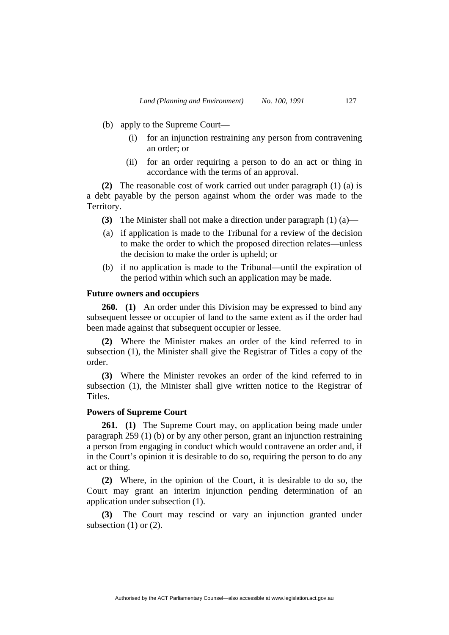- (b) apply to the Supreme Court—
	- (i) for an injunction restraining any person from contravening an order; or
	- (ii) for an order requiring a person to do an act or thing in accordance with the terms of an approval.

**(2)** The reasonable cost of work carried out under paragraph (1) (a) is a debt payable by the person against whom the order was made to the Territory.

- **(3)** The Minister shall not make a direction under paragraph (1) (a)—
- (a) if application is made to the Tribunal for a review of the decision to make the order to which the proposed direction relates—unless the decision to make the order is upheld; or
- (b) if no application is made to the Tribunal—until the expiration of the period within which such an application may be made.

## **Future owners and occupiers**

**260. (1)** An order under this Division may be expressed to bind any subsequent lessee or occupier of land to the same extent as if the order had been made against that subsequent occupier or lessee.

**(2)** Where the Minister makes an order of the kind referred to in subsection (1), the Minister shall give the Registrar of Titles a copy of the order.

**(3)** Where the Minister revokes an order of the kind referred to in subsection (1), the Minister shall give written notice to the Registrar of Titles.

# **Powers of Supreme Court**

**261. (1)** The Supreme Court may, on application being made under paragraph 259 (1) (b) or by any other person, grant an injunction restraining a person from engaging in conduct which would contravene an order and, if in the Court's opinion it is desirable to do so, requiring the person to do any act or thing.

**(2)** Where, in the opinion of the Court, it is desirable to do so, the Court may grant an interim injunction pending determination of an application under subsection (1).

**(3)** The Court may rescind or vary an injunction granted under subsection (1) or (2).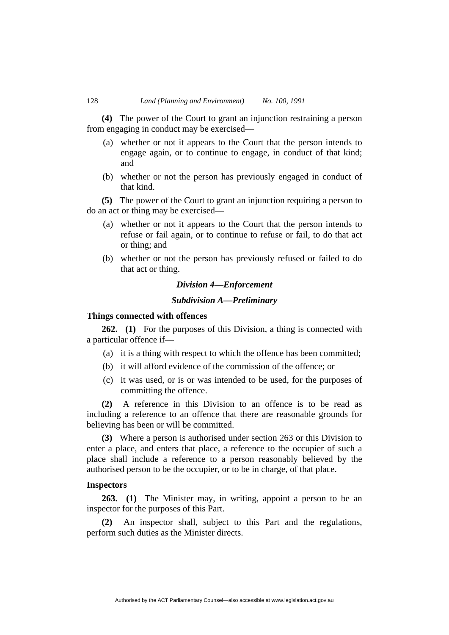**(4)** The power of the Court to grant an injunction restraining a person from engaging in conduct may be exercised—

- (a) whether or not it appears to the Court that the person intends to engage again, or to continue to engage, in conduct of that kind; and
- (b) whether or not the person has previously engaged in conduct of that kind.

**(5)** The power of the Court to grant an injunction requiring a person to do an act or thing may be exercised—

- (a) whether or not it appears to the Court that the person intends to refuse or fail again, or to continue to refuse or fail, to do that act or thing; and
- (b) whether or not the person has previously refused or failed to do that act or thing.

# *Division 4—Enforcement*

#### *Subdivision A—Preliminary*

## **Things connected with offences**

**262. (1)** For the purposes of this Division, a thing is connected with a particular offence if—

- (a) it is a thing with respect to which the offence has been committed;
- (b) it will afford evidence of the commission of the offence; or
- (c) it was used, or is or was intended to be used, for the purposes of committing the offence.

**(2)** A reference in this Division to an offence is to be read as including a reference to an offence that there are reasonable grounds for believing has been or will be committed.

**(3)** Where a person is authorised under section 263 or this Division to enter a place, and enters that place, a reference to the occupier of such a place shall include a reference to a person reasonably believed by the authorised person to be the occupier, or to be in charge, of that place.

### **Inspectors**

**263. (1)** The Minister may, in writing, appoint a person to be an inspector for the purposes of this Part.

**(2)** An inspector shall, subject to this Part and the regulations, perform such duties as the Minister directs.

Authorised by the ACT Parliamentary Counsel—also accessible at www.legislation.act.gov.au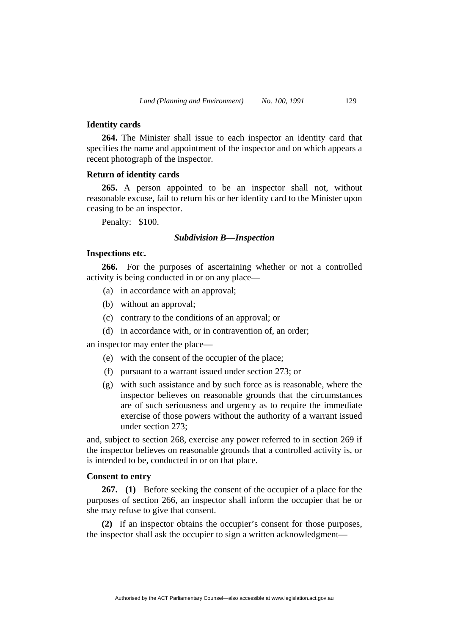## **Identity cards**

**264.** The Minister shall issue to each inspector an identity card that specifies the name and appointment of the inspector and on which appears a recent photograph of the inspector.

#### **Return of identity cards**

**265.** A person appointed to be an inspector shall not, without reasonable excuse, fail to return his or her identity card to the Minister upon ceasing to be an inspector.

Penalty: \$100.

#### *Subdivision B—Inspection*

#### **Inspections etc.**

**266.** For the purposes of ascertaining whether or not a controlled activity is being conducted in or on any place—

- (a) in accordance with an approval;
- (b) without an approval;
- (c) contrary to the conditions of an approval; or
- (d) in accordance with, or in contravention of, an order;

an inspector may enter the place—

- (e) with the consent of the occupier of the place;
- (f) pursuant to a warrant issued under section 273; or
- (g) with such assistance and by such force as is reasonable, where the inspector believes on reasonable grounds that the circumstances are of such seriousness and urgency as to require the immediate exercise of those powers without the authority of a warrant issued under section 273;

and, subject to section 268, exercise any power referred to in section 269 if the inspector believes on reasonable grounds that a controlled activity is, or is intended to be, conducted in or on that place.

## **Consent to entry**

**267. (1)** Before seeking the consent of the occupier of a place for the purposes of section 266, an inspector shall inform the occupier that he or she may refuse to give that consent.

**(2)** If an inspector obtains the occupier's consent for those purposes, the inspector shall ask the occupier to sign a written acknowledgment—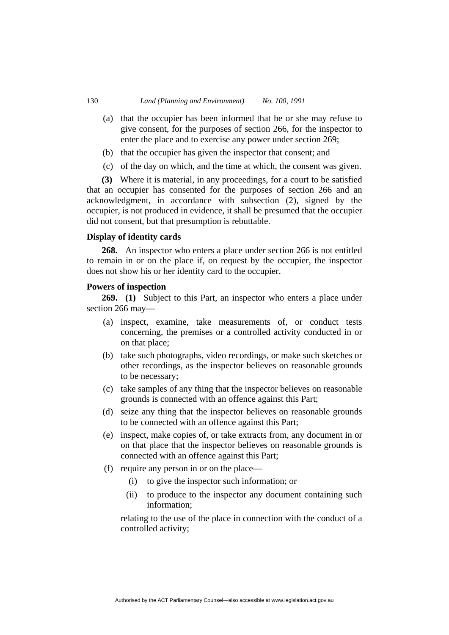- (a) that the occupier has been informed that he or she may refuse to give consent, for the purposes of section 266, for the inspector to enter the place and to exercise any power under section 269;
- (b) that the occupier has given the inspector that consent; and
- (c) of the day on which, and the time at which, the consent was given.

**(3)** Where it is material, in any proceedings, for a court to be satisfied that an occupier has consented for the purposes of section 266 and an acknowledgment, in accordance with subsection (2), signed by the occupier, is not produced in evidence, it shall be presumed that the occupier did not consent, but that presumption is rebuttable.

## **Display of identity cards**

**268.** An inspector who enters a place under section 266 is not entitled to remain in or on the place if, on request by the occupier, the inspector does not show his or her identity card to the occupier.

## **Powers of inspection**

**269. (1)** Subject to this Part, an inspector who enters a place under section 266 may—

- (a) inspect, examine, take measurements of, or conduct tests concerning, the premises or a controlled activity conducted in or on that place;
- (b) take such photographs, video recordings, or make such sketches or other recordings, as the inspector believes on reasonable grounds to be necessary;
- (c) take samples of any thing that the inspector believes on reasonable grounds is connected with an offence against this Part;
- (d) seize any thing that the inspector believes on reasonable grounds to be connected with an offence against this Part;
- (e) inspect, make copies of, or take extracts from, any document in or on that place that the inspector believes on reasonable grounds is connected with an offence against this Part;
- (f) require any person in or on the place—
	- (i) to give the inspector such information; or
	- (ii) to produce to the inspector any document containing such information;

relating to the use of the place in connection with the conduct of a controlled activity;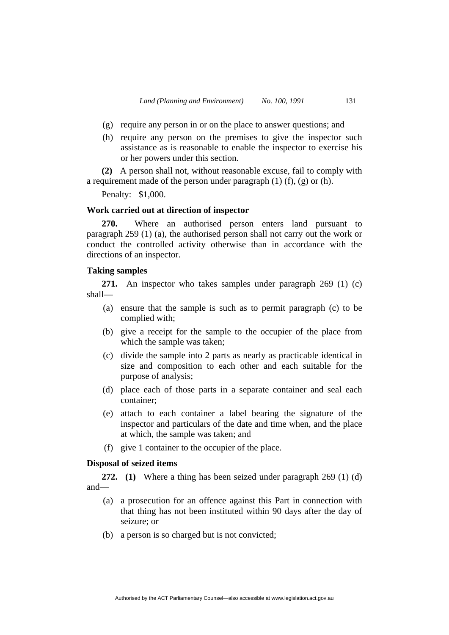- (g) require any person in or on the place to answer questions; and
- (h) require any person on the premises to give the inspector such assistance as is reasonable to enable the inspector to exercise his or her powers under this section.

**(2)** A person shall not, without reasonable excuse, fail to comply with a requirement made of the person under paragraph  $(1)$   $(f)$ ,  $(g)$  or  $(h)$ .

Penalty: \$1,000.

## **Work carried out at direction of inspector**

**270.** Where an authorised person enters land pursuant to paragraph 259 (1) (a), the authorised person shall not carry out the work or conduct the controlled activity otherwise than in accordance with the directions of an inspector.

## **Taking samples**

**271.** An inspector who takes samples under paragraph 269 (1) (c) shall—

- (a) ensure that the sample is such as to permit paragraph (c) to be complied with;
- (b) give a receipt for the sample to the occupier of the place from which the sample was taken;
- (c) divide the sample into 2 parts as nearly as practicable identical in size and composition to each other and each suitable for the purpose of analysis;
- (d) place each of those parts in a separate container and seal each container;
- (e) attach to each container a label bearing the signature of the inspector and particulars of the date and time when, and the place at which, the sample was taken; and
- (f) give 1 container to the occupier of the place.

## **Disposal of seized items**

**272. (1)** Where a thing has been seized under paragraph 269 (1) (d) and—

- (a) a prosecution for an offence against this Part in connection with that thing has not been instituted within 90 days after the day of seizure; or
- (b) a person is so charged but is not convicted;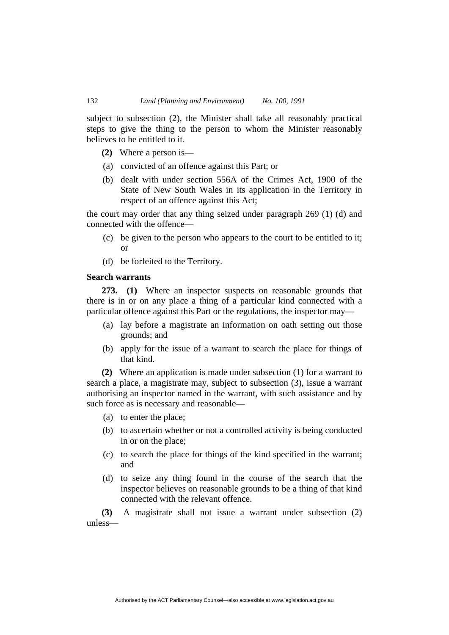subject to subsection (2), the Minister shall take all reasonably practical steps to give the thing to the person to whom the Minister reasonably believes to be entitled to it.

- **(2)** Where a person is—
- (a) convicted of an offence against this Part; or
- (b) dealt with under section 556A of the Crimes Act, 1900 of the State of New South Wales in its application in the Territory in respect of an offence against this Act;

the court may order that any thing seized under paragraph 269 (1) (d) and connected with the offence—

- (c) be given to the person who appears to the court to be entitled to it; or
- (d) be forfeited to the Territory.

## **Search warrants**

**273. (1)** Where an inspector suspects on reasonable grounds that there is in or on any place a thing of a particular kind connected with a particular offence against this Part or the regulations, the inspector may—

- (a) lay before a magistrate an information on oath setting out those grounds; and
- (b) apply for the issue of a warrant to search the place for things of that kind.

**(2)** Where an application is made under subsection (1) for a warrant to search a place, a magistrate may, subject to subsection (3), issue a warrant authorising an inspector named in the warrant, with such assistance and by such force as is necessary and reasonable—

- (a) to enter the place;
- (b) to ascertain whether or not a controlled activity is being conducted in or on the place;
- (c) to search the place for things of the kind specified in the warrant; and
- (d) to seize any thing found in the course of the search that the inspector believes on reasonable grounds to be a thing of that kind connected with the relevant offence.

**(3)** A magistrate shall not issue a warrant under subsection (2) unless—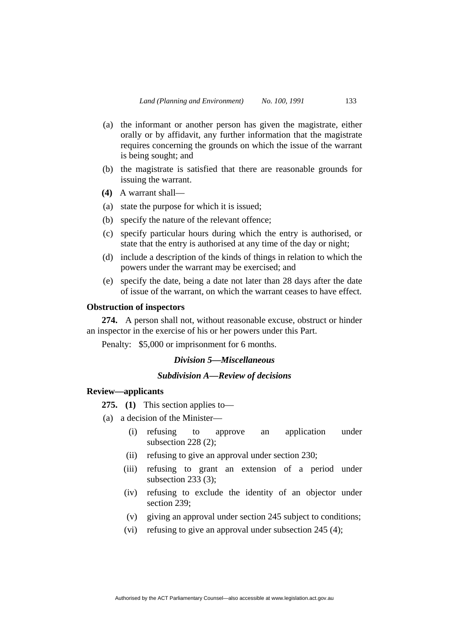- (a) the informant or another person has given the magistrate, either orally or by affidavit, any further information that the magistrate requires concerning the grounds on which the issue of the warrant is being sought; and
- (b) the magistrate is satisfied that there are reasonable grounds for issuing the warrant.
- **(4)** A warrant shall—
- (a) state the purpose for which it is issued;
- (b) specify the nature of the relevant offence;
- (c) specify particular hours during which the entry is authorised, or state that the entry is authorised at any time of the day or night;
- (d) include a description of the kinds of things in relation to which the powers under the warrant may be exercised; and
- (e) specify the date, being a date not later than 28 days after the date of issue of the warrant, on which the warrant ceases to have effect.

#### **Obstruction of inspectors**

**274.** A person shall not, without reasonable excuse, obstruct or hinder an inspector in the exercise of his or her powers under this Part.

Penalty: \$5,000 or imprisonment for 6 months.

# *Division 5—Miscellaneous*

# *Subdivision A—Review of decisions*

## **Review—applicants**

**275. (1)** This section applies to—

- (a) a decision of the Minister—
	- (i) refusing to approve an application under subsection 228 (2);
	- (ii) refusing to give an approval under section 230;
	- (iii) refusing to grant an extension of a period under subsection 233 (3);
	- (iv) refusing to exclude the identity of an objector under section 239;
	- (v) giving an approval under section 245 subject to conditions;
	- (vi) refusing to give an approval under subsection 245 (4);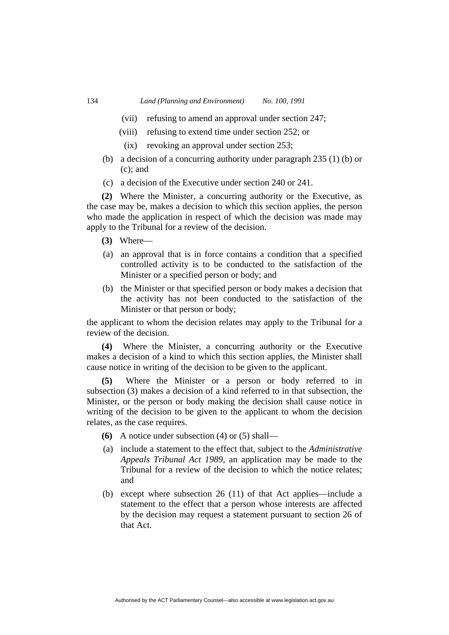- (vii) refusing to amend an approval under section 247;
- (viii) refusing to extend time under section 252; or
	- (ix) revoking an approval under section 253;
- (b) a decision of a concurring authority under paragraph 235 (1) (b) or (c); and
- (c) a decision of the Executive under section 240 or 241.

**(2)** Where the Minister, a concurring authority or the Executive, as the case may be, makes a decision to which this section applies, the person who made the application in respect of which the decision was made may apply to the Tribunal for a review of the decision.

- **(3)** Where—
- (a) an approval that is in force contains a condition that a specified controlled activity is to be conducted to the satisfaction of the Minister or a specified person or body; and
- (b) the Minister or that specified person or body makes a decision that the activity has not been conducted to the satisfaction of the Minister or that person or body;

the applicant to whom the decision relates may apply to the Tribunal for a review of the decision.

**(4)** Where the Minister, a concurring authority or the Executive makes a decision of a kind to which this section applies, the Minister shall cause notice in writing of the decision to be given to the applicant.

**(5)** Where the Minister or a person or body referred to in subsection (3) makes a decision of a kind referred to in that subsection, the Minister, or the person or body making the decision shall cause notice in writing of the decision to be given to the applicant to whom the decision relates, as the case requires.

- **(6)** A notice under subsection (4) or (5) shall—
- (a) include a statement to the effect that, subject to the *Administrative Appeals Tribunal Act 1989*, an application may be made to the Tribunal for a review of the decision to which the notice relates; and
- (b) except where subsection 26 (11) of that Act applies—include a statement to the effect that a person whose interests are affected by the decision may request a statement pursuant to section 26 of that Act.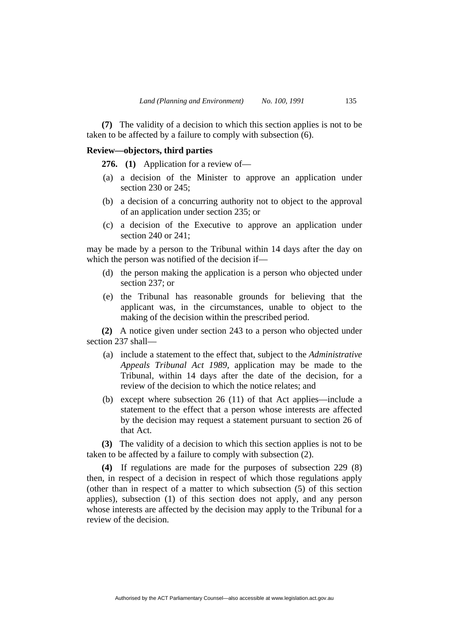**(7)** The validity of a decision to which this section applies is not to be taken to be affected by a failure to comply with subsection (6).

## **Review—objectors, third parties**

**276. (1)** Application for a review of—

- (a) a decision of the Minister to approve an application under section 230 or 245;
- (b) a decision of a concurring authority not to object to the approval of an application under section 235; or
- (c) a decision of the Executive to approve an application under section 240 or 241;

may be made by a person to the Tribunal within 14 days after the day on which the person was notified of the decision if—

- (d) the person making the application is a person who objected under section 237; or
- (e) the Tribunal has reasonable grounds for believing that the applicant was, in the circumstances, unable to object to the making of the decision within the prescribed period.

**(2)** A notice given under section 243 to a person who objected under section 237 shall—

- (a) include a statement to the effect that, subject to the *Administrative Appeals Tribunal Act 1989*, application may be made to the Tribunal, within 14 days after the date of the decision, for a review of the decision to which the notice relates; and
- (b) except where subsection 26 (11) of that Act applies—include a statement to the effect that a person whose interests are affected by the decision may request a statement pursuant to section 26 of that Act.

**(3)** The validity of a decision to which this section applies is not to be taken to be affected by a failure to comply with subsection (2).

**(4)** If regulations are made for the purposes of subsection 229 (8) then, in respect of a decision in respect of which those regulations apply (other than in respect of a matter to which subsection (5) of this section applies), subsection (1) of this section does not apply, and any person whose interests are affected by the decision may apply to the Tribunal for a review of the decision.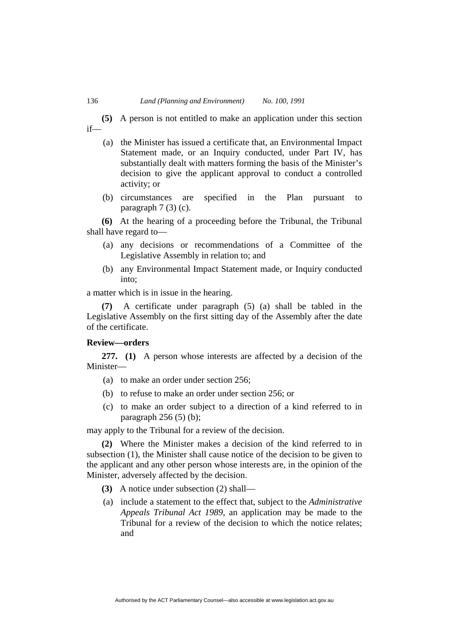**(5)** A person is not entitled to make an application under this section if—

- (a) the Minister has issued a certificate that, an Environmental Impact Statement made, or an Inquiry conducted, under Part IV, has substantially dealt with matters forming the basis of the Minister's decision to give the applicant approval to conduct a controlled activity; or
- (b) circumstances are specified in the Plan pursuant to paragraph 7 (3) (c).

**(6)** At the hearing of a proceeding before the Tribunal, the Tribunal shall have regard to—

- (a) any decisions or recommendations of a Committee of the Legislative Assembly in relation to; and
- (b) any Environmental Impact Statement made, or Inquiry conducted into;

a matter which is in issue in the hearing.

**(7)** A certificate under paragraph (5) (a) shall be tabled in the Legislative Assembly on the first sitting day of the Assembly after the date of the certificate.

## **Review—orders**

**277. (1)** A person whose interests are affected by a decision of the Minister—

- (a) to make an order under section 256;
- (b) to refuse to make an order under section 256; or
- (c) to make an order subject to a direction of a kind referred to in paragraph  $256(5)$  (b);

may apply to the Tribunal for a review of the decision.

**(2)** Where the Minister makes a decision of the kind referred to in subsection (1), the Minister shall cause notice of the decision to be given to the applicant and any other person whose interests are, in the opinion of the Minister, adversely affected by the decision.

- **(3)** A notice under subsection (2) shall—
- (a) include a statement to the effect that, subject to the *Administrative Appeals Tribunal Act 1989*, an application may be made to the Tribunal for a review of the decision to which the notice relates; and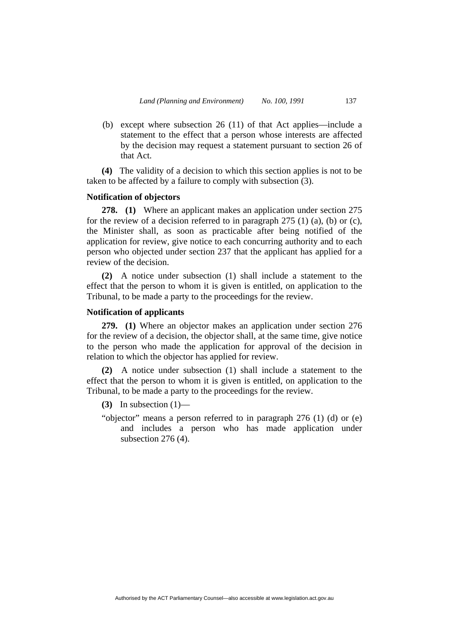(b) except where subsection 26 (11) of that Act applies—include a statement to the effect that a person whose interests are affected by the decision may request a statement pursuant to section 26 of that Act.

**(4)** The validity of a decision to which this section applies is not to be taken to be affected by a failure to comply with subsection (3).

## **Notification of objectors**

**278. (1)** Where an applicant makes an application under section 275 for the review of a decision referred to in paragraph  $275$  (1) (a), (b) or (c), the Minister shall, as soon as practicable after being notified of the application for review, give notice to each concurring authority and to each person who objected under section 237 that the applicant has applied for a review of the decision.

**(2)** A notice under subsection (1) shall include a statement to the effect that the person to whom it is given is entitled, on application to the Tribunal, to be made a party to the proceedings for the review.

#### **Notification of applicants**

**279. (1)** Where an objector makes an application under section 276 for the review of a decision, the objector shall, at the same time, give notice to the person who made the application for approval of the decision in relation to which the objector has applied for review.

**(2)** A notice under subsection (1) shall include a statement to the effect that the person to whom it is given is entitled, on application to the Tribunal, to be made a party to the proceedings for the review.

**(3)** In subsection  $(1)$ —

"objector" means a person referred to in paragraph 276 (1) (d) or (e) and includes a person who has made application under subsection 276 (4).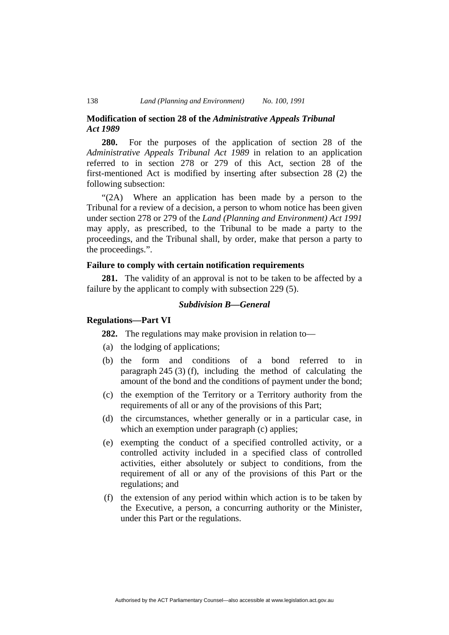## **Modification of section 28 of the** *Administrative Appeals Tribunal Act 1989*

**280.** For the purposes of the application of section 28 of the *Administrative Appeals Tribunal Act 1989* in relation to an application referred to in section 278 or 279 of this Act, section 28 of the first-mentioned Act is modified by inserting after subsection 28 (2) the following subsection:

"(2A) Where an application has been made by a person to the Tribunal for a review of a decision, a person to whom notice has been given under section 278 or 279 of the *Land (Planning and Environment) Act 1991*  may apply, as prescribed, to the Tribunal to be made a party to the proceedings, and the Tribunal shall, by order, make that person a party to the proceedings.".

## **Failure to comply with certain notification requirements**

**281.** The validity of an approval is not to be taken to be affected by a failure by the applicant to comply with subsection 229 (5).

# *Subdivision B—General*

## **Regulations—Part VI**

**282.** The regulations may make provision in relation to—

- (a) the lodging of applications;
- (b) the form and conditions of a bond referred to in paragraph 245 (3) (f), including the method of calculating the amount of the bond and the conditions of payment under the bond;
- (c) the exemption of the Territory or a Territory authority from the requirements of all or any of the provisions of this Part;
- (d) the circumstances, whether generally or in a particular case, in which an exemption under paragraph (c) applies;
- (e) exempting the conduct of a specified controlled activity, or a controlled activity included in a specified class of controlled activities, either absolutely or subject to conditions, from the requirement of all or any of the provisions of this Part or the regulations; and
- (f) the extension of any period within which action is to be taken by the Executive, a person, a concurring authority or the Minister, under this Part or the regulations.

Authorised by the ACT Parliamentary Counsel—also accessible at www.legislation.act.gov.au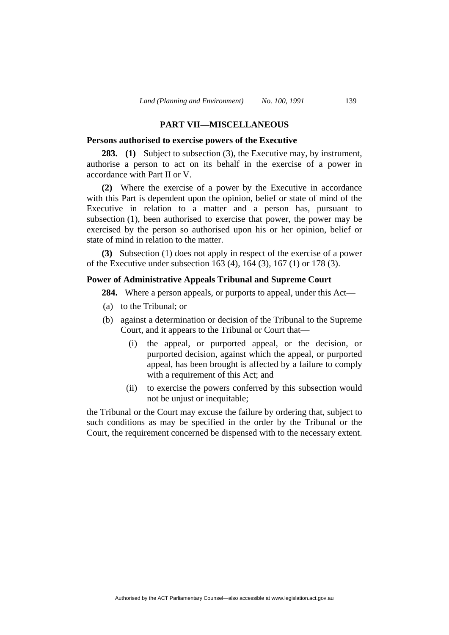#### **PART VII—MISCELLANEOUS**

#### **Persons authorised to exercise powers of the Executive**

**283. (1)** Subject to subsection (3), the Executive may, by instrument, authorise a person to act on its behalf in the exercise of a power in accordance with Part II or V.

**(2)** Where the exercise of a power by the Executive in accordance with this Part is dependent upon the opinion, belief or state of mind of the Executive in relation to a matter and a person has, pursuant to subsection (1), been authorised to exercise that power, the power may be exercised by the person so authorised upon his or her opinion, belief or state of mind in relation to the matter.

**(3)** Subsection (1) does not apply in respect of the exercise of a power of the Executive under subsection 163 (4), 164 (3), 167 (1) or 178 (3).

## **Power of Administrative Appeals Tribunal and Supreme Court**

**284.** Where a person appeals, or purports to appeal, under this Act—

- (a) to the Tribunal; or
- (b) against a determination or decision of the Tribunal to the Supreme Court, and it appears to the Tribunal or Court that—
	- (i) the appeal, or purported appeal, or the decision, or purported decision, against which the appeal, or purported appeal, has been brought is affected by a failure to comply with a requirement of this Act; and
	- (ii) to exercise the powers conferred by this subsection would not be unjust or inequitable;

the Tribunal or the Court may excuse the failure by ordering that, subject to such conditions as may be specified in the order by the Tribunal or the Court, the requirement concerned be dispensed with to the necessary extent.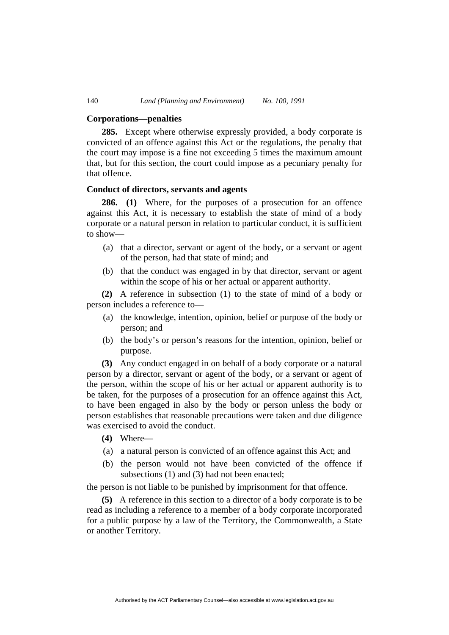#### **Corporations—penalties**

**285.** Except where otherwise expressly provided, a body corporate is convicted of an offence against this Act or the regulations, the penalty that the court may impose is a fine not exceeding 5 times the maximum amount that, but for this section, the court could impose as a pecuniary penalty for that offence.

## **Conduct of directors, servants and agents**

**286. (1)** Where, for the purposes of a prosecution for an offence against this Act, it is necessary to establish the state of mind of a body corporate or a natural person in relation to particular conduct, it is sufficient to show—

- (a) that a director, servant or agent of the body, or a servant or agent of the person, had that state of mind; and
- (b) that the conduct was engaged in by that director, servant or agent within the scope of his or her actual or apparent authority.

**(2)** A reference in subsection (1) to the state of mind of a body or person includes a reference to—

- (a) the knowledge, intention, opinion, belief or purpose of the body or person; and
- (b) the body's or person's reasons for the intention, opinion, belief or purpose.

**(3)** Any conduct engaged in on behalf of a body corporate or a natural person by a director, servant or agent of the body, or a servant or agent of the person, within the scope of his or her actual or apparent authority is to be taken, for the purposes of a prosecution for an offence against this Act, to have been engaged in also by the body or person unless the body or person establishes that reasonable precautions were taken and due diligence was exercised to avoid the conduct.

- **(4)** Where—
- (a) a natural person is convicted of an offence against this Act; and
- (b) the person would not have been convicted of the offence if subsections (1) and (3) had not been enacted;

the person is not liable to be punished by imprisonment for that offence.

**(5)** A reference in this section to a director of a body corporate is to be read as including a reference to a member of a body corporate incorporated for a public purpose by a law of the Territory, the Commonwealth, a State or another Territory.

Authorised by the ACT Parliamentary Counsel—also accessible at www.legislation.act.gov.au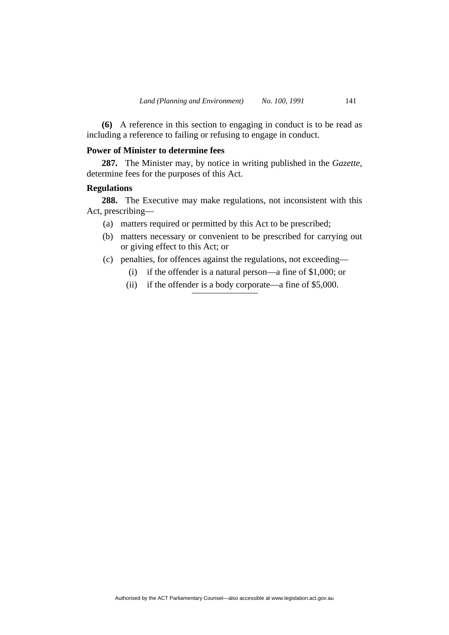**(6)** A reference in this section to engaging in conduct is to be read as including a reference to failing or refusing to engage in conduct.

#### **Power of Minister to determine fees**

**287.** The Minister may, by notice in writing published in the *Gazette*, determine fees for the purposes of this Act.

## **Regulations**

**288.** The Executive may make regulations, not inconsistent with this Act, prescribing—

- (a) matters required or permitted by this Act to be prescribed;
- (b) matters necessary or convenient to be prescribed for carrying out or giving effect to this Act; or
- (c) penalties, for offences against the regulations, not exceeding—
	- (i) if the offender is a natural person—a fine of \$1,000; or
	- (ii) if the offender is a body corporate—a fine of \$5,000.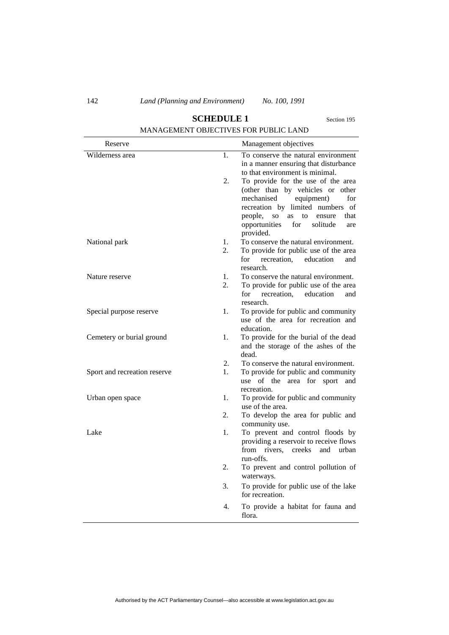| MANAGEMENT OBJECTIVES FOR PUBLIC LAND |    |                                                                                                                                                                                                                                                                   |  |  |
|---------------------------------------|----|-------------------------------------------------------------------------------------------------------------------------------------------------------------------------------------------------------------------------------------------------------------------|--|--|
| Reserve                               |    | Management objectives                                                                                                                                                                                                                                             |  |  |
| Wilderness area                       | 1. | To conserve the natural environment<br>in a manner ensuring that disturbance<br>to that environment is minimal.                                                                                                                                                   |  |  |
|                                       | 2. | To provide for the use of the area<br>(other than by vehicles or other<br>mechanised<br>equipment)<br>for<br>recreation by limited numbers of<br>people,<br>that<br>SO <sub>1</sub><br>as<br>to<br>ensure<br>opportunities<br>solitude<br>for<br>are<br>provided. |  |  |
| National park                         | 1. | To conserve the natural environment.                                                                                                                                                                                                                              |  |  |
|                                       | 2. | To provide for public use of the area<br>recreation,<br>for<br>education<br>and<br>research.                                                                                                                                                                      |  |  |
| Nature reserve                        | 1. | To conserve the natural environment.                                                                                                                                                                                                                              |  |  |
|                                       | 2. | To provide for public use of the area<br>for<br>recreation. education<br>and<br>research.                                                                                                                                                                         |  |  |
| Special purpose reserve               | 1. | To provide for public and community<br>use of the area for recreation and<br>education.                                                                                                                                                                           |  |  |
| Cemetery or burial ground             | 1. | To provide for the burial of the dead<br>and the storage of the ashes of the<br>dead.                                                                                                                                                                             |  |  |
|                                       | 2. | To conserve the natural environment.                                                                                                                                                                                                                              |  |  |
| Sport and recreation reserve          | 1. | To provide for public and community<br>use of the area for sport<br>and<br>recreation.                                                                                                                                                                            |  |  |
| Urban open space                      | 1. | To provide for public and community<br>use of the area.                                                                                                                                                                                                           |  |  |
|                                       | 2. | To develop the area for public and<br>community use.                                                                                                                                                                                                              |  |  |
| Lake                                  | 1. | To prevent and control floods by<br>providing a reservoir to receive flows<br>from rivers,<br>creeks<br>and<br>urban<br>run-offs.                                                                                                                                 |  |  |
|                                       | 2. | To prevent and control pollution of<br>waterways.                                                                                                                                                                                                                 |  |  |
|                                       | 3. | To provide for public use of the lake<br>for recreation.                                                                                                                                                                                                          |  |  |
|                                       | 4. | To provide a habitat for fauna and<br>flora.                                                                                                                                                                                                                      |  |  |

# **SCHEDULE 1** Section 195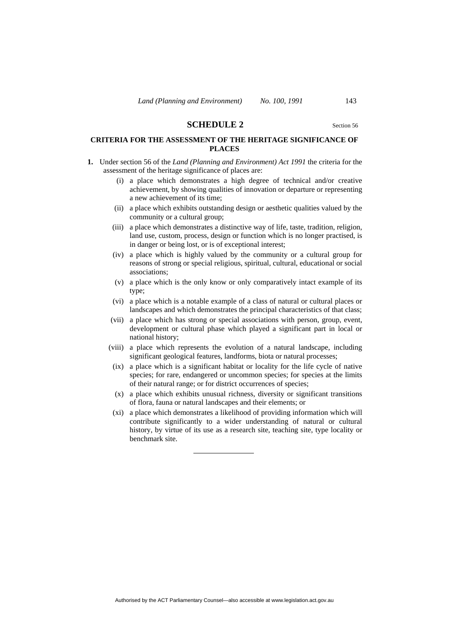#### **SCHEDULE 2** Section 56

## **CRITERIA FOR THE ASSESSMENT OF THE HERITAGE SIGNIFICANCE OF PLACES**

- **1.** Under section 56 of the *Land (Planning and Environment) Act 1991* the criteria for the assessment of the heritage significance of places are:
	- (i) a place which demonstrates a high degree of technical and/or creative achievement, by showing qualities of innovation or departure or representing a new achievement of its time;
	- (ii) a place which exhibits outstanding design or aesthetic qualities valued by the community or a cultural group;
	- (iii) a place which demonstrates a distinctive way of life, taste, tradition, religion, land use, custom, process, design or function which is no longer practised, is in danger or being lost, or is of exceptional interest;
	- (iv) a place which is highly valued by the community or a cultural group for reasons of strong or special religious, spiritual, cultural, educational or social associations;
	- (v) a place which is the only know or only comparatively intact example of its type;
	- (vi) a place which is a notable example of a class of natural or cultural places or landscapes and which demonstrates the principal characteristics of that class;
	- (vii) a place which has strong or special associations with person, group, event, development or cultural phase which played a significant part in local or national history;
	- (viii) a place which represents the evolution of a natural landscape, including significant geological features, landforms, biota or natural processes;
	- (ix) a place which is a significant habitat or locality for the life cycle of native species; for rare, endangered or uncommon species; for species at the limits of their natural range; or for district occurrences of species;
	- (x) a place which exhibits unusual richness, diversity or significant transitions of flora, fauna or natural landscapes and their elements; or
	- (xi) a place which demonstrates a likelihood of providing information which will contribute significantly to a wider understanding of natural or cultural history, by virtue of its use as a research site, teaching site, type locality or benchmark site.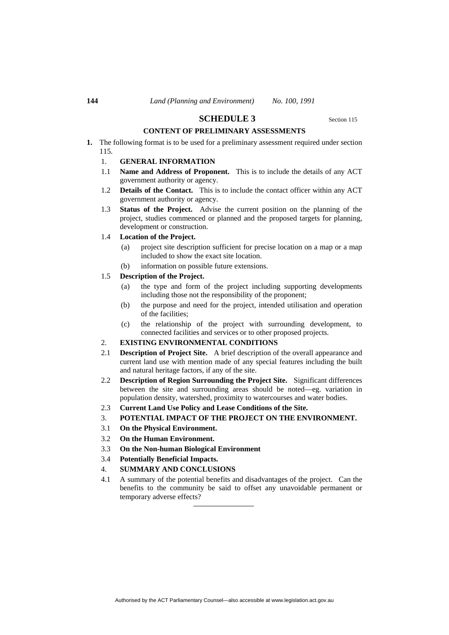#### **SCHEDULE 3** Section 115

#### **CONTENT OF PRELIMINARY ASSESSMENTS**

**1.** The following format is to be used for a preliminary assessment required under section 115.

#### 1. **GENERAL INFORMATION**

- 1.1 **Name and Address of Proponent.** This is to include the details of any ACT government authority or agency.
- 1.2 **Details of the Contact.** This is to include the contact officer within any ACT government authority or agency.
- 1.3 **Status of the Project.** Advise the current position on the planning of the project, studies commenced or planned and the proposed targets for planning, development or construction.

#### 1.4 **Location of the Project.**

- (a) project site description sufficient for precise location on a map or a map included to show the exact site location.
- (b) information on possible future extensions.

#### 1.5 **Description of the Project.**

- (a) the type and form of the project including supporting developments including those not the responsibility of the proponent;
- (b) the purpose and need for the project, intended utilisation and operation of the facilities;
- (c) the relationship of the project with surrounding development, to connected facilities and services or to other proposed projects.

#### 2. **EXISTING ENVIRONMENTAL CONDITIONS**

- 2.1 **Description of Project Site.** A brief description of the overall appearance and current land use with mention made of any special features including the built and natural heritage factors, if any of the site.
- 2.2 **Description of Region Surrounding the Project Site.** Significant differences between the site and surrounding areas should be noted—eg. variation in population density, watershed, proximity to watercourses and water bodies.
- 2.3 **Current Land Use Policy and Lease Conditions of the Site.**
- 3. **POTENTIAL IMPACT OF THE PROJECT ON THE ENVIRONMENT.**
- 3.1 **On the Physical Environment.**
- 3.2 **On the Human Environment.**
- 3.3 **On the Non-human Biological Environment**
- 3.4 **Potentially Beneficial Impacts.**
- 4. **SUMMARY AND CONCLUSIONS**
- 4.1 A summary of the potential benefits and disadvantages of the project. Can the benefits to the community be said to offset any unavoidable permanent or temporary adverse effects?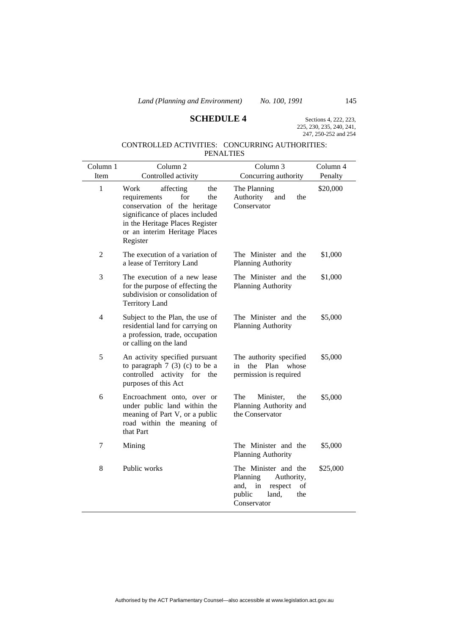# **SCHEDULE 4** Sections 4, 222, 223,

225, 230, 235, 240, 241, 247, 250-252 and 254

# CONTROLLED ACTIVITIES: CONCURRING AUTHORITIES: PENALTIES

| Column 1       | Column <sub>2</sub>                                                                                                                                                                                       | Column <sub>3</sub>                                                                                                    | Column 4 |
|----------------|-----------------------------------------------------------------------------------------------------------------------------------------------------------------------------------------------------------|------------------------------------------------------------------------------------------------------------------------|----------|
| Item           | Controlled activity                                                                                                                                                                                       | Concurring authority                                                                                                   | Penalty  |
| $\mathbf{1}$   | Work<br>affecting<br>the<br>for<br>the<br>requirements<br>conservation of the heritage<br>significance of places included<br>in the Heritage Places Register<br>or an interim Heritage Places<br>Register | The Planning<br>Authority<br>and<br>the<br>Conservator                                                                 | \$20,000 |
| $\mathfrak{2}$ | The execution of a variation of<br>a lease of Territory Land                                                                                                                                              | The Minister and the<br><b>Planning Authority</b>                                                                      | \$1,000  |
| 3              | The execution of a new lease<br>for the purpose of effecting the<br>subdivision or consolidation of<br><b>Territory Land</b>                                                                              | The Minister and the<br>Planning Authority                                                                             | \$1,000  |
| $\overline{4}$ | Subject to the Plan, the use of<br>residential land for carrying on<br>a profession, trade, occupation<br>or calling on the land                                                                          | The Minister and the<br><b>Planning Authority</b>                                                                      | \$5,000  |
| 5              | An activity specified pursuant<br>to paragraph $7(3)(c)$ to be a<br>controlled activity for the<br>purposes of this Act                                                                                   | The authority specified<br>Plan whose<br>the<br>in<br>permission is required                                           | \$5,000  |
| 6              | Encroachment onto, over or<br>under public land within the<br>meaning of Part V, or a public<br>road within the meaning of<br>that Part                                                                   | The<br>Minister,<br>the<br>Planning Authority and<br>the Conservator                                                   | \$5,000  |
| $\tau$         | Mining                                                                                                                                                                                                    | The Minister and the<br>Planning Authority                                                                             | \$5,000  |
| 8              | Public works                                                                                                                                                                                              | The Minister and the<br>Planning<br>Authority,<br>and,<br>respect<br>in<br>of<br>public<br>land,<br>the<br>Conservator | \$25,000 |